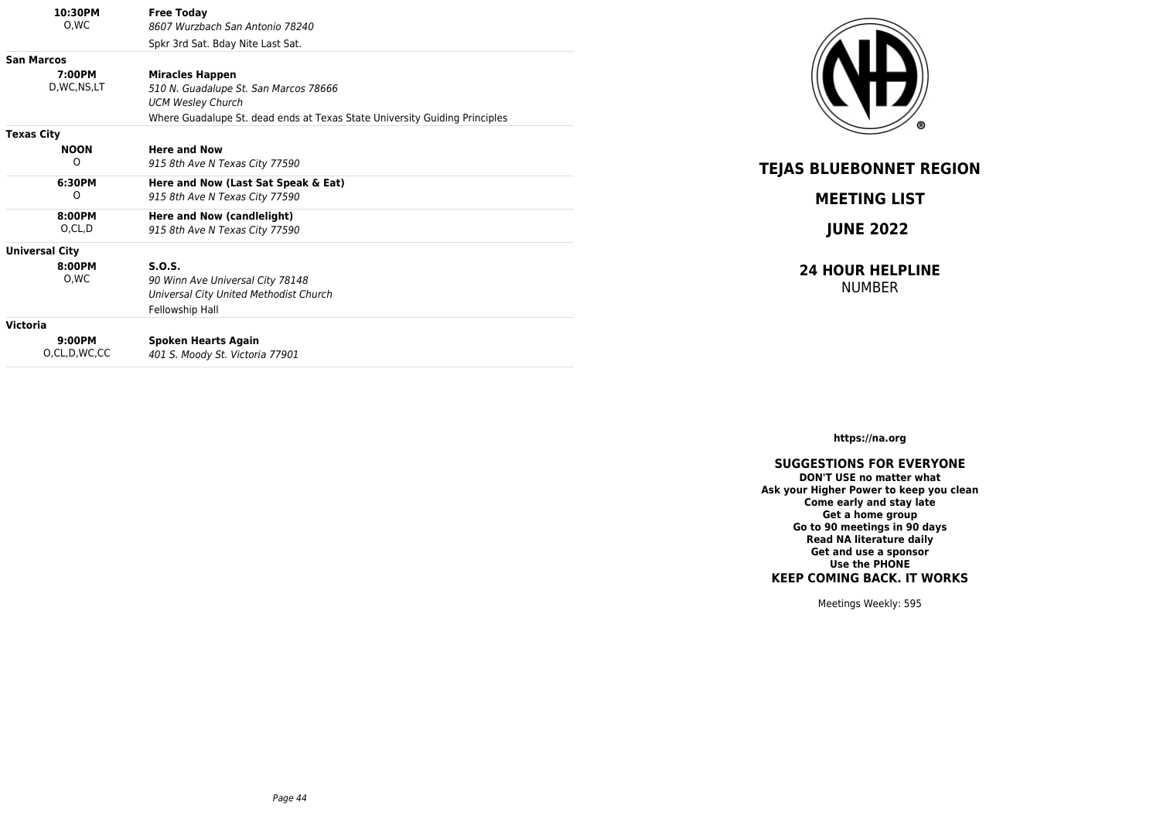| 10:30PM<br>0,WC       | <b>Free Today</b><br>8607 Wurzbach San Antonio 78240                       |
|-----------------------|----------------------------------------------------------------------------|
|                       | Spkr 3rd Sat. Bday Nite Last Sat.                                          |
| <b>San Marcos</b>     |                                                                            |
| 7:00PM                | <b>Miracles Happen</b>                                                     |
| D, WC, NS, LT         | 510 N. Guadalupe St. San Marcos 78666                                      |
|                       | <b>UCM Wesley Church</b>                                                   |
|                       | Where Guadalupe St. dead ends at Texas State University Guiding Principles |
| <b>Texas City</b>     |                                                                            |
| <b>NOON</b>           | <b>Here and Now</b>                                                        |
| O                     | 915 8th Ave N Texas City 77590                                             |
| 6:30PM                | Here and Now (Last Sat Speak & Eat)                                        |
| O                     | 915 8th Ave N Texas City 77590                                             |
| 8:00PM                | Here and Now (candlelight)                                                 |
| O,CL,D                | 915 8th Ave N Texas City 77590                                             |
| <b>Universal City</b> |                                                                            |
| 8:00PM                | S.O.S.                                                                     |
| O.WC                  | 90 Winn Ave Universal City 78148                                           |
|                       | Universal City United Methodist Church                                     |
|                       | Fellowship Hall                                                            |
| Victoria              |                                                                            |
| 9:00PM                | <b>Spoken Hearts Again</b>                                                 |
| O,CL,D,WC,CC          | 401 S. Moody St. Victoria 77901                                            |



**TEJAS BLUEBONNET REGION**

**MEETING LIST**

**JUNE 2022**

**24 HOUR HELPLINE** NUMBER

**https://na.org**

## **SUGGESTIONS FOR EVERYONE**

**DON'T USE no matter what Ask your Higher Power to keep you clean Come early and stay late Get a home group Go to 90 meetings in 90 days Read NA literature daily Get and use a sponsor Use the PHONE KEEP COMING BACK. IT WORKS**

Meetings Weekly: 595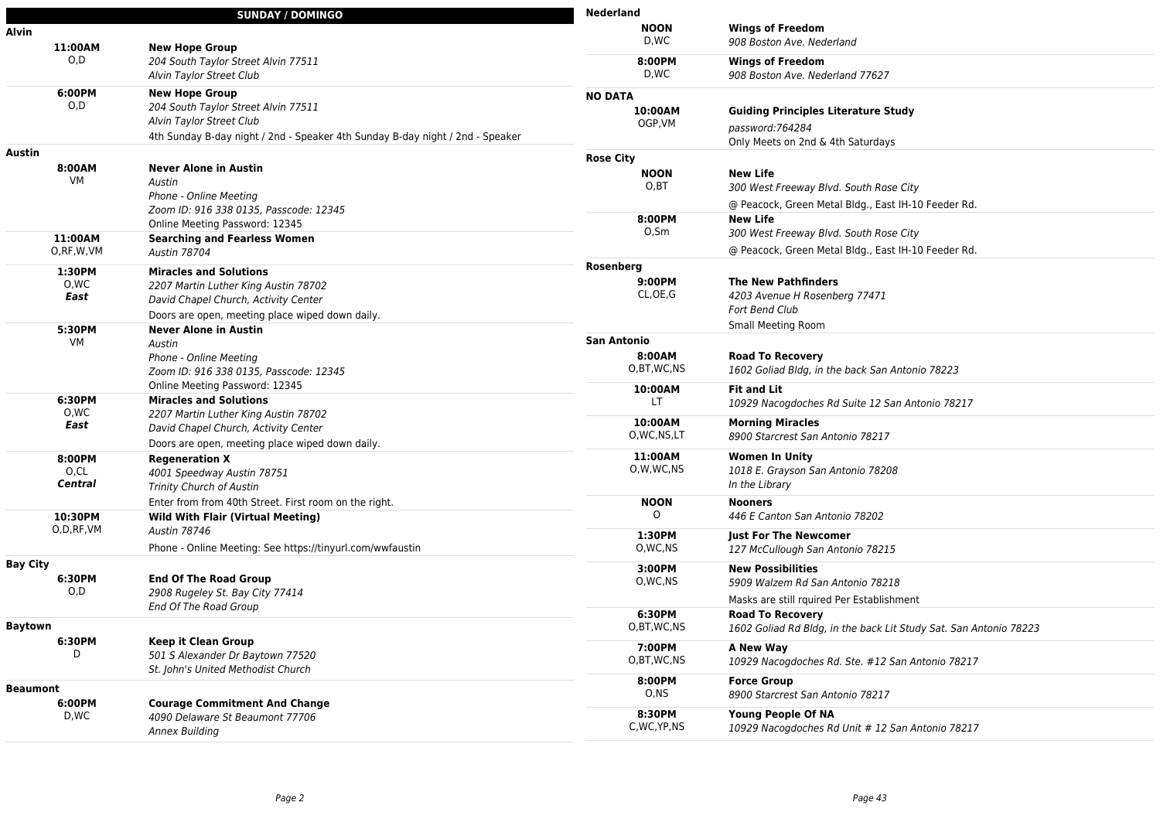|              | <b>SUNDAY / DOMINGO</b>                                                       | <b>Nederland</b>     |                                                                   |
|--------------|-------------------------------------------------------------------------------|----------------------|-------------------------------------------------------------------|
| Alvin        |                                                                               | <b>NOON</b>          | <b>Wings of Freedom</b>                                           |
| 11:00AM      | <b>New Hope Group</b>                                                         | D,WC                 | 908 Boston Ave. Nederland                                         |
| O, D         | 204 South Taylor Street Alvin 77511                                           | 8:00PM               | <b>Wings of Freedom</b>                                           |
|              | Alvin Taylor Street Club                                                      | D.WC                 | 908 Boston Ave. Nederland 77627                                   |
| 6:00PM       | <b>New Hope Group</b>                                                         | <b>NO DATA</b>       |                                                                   |
| O, D         | 204 South Taylor Street Alvin 77511                                           | 10:00AM              | <b>Guiding Principles Literature Study</b>                        |
|              | Alvin Taylor Street Club                                                      | OGP, VM              |                                                                   |
|              | 4th Sunday B-day night / 2nd - Speaker 4th Sunday B-day night / 2nd - Speaker |                      | password:764284                                                   |
| Austin       |                                                                               |                      | Only Meets on 2nd & 4th Saturdays                                 |
| 8:00AM       | <b>Never Alone in Austin</b>                                                  | <b>Rose City</b>     |                                                                   |
| VM           | Austin                                                                        | <b>NOON</b><br>O, BT | <b>New Life</b>                                                   |
|              | Phone - Online Meeting                                                        |                      | 300 West Freeway Blvd. South Rose City                            |
|              | Zoom ID: 916 338 0135, Passcode: 12345                                        |                      | @ Peacock, Green Metal Bldg., East IH-10 Feeder Rd.               |
|              | Online Meeting Password: 12345                                                | 8:00PM               | <b>New Life</b>                                                   |
| 11:00AM      | <b>Searching and Fearless Women</b>                                           | $O,$ Sm              | 300 West Freeway Blvd. South Rose City                            |
| O, RF, W, VM | <b>Austin 78704</b>                                                           |                      | @ Peacock, Green Metal Bldg., East IH-10 Feeder Rd.               |
| 1:30PM       | <b>Miracles and Solutions</b>                                                 | Rosenberg            |                                                                   |
| 0,WC         | 2207 Martin Luther King Austin 78702                                          | 9:00PM               | <b>The New Pathfinders</b>                                        |
| East         | David Chapel Church, Activity Center                                          | CL, OE, G            | 4203 Avenue H Rosenberg 77471                                     |
|              | Doors are open, meeting place wiped down daily.                               |                      | Fort Bend Club                                                    |
| 5:30PM       | <b>Never Alone in Austin</b>                                                  |                      | Small Meeting Room                                                |
| VM           | Austin                                                                        | <b>San Antonio</b>   |                                                                   |
|              | Phone - Online Meeting                                                        | 8:00AM               | <b>Road To Recovery</b>                                           |
|              | Zoom ID: 916 338 0135, Passcode: 12345                                        | O,BT,WC,NS           | 1602 Goliad Bldg, in the back San Antonio 78223                   |
|              | Online Meeting Password: 12345                                                | 10:00AM              | <b>Fit and Lit</b>                                                |
| 6:30PM       | <b>Miracles and Solutions</b>                                                 | LT.                  | 10929 Nacogdoches Rd Suite 12 San Antonio 78217                   |
| 0,WC         | 2207 Martin Luther King Austin 78702                                          | 10:00AM              |                                                                   |
| East         | David Chapel Church, Activity Center                                          | O, WC, NS, LT        | <b>Morning Miracles</b><br>8900 Starcrest San Antonio 78217       |
|              | Doors are open, meeting place wiped down daily.                               |                      |                                                                   |
| 8:00PM       | <b>Regeneration X</b>                                                         | 11:00AM              | <b>Women In Unity</b>                                             |
| O,CL         | 4001 Speedway Austin 78751                                                    | O,W,WC,NS            | 1018 E. Grayson San Antonio 78208                                 |
| Central      | Trinity Church of Austin                                                      |                      | In the Library                                                    |
|              | Enter from from 40th Street. First room on the right.                         | <b>NOON</b>          | <b>Nooners</b>                                                    |
| 10:30PM      | <b>Wild With Flair (Virtual Meeting)</b>                                      | $\Omega$             | 446 E Canton San Antonio 78202                                    |
| O,D,RF,VM    | <b>Austin 78746</b>                                                           | 1:30PM               | <b>Just For The Newcomer</b>                                      |
|              | Phone - Online Meeting: See https://tinyurl.com/wwfaustin                     | O, WC, NS            | 127 McCullough San Antonio 78215                                  |
| Bay City     |                                                                               | 3:00PM               | <b>New Possibilities</b>                                          |
| 6:30PM       | <b>End Of The Road Group</b>                                                  | O, WC, NS            | 5909 Walzem Rd San Antonio 78218                                  |
| 0,D          | 2908 Rugeley St. Bay City 77414                                               |                      | Masks are still rquired Per Establishment                         |
|              | End Of The Road Group                                                         | 6:30PM               | <b>Road To Recovery</b>                                           |
| Baytown      |                                                                               | O,BT,WC,NS           | 1602 Goliad Rd Bldg, in the back Lit Study Sat. San Antonio 78223 |
| 6:30PM       | <b>Keep it Clean Group</b>                                                    | 7:00PM               | A New Way                                                         |
| D            | 501 S Alexander Dr Baytown 77520                                              | O,BT,WC,NS           | 10929 Nacogdoches Rd. Ste. #12 San Antonio 78217                  |
|              | St. John's United Methodist Church                                            |                      |                                                                   |
| Beaumont     |                                                                               | 8:00PM               | <b>Force Group</b>                                                |
| 6:00PM       | <b>Courage Commitment And Change</b>                                          | O, NS                | 8900 Starcrest San Antonio 78217                                  |
| D,WC         | 4090 Delaware St Beaumont 77706                                               | 8:30PM               | <b>Young People Of NA</b>                                         |
|              | Annex Building                                                                | C, WC, YP, NS        | 10929 Nacogdoches Rd Unit # 12 San Antonio 78217                  |
|              |                                                                               |                      |                                                                   |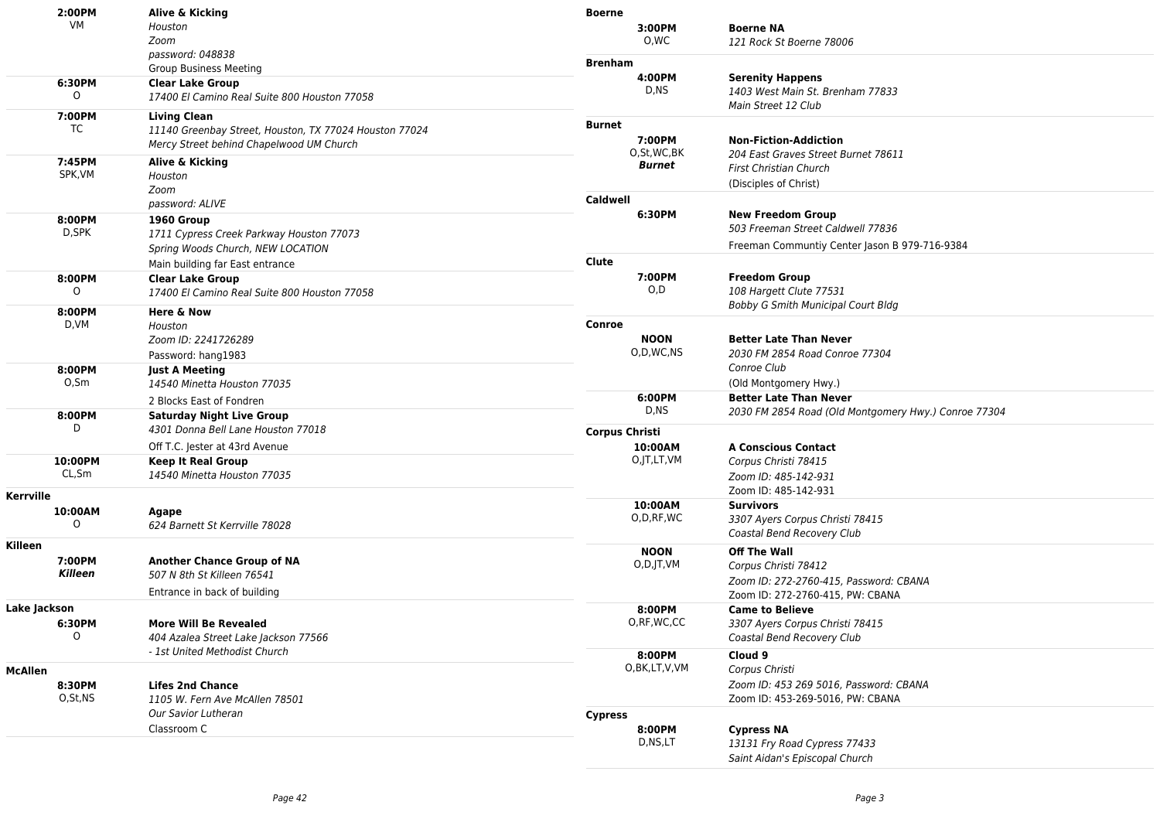| 2:00PM<br>VM       | Alive & Kicking                                                                                    | <b>Boerne</b>               |                                                               |
|--------------------|----------------------------------------------------------------------------------------------------|-----------------------------|---------------------------------------------------------------|
|                    | Houston<br>Zoom                                                                                    | 3:00PM<br>O,WC              | <b>Boerne NA</b><br>121 Rock St Boerne 78006                  |
|                    | password: 048838                                                                                   |                             |                                                               |
|                    | <b>Group Business Meeting</b>                                                                      | <b>Brenham</b><br>4:00PM    | <b>Serenity Happens</b>                                       |
| 6:30PM<br>$\Omega$ | <b>Clear Lake Group</b><br>17400 El Camino Real Suite 800 Houston 77058                            | D,NS                        | 1403 West Main St. Brenham 77833<br>Main Street 12 Club       |
| 7:00PM             | <b>Living Clean</b>                                                                                | <b>Burnet</b>               |                                                               |
| TC                 | 11140 Greenbay Street, Houston, TX 77024 Houston 77024<br>Mercy Street behind Chapelwood UM Church | 7:00PM                      | <b>Non-Fiction-Addiction</b>                                  |
| 7:45PM             | Alive & Kicking                                                                                    | O,St,WC,BK                  | 204 East Graves Street Burnet 78611                           |
| SPK, VM            | Houston                                                                                            | Burnet                      | <b>First Christian Church</b>                                 |
|                    | Zoom                                                                                               |                             | (Disciples of Christ)                                         |
|                    | password: ALIVE                                                                                    | Caldwell                    |                                                               |
| 8:00PM             | 1960 Group                                                                                         | 6:30PM                      | <b>New Freedom Group</b><br>503 Freeman Street Caldwell 77836 |
| D,SPK              | 1711 Cypress Creek Parkway Houston 77073                                                           |                             | Freeman Communtiy Center Jason B 979-716-9384                 |
|                    | Spring Woods Church, NEW LOCATION<br>Main building far East entrance                               | Clute                       |                                                               |
| 8:00PM             | <b>Clear Lake Group</b>                                                                            | 7:00PM                      | <b>Freedom Group</b>                                          |
| $\Omega$           | 17400 El Camino Real Suite 800 Houston 77058                                                       | O, D                        | 108 Hargett Clute 77531                                       |
| 8:00PM             | Here & Now                                                                                         |                             | Bobby G Smith Municipal Court Bldg                            |
| D,VM               | Houston                                                                                            | Conroe                      |                                                               |
|                    | Zoom ID: 2241726289                                                                                | <b>NOON</b>                 | <b>Better Late Than Never</b>                                 |
|                    | Password: hang1983                                                                                 | O,D,WC,NS                   | 2030 FM 2854 Road Conroe 77304                                |
| 8:00PM<br>0,5m     | <b>Just A Meeting</b>                                                                              |                             | Conroe Club                                                   |
|                    | 14540 Minetta Houston 77035                                                                        | 6:00PM                      | (Old Montgomery Hwy.)<br><b>Better Late Than Never</b>        |
| 8:00PM             | 2 Blocks East of Fondren<br><b>Saturday Night Live Group</b>                                       | D,NS                        | 2030 FM 2854 Road (Old Montgomery Hwy.) Conroe 77304          |
| D                  | 4301 Donna Bell Lane Houston 77018                                                                 | <b>Corpus Christi</b>       |                                                               |
|                    | Off T.C. Jester at 43rd Avenue                                                                     | 10:00AM                     | <b>A Conscious Contact</b>                                    |
| 10:00PM            | <b>Keep It Real Group</b>                                                                          | O, JT, LT, VM               | Corpus Christi 78415                                          |
| CL, Sm             | 14540 Minetta Houston 77035                                                                        |                             | Zoom ID: 485-142-931                                          |
| Kerrville          |                                                                                                    |                             | Zoom ID: 485-142-931                                          |
| 10:00AM            | Agape                                                                                              | 10:00AM                     | <b>Survivors</b>                                              |
| $\Omega$           | 624 Barnett St Kerrville 78028                                                                     | O, D, RF, WC                | 3307 Ayers Corpus Christi 78415                               |
| Killeen            |                                                                                                    | <b>NOON</b>                 | Coastal Bend Recovery Club<br><b>Off The Wall</b>             |
| 7:00PM             | <b>Another Chance Group of NA</b>                                                                  | $O, D,$ $\vert T, \vert$ VM | Corpus Christi 78412                                          |
| Killeen            | 507 N 8th St Killeen 76541                                                                         |                             | Zoom ID: 272-2760-415, Password: CBANA                        |
|                    | Entrance in back of building                                                                       |                             | Zoom ID: 272-2760-415, PW: CBANA                              |
| Lake Jackson       |                                                                                                    | 8:00PM                      | <b>Came to Believe</b>                                        |
| 6:30PM<br>O        | <b>More Will Be Revealed</b>                                                                       | O, RF, WC, CC               | 3307 Ayers Corpus Christi 78415                               |
|                    | 404 Azalea Street Lake Jackson 77566<br>- 1st United Methodist Church                              |                             | Coastal Bend Recovery Club                                    |
| <b>McAllen</b>     |                                                                                                    | 8:00PM<br>O,BK,LT,V,VM      | Cloud 9<br>Corpus Christi                                     |
| 8:30PM             | <b>Lifes 2nd Chance</b>                                                                            |                             | Zoom ID: 453 269 5016. Password: CBANA                        |
| O,St,NS            | 1105 W. Fern Ave McAllen 78501                                                                     |                             | Zoom ID: 453-269-5016, PW: CBANA                              |
|                    | Our Savior Lutheran                                                                                | <b>Cypress</b>              |                                                               |
|                    | Classroom C                                                                                        | 8:00PM                      | <b>Cypress NA</b>                                             |
|                    |                                                                                                    | D,NS,LT                     | 13131 Fry Road Cypress 77433                                  |
|                    |                                                                                                    |                             | Saint Aidan's Episcopal Church                                |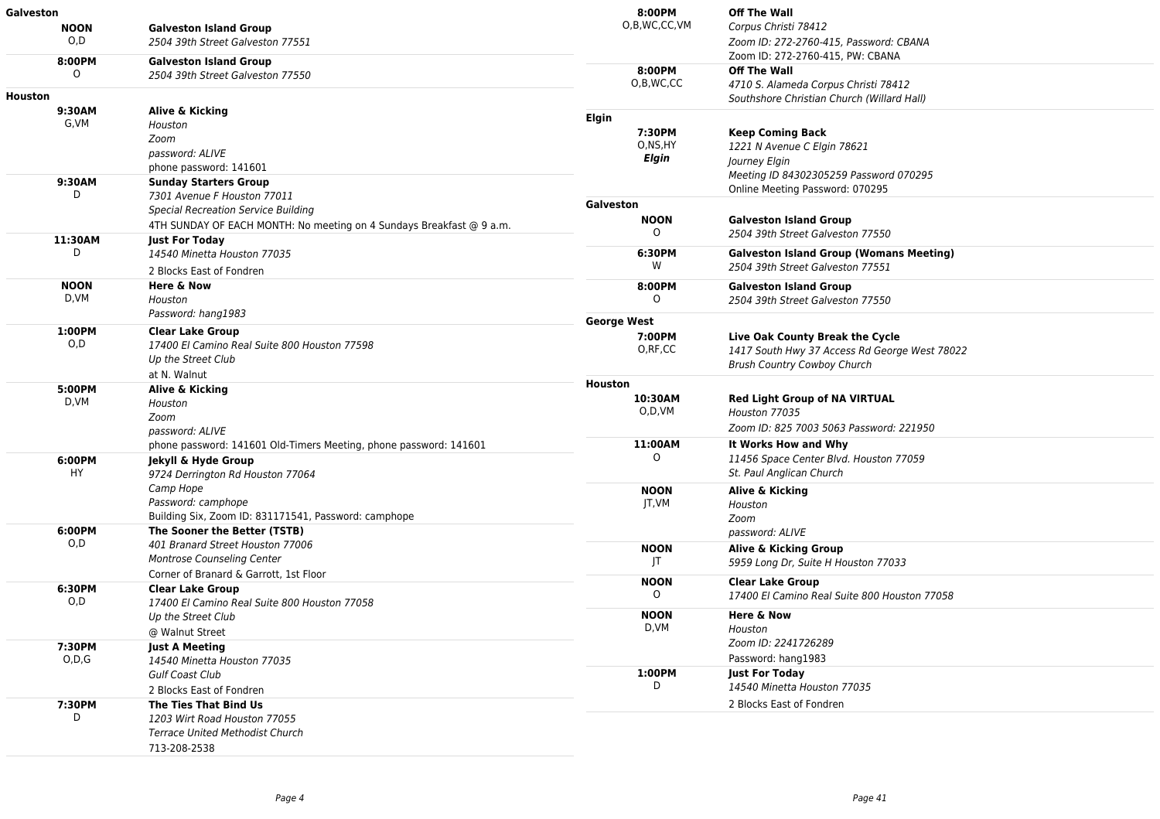| <b>Galveston</b> |                                                                      | 8:00PM                     | <b>Off The Wall</b>                                    |
|------------------|----------------------------------------------------------------------|----------------------------|--------------------------------------------------------|
| <b>NOON</b>      | <b>Galveston Island Group</b>                                        | O,B,WC,CC,VM               | Corpus Christi 78412                                   |
| O.D              | 2504 39th Street Galveston 77551                                     |                            | Zoom ID: 272-2760-415, Password: CBANA                 |
| 8:00PM           | <b>Galveston Island Group</b>                                        |                            | Zoom ID: 272-2760-415, PW: CBANA                       |
| $\Omega$         | 2504 39th Street Galveston 77550                                     | 8:00PM                     | <b>Off The Wall</b>                                    |
|                  |                                                                      | O,B,WC,CC                  | 4710 S. Alameda Corpus Christi 78412                   |
| Houston          |                                                                      |                            | Southshore Christian Church (Willard Hall)             |
| 9:30AM           | Alive & Kicking                                                      | Elgin                      |                                                        |
| G,VM             | Houston                                                              |                            |                                                        |
|                  | Zoom                                                                 | 7:30PM<br>O,NS,HY<br>Elgin | <b>Keep Coming Back</b><br>1221 N Avenue C Elgin 78621 |
|                  | password: ALIVE                                                      |                            | Journey Elgin                                          |
|                  | phone password: 141601                                               |                            | Meeting ID 84302305259 Password 070295                 |
| 9:30AM           | <b>Sunday Starters Group</b>                                         |                            | Online Meeting Password: 070295                        |
| D                | 7301 Avenue F Houston 77011                                          |                            |                                                        |
|                  | <b>Special Recreation Service Building</b>                           | Galveston                  |                                                        |
|                  | 4TH SUNDAY OF EACH MONTH: No meeting on 4 Sundays Breakfast @ 9 a.m. | <b>NOON</b><br>$\circ$     | <b>Galveston Island Group</b>                          |
| 11:30AM          | <b>Just For Today</b>                                                |                            | 2504 39th Street Galveston 77550                       |
| D                | 14540 Minetta Houston 77035                                          | 6:30PM                     | <b>Galveston Island Group (Womans Meeting)</b>         |
|                  | 2 Blocks East of Fondren                                             | W                          | 2504 39th Street Galveston 77551                       |
| <b>NOON</b>      | <b>Here &amp; Now</b>                                                | 8:00PM                     | <b>Galveston Island Group</b>                          |
| D,VM             | Houston                                                              |                            | 2504 39th Street Galveston 77550                       |
|                  | Password: hang1983                                                   |                            |                                                        |
| 1:00PM           | <b>Clear Lake Group</b>                                              | <b>George West</b>         |                                                        |
| O, D             | 17400 El Camino Real Suite 800 Houston 77598                         | 7:00PM                     | Live Oak County Break the Cycle                        |
|                  | Up the Street Club                                                   | O, RF, CC                  | 1417 South Hwy 37 Access Rd George West 78022          |
|                  | at N. Walnut                                                         |                            | <b>Brush Country Cowboy Church</b>                     |
| 5:00PM           |                                                                      | <b>Houston</b>             |                                                        |
| D,VM             | Alive & Kicking                                                      | 10:30AM                    | <b>Red Light Group of NA VIRTUAL</b>                   |
|                  | Houston<br>Zoom                                                      | O,D,VM                     | Houston 77035                                          |
|                  | password: ALIVE                                                      |                            | Zoom ID: 825 7003 5063 Password: 221950                |
|                  | phone password: 141601 Old-Timers Meeting, phone password: 141601    | 11:00AM                    | It Works How and Why                                   |
| 6:00PM           | Jekyll & Hyde Group                                                  | $\Omega$                   | 11456 Space Center Blvd. Houston 77059                 |
| HY.              | 9724 Derrington Rd Houston 77064                                     | <b>NOON</b><br>JT,VM       | St. Paul Anglican Church                               |
|                  | Camp Hope                                                            |                            |                                                        |
|                  | Password: camphope                                                   |                            | Alive & Kicking                                        |
|                  | Building Six, Zoom ID: 831171541, Password: camphope                 |                            | Houston<br>Zoom                                        |
| 6:00PM           | The Sooner the Better (TSTB)                                         |                            | password: ALIVE                                        |
| O,D              | 401 Branard Street Houston 77006                                     |                            |                                                        |
|                  | Montrose Counseling Center                                           | <b>NOON</b><br>JT          | Alive & Kicking Group                                  |
|                  | Corner of Branard & Garrott, 1st Floor                               |                            | 5959 Long Dr, Suite H Houston 77033                    |
| 6:30PM           | <b>Clear Lake Group</b>                                              | <b>NOON</b>                | <b>Clear Lake Group</b>                                |
| O, D             | 17400 El Camino Real Suite 800 Houston 77058                         | $\circ$                    | 17400 El Camino Real Suite 800 Houston 77058           |
|                  | Up the Street Club                                                   | <b>NOON</b>                | <b>Here &amp; Now</b>                                  |
|                  | @ Walnut Street                                                      | D.VM                       | Houston                                                |
| 7:30PM           | <b>Just A Meeting</b>                                                |                            | Zoom ID: 2241726289                                    |
| O.D.G            | 14540 Minetta Houston 77035                                          |                            | Password: hang1983                                     |
|                  | Gulf Coast Club                                                      | 1:00PM                     | <b>Just For Today</b>                                  |
|                  | 2 Blocks East of Fondren                                             | D                          | 14540 Minetta Houston 77035                            |
| 7:30PM           | The Ties That Bind Us                                                |                            | 2 Blocks East of Fondren                               |
| D                | 1203 Wirt Road Houston 77055                                         |                            |                                                        |
|                  | <b>Terrace United Methodist Church</b>                               |                            |                                                        |
|                  |                                                                      |                            |                                                        |
|                  | 713-208-2538                                                         |                            |                                                        |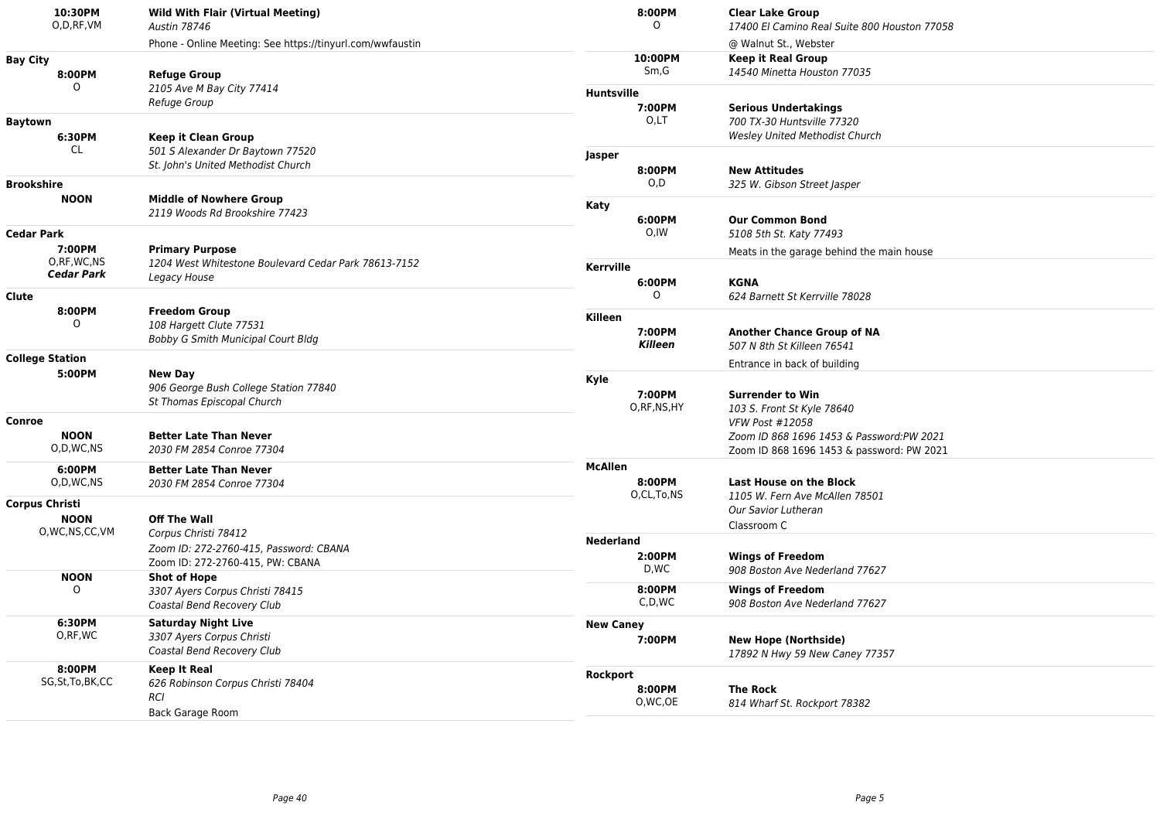| 10:30PM<br>O,D,RF,VM                                                      | <b>Wild With Flair (Virtual Meeting)</b><br><b>Austin 78746</b> |                   | 8:00PM<br>0   | <b>Clear Lake Group</b><br>17400 El Camino Real Suite 800 Houston 77058 |
|---------------------------------------------------------------------------|-----------------------------------------------------------------|-------------------|---------------|-------------------------------------------------------------------------|
|                                                                           | Phone - Online Meeting: See https://tinyurl.com/wwfaustin       |                   |               | @ Walnut St., Webster                                                   |
| <b>Bay City</b>                                                           |                                                                 |                   | 10:00PM       | <b>Keep it Real Group</b>                                               |
| 8:00PM                                                                    | <b>Refuge Group</b>                                             |                   | Sm, G         | 14540 Minetta Houston 77035                                             |
| $\Omega$                                                                  | 2105 Ave M Bay City 77414                                       | <b>Huntsville</b> |               |                                                                         |
|                                                                           | Refuge Group                                                    |                   | 7:00PM        | <b>Serious Undertakings</b>                                             |
| <b>Baytown</b>                                                            |                                                                 |                   | O,LT          | 700 TX-30 Huntsville 77320                                              |
| 6:30PM                                                                    | <b>Keep it Clean Group</b>                                      |                   |               | <b>Wesley United Methodist Church</b>                                   |
| CL.                                                                       | 501 S Alexander Dr Baytown 77520                                | Jasper            |               |                                                                         |
|                                                                           | St. John's United Methodist Church                              |                   | 8:00PM        | <b>New Attitudes</b>                                                    |
| <b>Brookshire</b>                                                         |                                                                 |                   | O, D          | 325 W. Gibson Street Jasper                                             |
| <b>NOON</b>                                                               | <b>Middle of Nowhere Group</b>                                  | Katy              |               |                                                                         |
|                                                                           | 2119 Woods Rd Brookshire 77423                                  |                   | 6:00PM        | <b>Our Common Bond</b>                                                  |
| <b>Cedar Park</b>                                                         |                                                                 |                   | O,IW          | 5108 5th St. Katy 77493                                                 |
| 7:00PM                                                                    | <b>Primary Purpose</b>                                          |                   |               | Meats in the garage behind the main house                               |
| O,RF,WC,NS<br><b>Cedar Park</b>                                           | 1204 West Whitestone Boulevard Cedar Park 78613-7152            | <b>Kerrville</b>  |               |                                                                         |
|                                                                           | Legacy House                                                    |                   | 6:00PM        | <b>KGNA</b>                                                             |
| Clute                                                                     |                                                                 |                   | $\circ$       | 624 Barnett St Kerrville 78028                                          |
| 8:00PM                                                                    | <b>Freedom Group</b>                                            | Killeen           |               |                                                                         |
| $\Omega$<br>108 Hargett Clute 77531<br>Bobby G Smith Municipal Court Bldg |                                                                 |                   | 7:00PM        | <b>Another Chance Group of NA</b>                                       |
|                                                                           |                                                                 |                   | Killeen       | 507 N 8th St Killeen 76541                                              |
| <b>College Station</b>                                                    |                                                                 |                   |               | Entrance in back of building                                            |
| 5:00PM                                                                    | <b>New Day</b>                                                  | Kyle              |               |                                                                         |
|                                                                           | 906 George Bush College Station 77840                           |                   | 7:00PM        | <b>Surrender to Win</b>                                                 |
|                                                                           | St Thomas Episcopal Church                                      |                   | O, RF, NS, HY | 103 S. Front St Kyle 78640                                              |
| Conroe                                                                    |                                                                 |                   |               | <b>VFW Post #12058</b>                                                  |
| <b>NOON</b>                                                               | <b>Better Late Than Never</b>                                   |                   |               | Zoom ID 868 1696 1453 & Password:PW 2021                                |
| O,D,WC,NS                                                                 | 2030 FM 2854 Conroe 77304                                       |                   |               | Zoom ID 868 1696 1453 & password: PW 2021                               |
| 6:00PM                                                                    | <b>Better Late Than Never</b>                                   | <b>McAllen</b>    |               |                                                                         |
| O,D,WC,NS                                                                 | 2030 FM 2854 Conroe 77304                                       |                   | 8:00PM        | <b>Last House on the Block</b>                                          |
| <b>Corpus Christi</b>                                                     |                                                                 |                   | O,CL,To,NS    | 1105 W. Fern Ave McAllen 78501                                          |
| <b>NOON</b>                                                               | <b>Off The Wall</b>                                             |                   |               | Our Savior Lutheran                                                     |
| O, WC, NS, CC, VM                                                         | Corpus Christi 78412                                            |                   |               | Classroom C                                                             |
|                                                                           | Zoom ID: 272-2760-415, Password: CBANA                          | <b>Nederland</b>  |               |                                                                         |
|                                                                           | Zoom ID: 272-2760-415, PW: CBANA                                |                   | 2:00PM        | <b>Wings of Freedom</b>                                                 |
| <b>NOON</b>                                                               | <b>Shot of Hope</b>                                             |                   | D,WC          | 908 Boston Ave Nederland 77627                                          |
| $\Omega$                                                                  | 3307 Ayers Corpus Christi 78415                                 |                   | 8:00PM        | <b>Wings of Freedom</b>                                                 |
|                                                                           | Coastal Bend Recovery Club                                      |                   | C,D,WC        | 908 Boston Ave Nederland 77627                                          |
| 6:30PM                                                                    | <b>Saturday Night Live</b>                                      | <b>New Caney</b>  |               |                                                                         |
| O,RF,WC                                                                   | 3307 Ayers Corpus Christi<br>Coastal Bend Recovery Club         |                   | 7:00PM        | <b>New Hope (Northside)</b>                                             |
|                                                                           |                                                                 |                   |               | 17892 N Hwy 59 New Caney 77357                                          |
| 8:00PM                                                                    | <b>Keep It Real</b>                                             | Rockport          |               |                                                                         |
| SG, St, To, BK, CC                                                        | 626 Robinson Corpus Christi 78404                               |                   | 8:00PM        | <b>The Rock</b>                                                         |
|                                                                           | RCI                                                             |                   | O, WC, OE     | 814 Wharf St. Rockport 78382                                            |
|                                                                           | Back Garage Room                                                |                   |               |                                                                         |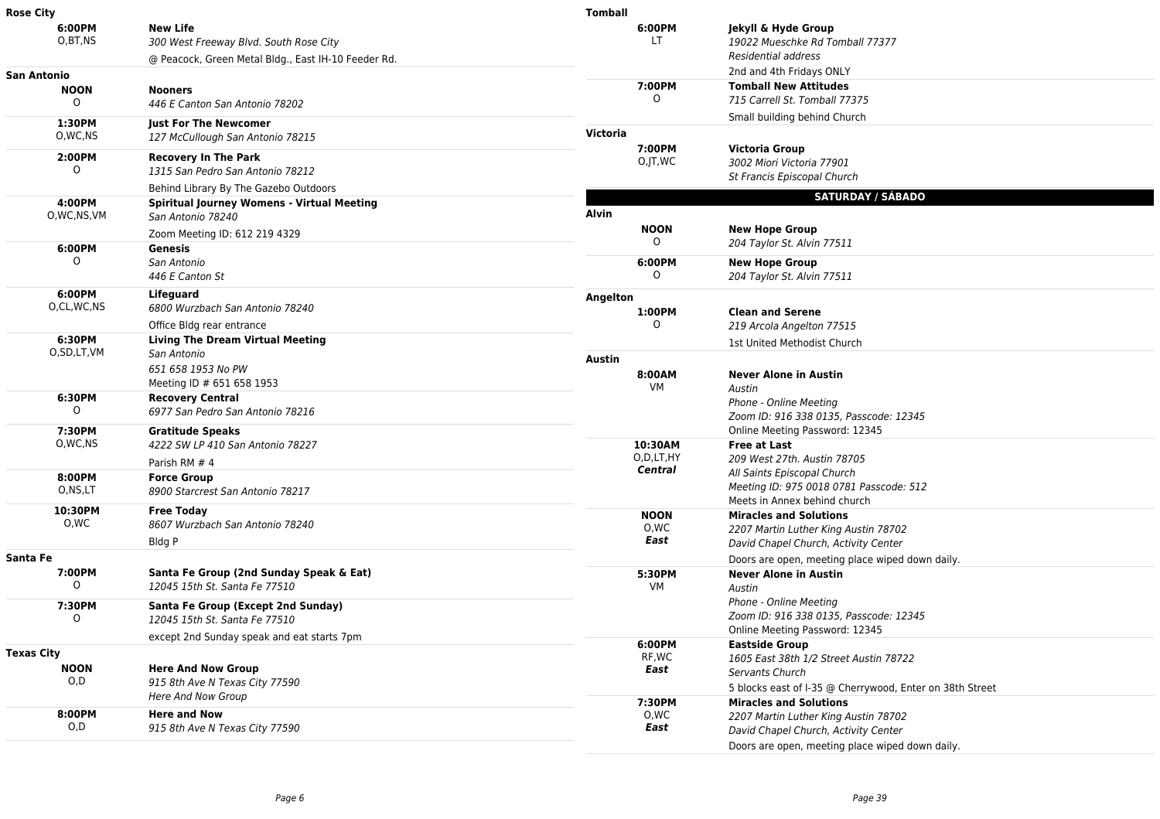| <b>Rose City</b>   |                                                                          | <b>Tomball</b>  |                                                          |
|--------------------|--------------------------------------------------------------------------|-----------------|----------------------------------------------------------|
| 6:00PM             | <b>New Life</b>                                                          | 6:00PM          | Jekyll & Hyde Group                                      |
| O,BT,NS            | 300 West Freeway Blvd. South Rose City                                   | LT              | 19022 Mueschke Rd Tomball 77377                          |
|                    | @ Peacock, Green Metal Bldg., East IH-10 Feeder Rd.                      |                 | Residential address                                      |
| <b>San Antonio</b> |                                                                          |                 | 2nd and 4th Fridays ONLY                                 |
| <b>NOON</b>        | <b>Nooners</b>                                                           | 7:00PM          | <b>Tomball New Attitudes</b>                             |
| $\Omega$           | 446 E Canton San Antonio 78202                                           | 0               | 715 Carrell St. Tomball 77375                            |
| 1:30PM             | <b>Just For The Newcomer</b>                                             |                 | Small building behind Church                             |
| O, WC, NS          | 127 McCullough San Antonio 78215                                         | <b>Victoria</b> |                                                          |
| 2:00PM             | <b>Recovery In The Park</b>                                              | 7:00PM          | <b>Victoria Group</b>                                    |
| $\Omega$           | 1315 San Pedro San Antonio 78212                                         | O,JT,WC         | 3002 Miori Victoria 77901                                |
|                    | Behind Library By The Gazebo Outdoors                                    |                 | St Francis Episcopal Church                              |
| 4:00PM             | <b>Spiritual Journey Womens - Virtual Meeting</b>                        |                 | <b>SATURDAY / SÁBADO</b>                                 |
| O,WC,NS,VM         | San Antonio 78240                                                        | Alvin           |                                                          |
|                    | Zoom Meeting ID: 612 219 4329                                            | <b>NOON</b>     | <b>New Hope Group</b>                                    |
| 6:00PM             | Genesis                                                                  | $\circ$         | 204 Taylor St. Alvin 77511                               |
| 0                  | San Antonio                                                              | 6:00PM          | <b>New Hope Group</b>                                    |
|                    | 446 E Canton St                                                          | $\Omega$        | 204 Taylor St. Alvin 77511                               |
| 6:00PM             | Lifeguard                                                                | Angelton        |                                                          |
| O,CL,WC,NS         | 6800 Wurzbach San Antonio 78240                                          | 1:00PM          | <b>Clean and Serene</b>                                  |
|                    | Office Bldg rear entrance                                                | $\Omega$        | 219 Arcola Angelton 77515                                |
| 6:30PM             | <b>Living The Dream Virtual Meeting</b>                                  |                 | 1st United Methodist Church                              |
| O,SD,LT,VM         | San Antonio                                                              | <b>Austin</b>   |                                                          |
|                    | 651 658 1953 No PW                                                       | 8:00AM          | <b>Never Alone in Austin</b>                             |
|                    | Meeting ID # 651 658 1953                                                | VM              | Austin                                                   |
| 6:30PM             | <b>Recovery Central</b>                                                  |                 | Phone - Online Meeting                                   |
| $\Omega$           | 6977 San Pedro San Antonio 78216                                         |                 | Zoom ID: 916 338 0135, Passcode: 12345                   |
| 7:30PM             | <b>Gratitude Speaks</b>                                                  |                 | Online Meeting Password: 12345                           |
| O, WC, NS          | 4222 SW LP 410 San Antonio 78227                                         | 10:30AM         | <b>Free at Last</b>                                      |
|                    | Parish RM # 4                                                            | O,D,LT,HY       | 209 West 27th. Austin 78705                              |
| 8:00PM             | <b>Force Group</b>                                                       | <b>Central</b>  | All Saints Episcopal Church                              |
| O,NS,LT            | 8900 Starcrest San Antonio 78217                                         |                 | Meeting ID: 975 0018 0781 Passcode: 512                  |
| 10:30PM            |                                                                          |                 | Meets in Annex behind church                             |
| 0,WC               | <b>Free Today</b><br>8607 Wurzbach San Antonio 78240                     | <b>NOON</b>     | <b>Miracles and Solutions</b>                            |
|                    | Bldg P                                                                   | 0,WC<br>East    | 2207 Martin Luther King Austin 78702                     |
|                    |                                                                          |                 | David Chapel Church, Activity Center                     |
| Santa Fe<br>7:00PM |                                                                          |                 | Doors are open, meeting place wiped down daily.          |
| 0                  | Santa Fe Group (2nd Sunday Speak & Eat)<br>12045 15th St. Santa Fe 77510 | 5:30PM<br>VM    | <b>Never Alone in Austin</b><br>Austin                   |
|                    |                                                                          |                 | <b>Phone - Online Meeting</b>                            |
| 7:30PM             | Santa Fe Group (Except 2nd Sunday)                                       |                 | Zoom ID: 916 338 0135, Passcode: 12345                   |
| 0                  | 12045 15th St. Santa Fe 77510                                            |                 | Online Meeting Password: 12345                           |
|                    | except 2nd Sunday speak and eat starts 7pm                               | 6:00PM          | <b>Eastside Group</b>                                    |
| <b>Texas City</b>  |                                                                          | RF,WC           | 1605 East 38th 1/2 Street Austin 78722                   |
| <b>NOON</b>        | <b>Here And Now Group</b>                                                | East            | Servants Church                                          |
| O, D               | 915 8th Ave N Texas City 77590                                           |                 | 5 blocks east of I-35 @ Cherrywood, Enter on 38th Street |
|                    | Here And Now Group                                                       | 7:30PM          | <b>Miracles and Solutions</b>                            |
| 8:00PM             | <b>Here and Now</b>                                                      | 0,WC            | 2207 Martin Luther King Austin 78702                     |
| O,D                | 915 8th Ave N Texas City 77590                                           | East            | David Chapel Church, Activity Center                     |
|                    |                                                                          |                 | Doors are open, meeting place wiped down daily.          |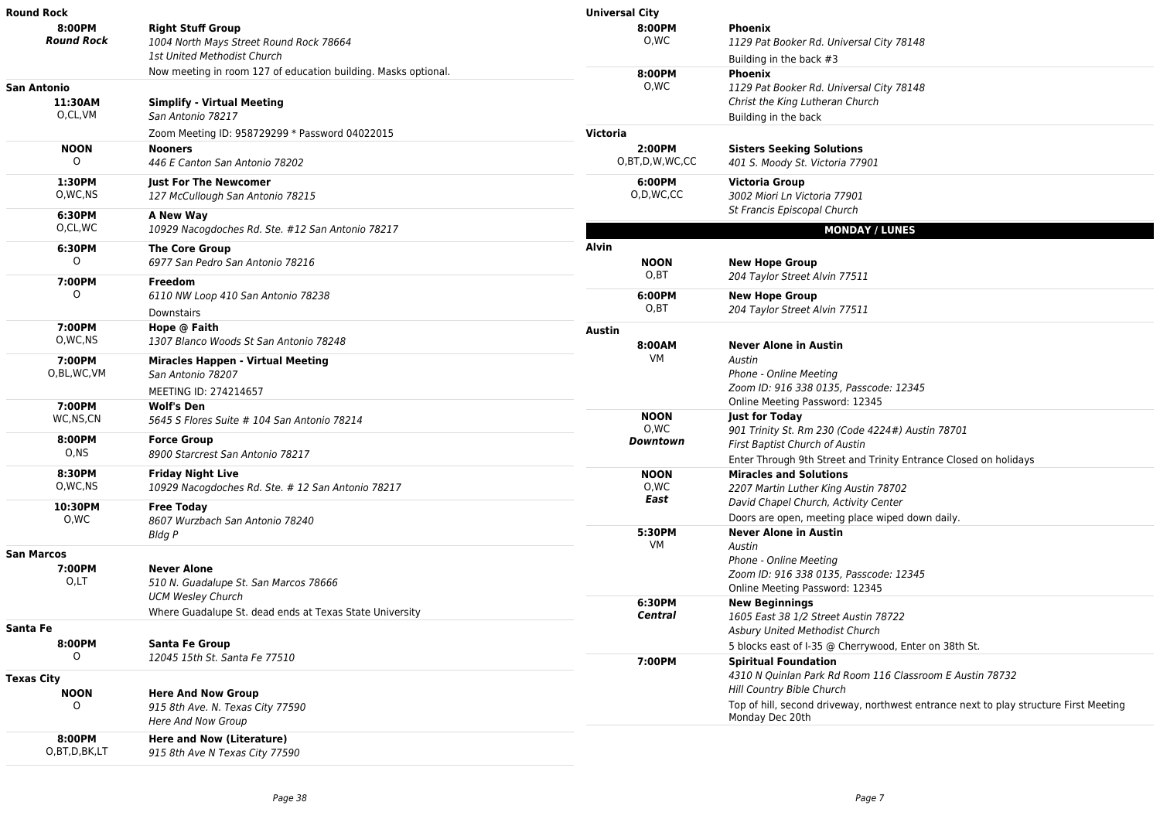| 8:00PM<br><b>Right Stuff Group</b><br>8:00PM<br><b>Phoenix</b><br><b>Round Rock</b><br>O,WC<br>1004 North Mays Street Round Rock 78664<br>1129 Pat Booker Rd. Universal City 78148<br>1st United Methodist Church<br>Building in the back #3<br>Now meeting in room 127 of education building. Masks optional.<br>8:00PM<br><b>Phoenix</b><br>0,WC<br>1129 Pat Booker Rd. Universal City 78148<br>Christ the King Lutheran Church<br>11:30AM<br><b>Simplify - Virtual Meeting</b><br>O,CL,VM<br>San Antonio 78217<br>Building in the back<br>Victoria<br>Zoom Meeting ID: 958729299 * Password 04022015<br><b>NOON</b><br>2:00PM<br><b>Nooners</b><br><b>Sisters Seeking Solutions</b><br>0<br>O,BT,D,W,WC,CC<br>446 E Canton San Antonio 78202<br>401 S. Moody St. Victoria 77901<br>1:30PM<br>6:00PM<br><b>Just For The Newcomer</b><br>Victoria Group<br>O, WC, NS<br>O,D,WC,CC<br>3002 Miori Ln Victoria 77901<br>127 McCullough San Antonio 78215<br>St Francis Episcopal Church<br>6:30PM<br>A New Way<br>O.CL, WC<br>10929 Nacogdoches Rd. Ste. #12 San Antonio 78217<br><b>MONDAY / LUNES</b><br>Alvin<br>6:30PM<br><b>The Core Group</b><br>0<br>6977 San Pedro San Antonio 78216<br><b>NOON</b><br><b>New Hope Group</b><br>O,BT<br>204 Taylor Street Alvin 77511<br>7:00PM<br>Freedom<br>O<br>6:00PM<br>6110 NW Loop 410 San Antonio 78238<br><b>New Hope Group</b><br>O, BT<br>204 Taylor Street Alvin 77511<br>Downstairs<br>7:00PM<br>Hope @ Faith<br><b>Austin</b><br>O, WC, NS<br>1307 Blanco Woods St San Antonio 78248<br>8:00AM<br><b>Never Alone in Austin</b><br>VM<br>Austin<br>7:00PM<br><b>Miracles Happen - Virtual Meeting</b><br>O,BL,WC,VM<br>Phone - Online Meeting<br>San Antonio 78207<br>Zoom ID: 916 338 0135, Passcode: 12345<br>MEETING ID: 274214657<br>Online Meeting Password: 12345<br>7:00PM<br><b>Wolf's Den</b><br><b>NOON</b><br><b>Just for Today</b><br>WC,NS,CN<br>5645 S Flores Suite # 104 San Antonio 78214<br>0,WC<br>901 Trinity St. Rm 230 (Code 4224#) Austin 78701<br>8:00PM<br><b>Force Group</b><br>Downtown<br>First Baptist Church of Austin<br>O, NS<br>8900 Starcrest San Antonio 78217<br>Enter Through 9th Street and Trinity Entrance Closed on holidays<br>8:30PM<br><b>Friday Night Live</b><br><b>NOON</b><br><b>Miracles and Solutions</b><br>O, WC, NS<br>10929 Nacogdoches Rd. Ste. # 12 San Antonio 78217<br>0,WC<br>2207 Martin Luther King Austin 78702<br>East<br>David Chapel Church, Activity Center<br>10:30PM<br><b>Free Today</b><br>Doors are open, meeting place wiped down daily.<br>O,WC<br>8607 Wurzbach San Antonio 78240<br>5:30PM<br><b>Never Alone in Austin</b><br>Bldg P<br>VM<br>Austin<br>Phone - Online Meeting<br>7:00PM<br><b>Never Alone</b><br>Zoom ID: 916 338 0135, Passcode: 12345<br>$0, L$ T<br>510 N. Guadalupe St. San Marcos 78666<br>Online Meeting Password: 12345<br><b>UCM Wesley Church</b><br>6:30PM<br><b>New Beginnings</b><br>Where Guadalupe St. dead ends at Texas State University<br>Central<br>1605 East 38 1/2 Street Austin 78722<br>Asbury United Methodist Church<br>8:00PM<br><b>Santa Fe Group</b><br>5 blocks east of I-35 @ Cherrywood, Enter on 38th St.<br>0<br>12045 15th St. Santa Fe 77510<br>7:00PM<br><b>Spiritual Foundation</b><br>4310 N Quinlan Park Rd Room 116 Classroom E Austin 78732<br>Hill Country Bible Church<br><b>NOON</b><br><b>Here And Now Group</b><br>Top of hill, second driveway, northwest entrance next to play structure First Meeting<br>$\circ$<br>915 8th Ave. N. Texas City 77590 | Round Rock | <b>Universal City</b> |  |
|-----------------------------------------------------------------------------------------------------------------------------------------------------------------------------------------------------------------------------------------------------------------------------------------------------------------------------------------------------------------------------------------------------------------------------------------------------------------------------------------------------------------------------------------------------------------------------------------------------------------------------------------------------------------------------------------------------------------------------------------------------------------------------------------------------------------------------------------------------------------------------------------------------------------------------------------------------------------------------------------------------------------------------------------------------------------------------------------------------------------------------------------------------------------------------------------------------------------------------------------------------------------------------------------------------------------------------------------------------------------------------------------------------------------------------------------------------------------------------------------------------------------------------------------------------------------------------------------------------------------------------------------------------------------------------------------------------------------------------------------------------------------------------------------------------------------------------------------------------------------------------------------------------------------------------------------------------------------------------------------------------------------------------------------------------------------------------------------------------------------------------------------------------------------------------------------------------------------------------------------------------------------------------------------------------------------------------------------------------------------------------------------------------------------------------------------------------------------------------------------------------------------------------------------------------------------------------------------------------------------------------------------------------------------------------------------------------------------------------------------------------------------------------------------------------------------------------------------------------------------------------------------------------------------------------------------------------------------------------------------------------------------------------------------------------------------------------------------------------------------------------------------------------------------------------------------------------------------------------------------------------------------------------------------------------------------------------------------------------------------------------------------------------------------------------------------------------------------------------------------------------------------------------------------------------|------------|-----------------------|--|
| <b>San Antonio</b><br><b>San Marcos</b><br>Santa Fe<br><b>Texas City</b>                                                                                                                                                                                                                                                                                                                                                                                                                                                                                                                                                                                                                                                                                                                                                                                                                                                                                                                                                                                                                                                                                                                                                                                                                                                                                                                                                                                                                                                                                                                                                                                                                                                                                                                                                                                                                                                                                                                                                                                                                                                                                                                                                                                                                                                                                                                                                                                                                                                                                                                                                                                                                                                                                                                                                                                                                                                                                                                                                                                                                                                                                                                                                                                                                                                                                                                                                                                                                                                                            |            |                       |  |
|                                                                                                                                                                                                                                                                                                                                                                                                                                                                                                                                                                                                                                                                                                                                                                                                                                                                                                                                                                                                                                                                                                                                                                                                                                                                                                                                                                                                                                                                                                                                                                                                                                                                                                                                                                                                                                                                                                                                                                                                                                                                                                                                                                                                                                                                                                                                                                                                                                                                                                                                                                                                                                                                                                                                                                                                                                                                                                                                                                                                                                                                                                                                                                                                                                                                                                                                                                                                                                                                                                                                                     |            |                       |  |
|                                                                                                                                                                                                                                                                                                                                                                                                                                                                                                                                                                                                                                                                                                                                                                                                                                                                                                                                                                                                                                                                                                                                                                                                                                                                                                                                                                                                                                                                                                                                                                                                                                                                                                                                                                                                                                                                                                                                                                                                                                                                                                                                                                                                                                                                                                                                                                                                                                                                                                                                                                                                                                                                                                                                                                                                                                                                                                                                                                                                                                                                                                                                                                                                                                                                                                                                                                                                                                                                                                                                                     |            |                       |  |
|                                                                                                                                                                                                                                                                                                                                                                                                                                                                                                                                                                                                                                                                                                                                                                                                                                                                                                                                                                                                                                                                                                                                                                                                                                                                                                                                                                                                                                                                                                                                                                                                                                                                                                                                                                                                                                                                                                                                                                                                                                                                                                                                                                                                                                                                                                                                                                                                                                                                                                                                                                                                                                                                                                                                                                                                                                                                                                                                                                                                                                                                                                                                                                                                                                                                                                                                                                                                                                                                                                                                                     |            |                       |  |
|                                                                                                                                                                                                                                                                                                                                                                                                                                                                                                                                                                                                                                                                                                                                                                                                                                                                                                                                                                                                                                                                                                                                                                                                                                                                                                                                                                                                                                                                                                                                                                                                                                                                                                                                                                                                                                                                                                                                                                                                                                                                                                                                                                                                                                                                                                                                                                                                                                                                                                                                                                                                                                                                                                                                                                                                                                                                                                                                                                                                                                                                                                                                                                                                                                                                                                                                                                                                                                                                                                                                                     |            |                       |  |
|                                                                                                                                                                                                                                                                                                                                                                                                                                                                                                                                                                                                                                                                                                                                                                                                                                                                                                                                                                                                                                                                                                                                                                                                                                                                                                                                                                                                                                                                                                                                                                                                                                                                                                                                                                                                                                                                                                                                                                                                                                                                                                                                                                                                                                                                                                                                                                                                                                                                                                                                                                                                                                                                                                                                                                                                                                                                                                                                                                                                                                                                                                                                                                                                                                                                                                                                                                                                                                                                                                                                                     |            |                       |  |
|                                                                                                                                                                                                                                                                                                                                                                                                                                                                                                                                                                                                                                                                                                                                                                                                                                                                                                                                                                                                                                                                                                                                                                                                                                                                                                                                                                                                                                                                                                                                                                                                                                                                                                                                                                                                                                                                                                                                                                                                                                                                                                                                                                                                                                                                                                                                                                                                                                                                                                                                                                                                                                                                                                                                                                                                                                                                                                                                                                                                                                                                                                                                                                                                                                                                                                                                                                                                                                                                                                                                                     |            |                       |  |
|                                                                                                                                                                                                                                                                                                                                                                                                                                                                                                                                                                                                                                                                                                                                                                                                                                                                                                                                                                                                                                                                                                                                                                                                                                                                                                                                                                                                                                                                                                                                                                                                                                                                                                                                                                                                                                                                                                                                                                                                                                                                                                                                                                                                                                                                                                                                                                                                                                                                                                                                                                                                                                                                                                                                                                                                                                                                                                                                                                                                                                                                                                                                                                                                                                                                                                                                                                                                                                                                                                                                                     |            |                       |  |
|                                                                                                                                                                                                                                                                                                                                                                                                                                                                                                                                                                                                                                                                                                                                                                                                                                                                                                                                                                                                                                                                                                                                                                                                                                                                                                                                                                                                                                                                                                                                                                                                                                                                                                                                                                                                                                                                                                                                                                                                                                                                                                                                                                                                                                                                                                                                                                                                                                                                                                                                                                                                                                                                                                                                                                                                                                                                                                                                                                                                                                                                                                                                                                                                                                                                                                                                                                                                                                                                                                                                                     |            |                       |  |
|                                                                                                                                                                                                                                                                                                                                                                                                                                                                                                                                                                                                                                                                                                                                                                                                                                                                                                                                                                                                                                                                                                                                                                                                                                                                                                                                                                                                                                                                                                                                                                                                                                                                                                                                                                                                                                                                                                                                                                                                                                                                                                                                                                                                                                                                                                                                                                                                                                                                                                                                                                                                                                                                                                                                                                                                                                                                                                                                                                                                                                                                                                                                                                                                                                                                                                                                                                                                                                                                                                                                                     |            |                       |  |
|                                                                                                                                                                                                                                                                                                                                                                                                                                                                                                                                                                                                                                                                                                                                                                                                                                                                                                                                                                                                                                                                                                                                                                                                                                                                                                                                                                                                                                                                                                                                                                                                                                                                                                                                                                                                                                                                                                                                                                                                                                                                                                                                                                                                                                                                                                                                                                                                                                                                                                                                                                                                                                                                                                                                                                                                                                                                                                                                                                                                                                                                                                                                                                                                                                                                                                                                                                                                                                                                                                                                                     |            |                       |  |
|                                                                                                                                                                                                                                                                                                                                                                                                                                                                                                                                                                                                                                                                                                                                                                                                                                                                                                                                                                                                                                                                                                                                                                                                                                                                                                                                                                                                                                                                                                                                                                                                                                                                                                                                                                                                                                                                                                                                                                                                                                                                                                                                                                                                                                                                                                                                                                                                                                                                                                                                                                                                                                                                                                                                                                                                                                                                                                                                                                                                                                                                                                                                                                                                                                                                                                                                                                                                                                                                                                                                                     |            |                       |  |
|                                                                                                                                                                                                                                                                                                                                                                                                                                                                                                                                                                                                                                                                                                                                                                                                                                                                                                                                                                                                                                                                                                                                                                                                                                                                                                                                                                                                                                                                                                                                                                                                                                                                                                                                                                                                                                                                                                                                                                                                                                                                                                                                                                                                                                                                                                                                                                                                                                                                                                                                                                                                                                                                                                                                                                                                                                                                                                                                                                                                                                                                                                                                                                                                                                                                                                                                                                                                                                                                                                                                                     |            |                       |  |
|                                                                                                                                                                                                                                                                                                                                                                                                                                                                                                                                                                                                                                                                                                                                                                                                                                                                                                                                                                                                                                                                                                                                                                                                                                                                                                                                                                                                                                                                                                                                                                                                                                                                                                                                                                                                                                                                                                                                                                                                                                                                                                                                                                                                                                                                                                                                                                                                                                                                                                                                                                                                                                                                                                                                                                                                                                                                                                                                                                                                                                                                                                                                                                                                                                                                                                                                                                                                                                                                                                                                                     |            |                       |  |
|                                                                                                                                                                                                                                                                                                                                                                                                                                                                                                                                                                                                                                                                                                                                                                                                                                                                                                                                                                                                                                                                                                                                                                                                                                                                                                                                                                                                                                                                                                                                                                                                                                                                                                                                                                                                                                                                                                                                                                                                                                                                                                                                                                                                                                                                                                                                                                                                                                                                                                                                                                                                                                                                                                                                                                                                                                                                                                                                                                                                                                                                                                                                                                                                                                                                                                                                                                                                                                                                                                                                                     |            |                       |  |
|                                                                                                                                                                                                                                                                                                                                                                                                                                                                                                                                                                                                                                                                                                                                                                                                                                                                                                                                                                                                                                                                                                                                                                                                                                                                                                                                                                                                                                                                                                                                                                                                                                                                                                                                                                                                                                                                                                                                                                                                                                                                                                                                                                                                                                                                                                                                                                                                                                                                                                                                                                                                                                                                                                                                                                                                                                                                                                                                                                                                                                                                                                                                                                                                                                                                                                                                                                                                                                                                                                                                                     |            |                       |  |
|                                                                                                                                                                                                                                                                                                                                                                                                                                                                                                                                                                                                                                                                                                                                                                                                                                                                                                                                                                                                                                                                                                                                                                                                                                                                                                                                                                                                                                                                                                                                                                                                                                                                                                                                                                                                                                                                                                                                                                                                                                                                                                                                                                                                                                                                                                                                                                                                                                                                                                                                                                                                                                                                                                                                                                                                                                                                                                                                                                                                                                                                                                                                                                                                                                                                                                                                                                                                                                                                                                                                                     |            |                       |  |
|                                                                                                                                                                                                                                                                                                                                                                                                                                                                                                                                                                                                                                                                                                                                                                                                                                                                                                                                                                                                                                                                                                                                                                                                                                                                                                                                                                                                                                                                                                                                                                                                                                                                                                                                                                                                                                                                                                                                                                                                                                                                                                                                                                                                                                                                                                                                                                                                                                                                                                                                                                                                                                                                                                                                                                                                                                                                                                                                                                                                                                                                                                                                                                                                                                                                                                                                                                                                                                                                                                                                                     |            |                       |  |
|                                                                                                                                                                                                                                                                                                                                                                                                                                                                                                                                                                                                                                                                                                                                                                                                                                                                                                                                                                                                                                                                                                                                                                                                                                                                                                                                                                                                                                                                                                                                                                                                                                                                                                                                                                                                                                                                                                                                                                                                                                                                                                                                                                                                                                                                                                                                                                                                                                                                                                                                                                                                                                                                                                                                                                                                                                                                                                                                                                                                                                                                                                                                                                                                                                                                                                                                                                                                                                                                                                                                                     |            |                       |  |
|                                                                                                                                                                                                                                                                                                                                                                                                                                                                                                                                                                                                                                                                                                                                                                                                                                                                                                                                                                                                                                                                                                                                                                                                                                                                                                                                                                                                                                                                                                                                                                                                                                                                                                                                                                                                                                                                                                                                                                                                                                                                                                                                                                                                                                                                                                                                                                                                                                                                                                                                                                                                                                                                                                                                                                                                                                                                                                                                                                                                                                                                                                                                                                                                                                                                                                                                                                                                                                                                                                                                                     |            |                       |  |
|                                                                                                                                                                                                                                                                                                                                                                                                                                                                                                                                                                                                                                                                                                                                                                                                                                                                                                                                                                                                                                                                                                                                                                                                                                                                                                                                                                                                                                                                                                                                                                                                                                                                                                                                                                                                                                                                                                                                                                                                                                                                                                                                                                                                                                                                                                                                                                                                                                                                                                                                                                                                                                                                                                                                                                                                                                                                                                                                                                                                                                                                                                                                                                                                                                                                                                                                                                                                                                                                                                                                                     |            |                       |  |
|                                                                                                                                                                                                                                                                                                                                                                                                                                                                                                                                                                                                                                                                                                                                                                                                                                                                                                                                                                                                                                                                                                                                                                                                                                                                                                                                                                                                                                                                                                                                                                                                                                                                                                                                                                                                                                                                                                                                                                                                                                                                                                                                                                                                                                                                                                                                                                                                                                                                                                                                                                                                                                                                                                                                                                                                                                                                                                                                                                                                                                                                                                                                                                                                                                                                                                                                                                                                                                                                                                                                                     |            |                       |  |
|                                                                                                                                                                                                                                                                                                                                                                                                                                                                                                                                                                                                                                                                                                                                                                                                                                                                                                                                                                                                                                                                                                                                                                                                                                                                                                                                                                                                                                                                                                                                                                                                                                                                                                                                                                                                                                                                                                                                                                                                                                                                                                                                                                                                                                                                                                                                                                                                                                                                                                                                                                                                                                                                                                                                                                                                                                                                                                                                                                                                                                                                                                                                                                                                                                                                                                                                                                                                                                                                                                                                                     |            |                       |  |
|                                                                                                                                                                                                                                                                                                                                                                                                                                                                                                                                                                                                                                                                                                                                                                                                                                                                                                                                                                                                                                                                                                                                                                                                                                                                                                                                                                                                                                                                                                                                                                                                                                                                                                                                                                                                                                                                                                                                                                                                                                                                                                                                                                                                                                                                                                                                                                                                                                                                                                                                                                                                                                                                                                                                                                                                                                                                                                                                                                                                                                                                                                                                                                                                                                                                                                                                                                                                                                                                                                                                                     |            |                       |  |
|                                                                                                                                                                                                                                                                                                                                                                                                                                                                                                                                                                                                                                                                                                                                                                                                                                                                                                                                                                                                                                                                                                                                                                                                                                                                                                                                                                                                                                                                                                                                                                                                                                                                                                                                                                                                                                                                                                                                                                                                                                                                                                                                                                                                                                                                                                                                                                                                                                                                                                                                                                                                                                                                                                                                                                                                                                                                                                                                                                                                                                                                                                                                                                                                                                                                                                                                                                                                                                                                                                                                                     |            |                       |  |
|                                                                                                                                                                                                                                                                                                                                                                                                                                                                                                                                                                                                                                                                                                                                                                                                                                                                                                                                                                                                                                                                                                                                                                                                                                                                                                                                                                                                                                                                                                                                                                                                                                                                                                                                                                                                                                                                                                                                                                                                                                                                                                                                                                                                                                                                                                                                                                                                                                                                                                                                                                                                                                                                                                                                                                                                                                                                                                                                                                                                                                                                                                                                                                                                                                                                                                                                                                                                                                                                                                                                                     |            |                       |  |
|                                                                                                                                                                                                                                                                                                                                                                                                                                                                                                                                                                                                                                                                                                                                                                                                                                                                                                                                                                                                                                                                                                                                                                                                                                                                                                                                                                                                                                                                                                                                                                                                                                                                                                                                                                                                                                                                                                                                                                                                                                                                                                                                                                                                                                                                                                                                                                                                                                                                                                                                                                                                                                                                                                                                                                                                                                                                                                                                                                                                                                                                                                                                                                                                                                                                                                                                                                                                                                                                                                                                                     |            |                       |  |
|                                                                                                                                                                                                                                                                                                                                                                                                                                                                                                                                                                                                                                                                                                                                                                                                                                                                                                                                                                                                                                                                                                                                                                                                                                                                                                                                                                                                                                                                                                                                                                                                                                                                                                                                                                                                                                                                                                                                                                                                                                                                                                                                                                                                                                                                                                                                                                                                                                                                                                                                                                                                                                                                                                                                                                                                                                                                                                                                                                                                                                                                                                                                                                                                                                                                                                                                                                                                                                                                                                                                                     |            |                       |  |
|                                                                                                                                                                                                                                                                                                                                                                                                                                                                                                                                                                                                                                                                                                                                                                                                                                                                                                                                                                                                                                                                                                                                                                                                                                                                                                                                                                                                                                                                                                                                                                                                                                                                                                                                                                                                                                                                                                                                                                                                                                                                                                                                                                                                                                                                                                                                                                                                                                                                                                                                                                                                                                                                                                                                                                                                                                                                                                                                                                                                                                                                                                                                                                                                                                                                                                                                                                                                                                                                                                                                                     |            |                       |  |
|                                                                                                                                                                                                                                                                                                                                                                                                                                                                                                                                                                                                                                                                                                                                                                                                                                                                                                                                                                                                                                                                                                                                                                                                                                                                                                                                                                                                                                                                                                                                                                                                                                                                                                                                                                                                                                                                                                                                                                                                                                                                                                                                                                                                                                                                                                                                                                                                                                                                                                                                                                                                                                                                                                                                                                                                                                                                                                                                                                                                                                                                                                                                                                                                                                                                                                                                                                                                                                                                                                                                                     |            |                       |  |
|                                                                                                                                                                                                                                                                                                                                                                                                                                                                                                                                                                                                                                                                                                                                                                                                                                                                                                                                                                                                                                                                                                                                                                                                                                                                                                                                                                                                                                                                                                                                                                                                                                                                                                                                                                                                                                                                                                                                                                                                                                                                                                                                                                                                                                                                                                                                                                                                                                                                                                                                                                                                                                                                                                                                                                                                                                                                                                                                                                                                                                                                                                                                                                                                                                                                                                                                                                                                                                                                                                                                                     |            |                       |  |
|                                                                                                                                                                                                                                                                                                                                                                                                                                                                                                                                                                                                                                                                                                                                                                                                                                                                                                                                                                                                                                                                                                                                                                                                                                                                                                                                                                                                                                                                                                                                                                                                                                                                                                                                                                                                                                                                                                                                                                                                                                                                                                                                                                                                                                                                                                                                                                                                                                                                                                                                                                                                                                                                                                                                                                                                                                                                                                                                                                                                                                                                                                                                                                                                                                                                                                                                                                                                                                                                                                                                                     |            |                       |  |
|                                                                                                                                                                                                                                                                                                                                                                                                                                                                                                                                                                                                                                                                                                                                                                                                                                                                                                                                                                                                                                                                                                                                                                                                                                                                                                                                                                                                                                                                                                                                                                                                                                                                                                                                                                                                                                                                                                                                                                                                                                                                                                                                                                                                                                                                                                                                                                                                                                                                                                                                                                                                                                                                                                                                                                                                                                                                                                                                                                                                                                                                                                                                                                                                                                                                                                                                                                                                                                                                                                                                                     |            |                       |  |
|                                                                                                                                                                                                                                                                                                                                                                                                                                                                                                                                                                                                                                                                                                                                                                                                                                                                                                                                                                                                                                                                                                                                                                                                                                                                                                                                                                                                                                                                                                                                                                                                                                                                                                                                                                                                                                                                                                                                                                                                                                                                                                                                                                                                                                                                                                                                                                                                                                                                                                                                                                                                                                                                                                                                                                                                                                                                                                                                                                                                                                                                                                                                                                                                                                                                                                                                                                                                                                                                                                                                                     |            |                       |  |
|                                                                                                                                                                                                                                                                                                                                                                                                                                                                                                                                                                                                                                                                                                                                                                                                                                                                                                                                                                                                                                                                                                                                                                                                                                                                                                                                                                                                                                                                                                                                                                                                                                                                                                                                                                                                                                                                                                                                                                                                                                                                                                                                                                                                                                                                                                                                                                                                                                                                                                                                                                                                                                                                                                                                                                                                                                                                                                                                                                                                                                                                                                                                                                                                                                                                                                                                                                                                                                                                                                                                                     |            |                       |  |
|                                                                                                                                                                                                                                                                                                                                                                                                                                                                                                                                                                                                                                                                                                                                                                                                                                                                                                                                                                                                                                                                                                                                                                                                                                                                                                                                                                                                                                                                                                                                                                                                                                                                                                                                                                                                                                                                                                                                                                                                                                                                                                                                                                                                                                                                                                                                                                                                                                                                                                                                                                                                                                                                                                                                                                                                                                                                                                                                                                                                                                                                                                                                                                                                                                                                                                                                                                                                                                                                                                                                                     |            |                       |  |
|                                                                                                                                                                                                                                                                                                                                                                                                                                                                                                                                                                                                                                                                                                                                                                                                                                                                                                                                                                                                                                                                                                                                                                                                                                                                                                                                                                                                                                                                                                                                                                                                                                                                                                                                                                                                                                                                                                                                                                                                                                                                                                                                                                                                                                                                                                                                                                                                                                                                                                                                                                                                                                                                                                                                                                                                                                                                                                                                                                                                                                                                                                                                                                                                                                                                                                                                                                                                                                                                                                                                                     |            |                       |  |
|                                                                                                                                                                                                                                                                                                                                                                                                                                                                                                                                                                                                                                                                                                                                                                                                                                                                                                                                                                                                                                                                                                                                                                                                                                                                                                                                                                                                                                                                                                                                                                                                                                                                                                                                                                                                                                                                                                                                                                                                                                                                                                                                                                                                                                                                                                                                                                                                                                                                                                                                                                                                                                                                                                                                                                                                                                                                                                                                                                                                                                                                                                                                                                                                                                                                                                                                                                                                                                                                                                                                                     |            |                       |  |
|                                                                                                                                                                                                                                                                                                                                                                                                                                                                                                                                                                                                                                                                                                                                                                                                                                                                                                                                                                                                                                                                                                                                                                                                                                                                                                                                                                                                                                                                                                                                                                                                                                                                                                                                                                                                                                                                                                                                                                                                                                                                                                                                                                                                                                                                                                                                                                                                                                                                                                                                                                                                                                                                                                                                                                                                                                                                                                                                                                                                                                                                                                                                                                                                                                                                                                                                                                                                                                                                                                                                                     |            |                       |  |
|                                                                                                                                                                                                                                                                                                                                                                                                                                                                                                                                                                                                                                                                                                                                                                                                                                                                                                                                                                                                                                                                                                                                                                                                                                                                                                                                                                                                                                                                                                                                                                                                                                                                                                                                                                                                                                                                                                                                                                                                                                                                                                                                                                                                                                                                                                                                                                                                                                                                                                                                                                                                                                                                                                                                                                                                                                                                                                                                                                                                                                                                                                                                                                                                                                                                                                                                                                                                                                                                                                                                                     |            |                       |  |
|                                                                                                                                                                                                                                                                                                                                                                                                                                                                                                                                                                                                                                                                                                                                                                                                                                                                                                                                                                                                                                                                                                                                                                                                                                                                                                                                                                                                                                                                                                                                                                                                                                                                                                                                                                                                                                                                                                                                                                                                                                                                                                                                                                                                                                                                                                                                                                                                                                                                                                                                                                                                                                                                                                                                                                                                                                                                                                                                                                                                                                                                                                                                                                                                                                                                                                                                                                                                                                                                                                                                                     |            |                       |  |
|                                                                                                                                                                                                                                                                                                                                                                                                                                                                                                                                                                                                                                                                                                                                                                                                                                                                                                                                                                                                                                                                                                                                                                                                                                                                                                                                                                                                                                                                                                                                                                                                                                                                                                                                                                                                                                                                                                                                                                                                                                                                                                                                                                                                                                                                                                                                                                                                                                                                                                                                                                                                                                                                                                                                                                                                                                                                                                                                                                                                                                                                                                                                                                                                                                                                                                                                                                                                                                                                                                                                                     |            |                       |  |
|                                                                                                                                                                                                                                                                                                                                                                                                                                                                                                                                                                                                                                                                                                                                                                                                                                                                                                                                                                                                                                                                                                                                                                                                                                                                                                                                                                                                                                                                                                                                                                                                                                                                                                                                                                                                                                                                                                                                                                                                                                                                                                                                                                                                                                                                                                                                                                                                                                                                                                                                                                                                                                                                                                                                                                                                                                                                                                                                                                                                                                                                                                                                                                                                                                                                                                                                                                                                                                                                                                                                                     |            |                       |  |
|                                                                                                                                                                                                                                                                                                                                                                                                                                                                                                                                                                                                                                                                                                                                                                                                                                                                                                                                                                                                                                                                                                                                                                                                                                                                                                                                                                                                                                                                                                                                                                                                                                                                                                                                                                                                                                                                                                                                                                                                                                                                                                                                                                                                                                                                                                                                                                                                                                                                                                                                                                                                                                                                                                                                                                                                                                                                                                                                                                                                                                                                                                                                                                                                                                                                                                                                                                                                                                                                                                                                                     |            |                       |  |
|                                                                                                                                                                                                                                                                                                                                                                                                                                                                                                                                                                                                                                                                                                                                                                                                                                                                                                                                                                                                                                                                                                                                                                                                                                                                                                                                                                                                                                                                                                                                                                                                                                                                                                                                                                                                                                                                                                                                                                                                                                                                                                                                                                                                                                                                                                                                                                                                                                                                                                                                                                                                                                                                                                                                                                                                                                                                                                                                                                                                                                                                                                                                                                                                                                                                                                                                                                                                                                                                                                                                                     |            |                       |  |
|                                                                                                                                                                                                                                                                                                                                                                                                                                                                                                                                                                                                                                                                                                                                                                                                                                                                                                                                                                                                                                                                                                                                                                                                                                                                                                                                                                                                                                                                                                                                                                                                                                                                                                                                                                                                                                                                                                                                                                                                                                                                                                                                                                                                                                                                                                                                                                                                                                                                                                                                                                                                                                                                                                                                                                                                                                                                                                                                                                                                                                                                                                                                                                                                                                                                                                                                                                                                                                                                                                                                                     |            |                       |  |
| Monday Dec 20th<br><b>Here And Now Group</b>                                                                                                                                                                                                                                                                                                                                                                                                                                                                                                                                                                                                                                                                                                                                                                                                                                                                                                                                                                                                                                                                                                                                                                                                                                                                                                                                                                                                                                                                                                                                                                                                                                                                                                                                                                                                                                                                                                                                                                                                                                                                                                                                                                                                                                                                                                                                                                                                                                                                                                                                                                                                                                                                                                                                                                                                                                                                                                                                                                                                                                                                                                                                                                                                                                                                                                                                                                                                                                                                                                        |            |                       |  |
| 8:00PM<br><b>Here and Now (Literature)</b>                                                                                                                                                                                                                                                                                                                                                                                                                                                                                                                                                                                                                                                                                                                                                                                                                                                                                                                                                                                                                                                                                                                                                                                                                                                                                                                                                                                                                                                                                                                                                                                                                                                                                                                                                                                                                                                                                                                                                                                                                                                                                                                                                                                                                                                                                                                                                                                                                                                                                                                                                                                                                                                                                                                                                                                                                                                                                                                                                                                                                                                                                                                                                                                                                                                                                                                                                                                                                                                                                                          |            |                       |  |
| O,BT,D,BK,LT<br>915 8th Ave N Texas City 77590                                                                                                                                                                                                                                                                                                                                                                                                                                                                                                                                                                                                                                                                                                                                                                                                                                                                                                                                                                                                                                                                                                                                                                                                                                                                                                                                                                                                                                                                                                                                                                                                                                                                                                                                                                                                                                                                                                                                                                                                                                                                                                                                                                                                                                                                                                                                                                                                                                                                                                                                                                                                                                                                                                                                                                                                                                                                                                                                                                                                                                                                                                                                                                                                                                                                                                                                                                                                                                                                                                      |            |                       |  |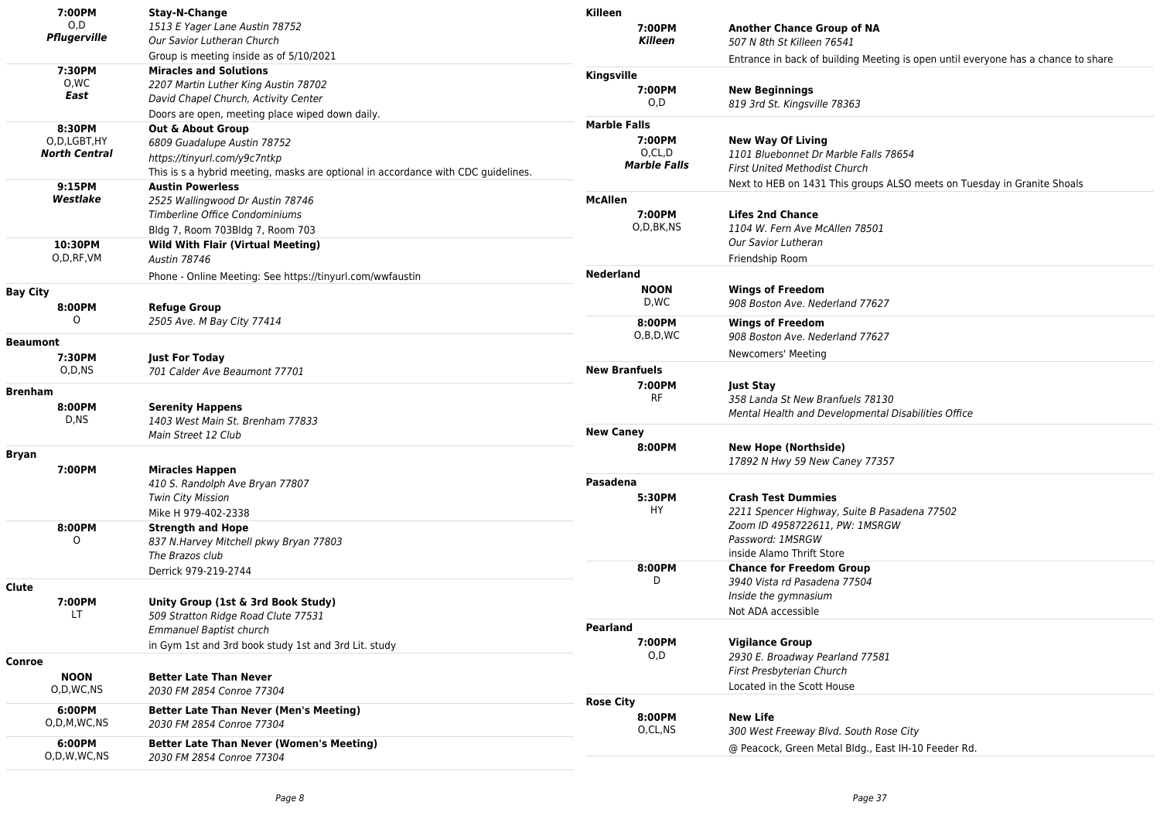| 7:00PM                | Stay-N-Change                                                                     | Killeen              |                                                                                   |
|-----------------------|-----------------------------------------------------------------------------------|----------------------|-----------------------------------------------------------------------------------|
| O,D                   | 1513 E Yager Lane Austin 78752                                                    | 7:00PM               | <b>Another Chance Group of NA</b>                                                 |
| Pflugerville          | Our Savior Lutheran Church                                                        | <b>Killeen</b>       | 507 N 8th St Killeen 76541                                                        |
|                       | Group is meeting inside as of 5/10/2021                                           |                      | Entrance in back of building Meeting is open until everyone has a chance to share |
| 7:30PM                | <b>Miracles and Solutions</b>                                                     | Kingsville           |                                                                                   |
| O.WC                  | 2207 Martin Luther King Austin 78702                                              | 7:00PM               | <b>New Beginnings</b>                                                             |
| East                  | David Chapel Church, Activity Center                                              | O,D                  | 819 3rd St. Kingsville 78363                                                      |
|                       | Doors are open, meeting place wiped down daily.                                   |                      |                                                                                   |
| 8:30PM                | <b>Out &amp; About Group</b>                                                      | <b>Marble Falls</b>  |                                                                                   |
| O,D,LGBT,HY           | 6809 Guadalupe Austin 78752                                                       | 7:00PM               | <b>New Way Of Living</b>                                                          |
| <b>North Central</b>  | https://tinyurl.com/y9c7ntkp                                                      | O,CL,D               | 1101 Bluebonnet Dr Marble Falls 78654                                             |
|                       | This is s a hybrid meeting, masks are optional in accordance with CDC guidelines. | <b>Marble Falls</b>  | <b>First United Methodist Church</b>                                              |
| 9:15PM                | <b>Austin Powerless</b>                                                           |                      | Next to HEB on 1431 This groups ALSO meets on Tuesday in Granite Shoals           |
| Westlake              | 2525 Wallingwood Dr Austin 78746                                                  | McAllen              |                                                                                   |
|                       | Timberline Office Condominiums                                                    | 7:00PM               | <b>Lifes 2nd Chance</b>                                                           |
|                       | Bldg 7, Room 703Bldg 7, Room 703                                                  | O,D,BK,NS            | 1104 W. Fern Ave McAllen 78501                                                    |
| 10:30PM               | <b>Wild With Flair (Virtual Meeting)</b>                                          |                      | Our Savior Lutheran                                                               |
| O,D,RF,VM             | <b>Austin 78746</b>                                                               |                      | Friendship Room                                                                   |
|                       | Phone - Online Meeting: See https://tinyurl.com/wwfaustin                         | <b>Nederland</b>     |                                                                                   |
| <b>Bay City</b>       |                                                                                   | <b>NOON</b>          | <b>Wings of Freedom</b>                                                           |
| 8:00PM                |                                                                                   | D,WC                 | 908 Boston Ave. Nederland 77627                                                   |
| $\circ$               | <b>Refuge Group</b><br>2505 Ave. M Bay City 77414                                 |                      |                                                                                   |
|                       |                                                                                   | 8:00PM<br>O,B,D,WC   | <b>Wings of Freedom</b>                                                           |
| <b>Beaumont</b>       |                                                                                   |                      | 908 Boston Ave. Nederland 77627                                                   |
| 7:30PM                | <b>Just For Today</b>                                                             |                      | Newcomers' Meeting                                                                |
| O,D,NS                | 701 Calder Ave Beaumont 77701                                                     | <b>New Branfuels</b> |                                                                                   |
| <b>Brenham</b>        |                                                                                   | 7:00PM               | <b>Just Stay</b>                                                                  |
| 8:00PM                | <b>Serenity Happens</b>                                                           | <b>RF</b>            | 358 Landa St New Branfuels 78130                                                  |
| D,NS                  | 1403 West Main St. Brenham 77833                                                  |                      | Mental Health and Developmental Disabilities Office                               |
|                       | Main Street 12 Club                                                               | <b>New Caney</b>     |                                                                                   |
|                       |                                                                                   | 8:00PM               | <b>New Hope (Northside)</b>                                                       |
| <b>Bryan</b>          |                                                                                   |                      | 17892 N Hwy 59 New Caney 77357                                                    |
| 7:00PM                | <b>Miracles Happen</b>                                                            | Pasadena             |                                                                                   |
|                       | 410 S. Randolph Ave Bryan 77807                                                   |                      |                                                                                   |
|                       | <b>Twin City Mission</b>                                                          | 5:30PM<br>HY         | <b>Crash Test Dummies</b>                                                         |
|                       | Mike H 979-402-2338                                                               |                      | 2211 Spencer Highway, Suite B Pasadena 77502                                      |
| 8:00PM                | <b>Strength and Hope</b>                                                          |                      | Zoom ID 4958722611, PW: 1MSRGW<br>Password: 1MSRGW                                |
| 0                     | 837 N.Harvey Mitchell pkwy Bryan 77803                                            |                      | inside Alamo Thrift Store                                                         |
|                       | The Brazos club                                                                   | 8:00PM               | <b>Chance for Freedom Group</b>                                                   |
|                       | Derrick 979-219-2744                                                              | D                    | 3940 Vista rd Pasadena 77504                                                      |
| Clute                 |                                                                                   |                      | Inside the gymnasium                                                              |
| 7:00PM                | Unity Group (1st & 3rd Book Study)                                                |                      |                                                                                   |
| LT.                   | 509 Stratton Ridge Road Clute 77531                                               |                      | Not ADA accessible                                                                |
|                       | <b>Emmanuel Baptist church</b>                                                    | <b>Pearland</b>      |                                                                                   |
|                       | in Gym 1st and 3rd book study 1st and 3rd Lit. study                              | 7:00PM               | <b>Vigilance Group</b>                                                            |
| Conroe                |                                                                                   | 0,D                  | 2930 E. Broadway Pearland 77581                                                   |
| <b>NOON</b>           | <b>Better Late Than Never</b>                                                     |                      | First Presbyterian Church                                                         |
| O,D,WC,NS             | 2030 FM 2854 Conroe 77304                                                         |                      | Located in the Scott House                                                        |
| 6:00PM                | <b>Better Late Than Never (Men's Meeting)</b>                                     | <b>Rose City</b>     |                                                                                   |
| O,D,M,WC,NS           | 2030 FM 2854 Conroe 77304                                                         | 8:00PM               | <b>New Life</b>                                                                   |
|                       |                                                                                   | O,CL,NS              | 300 West Freeway Blvd. South Rose City                                            |
| 6:00PM<br>O,D,W,WC,NS | <b>Better Late Than Never (Women's Meeting)</b>                                   |                      | @ Peacock, Green Metal Bldg., East IH-10 Feeder Rd.                               |
|                       | 2030 FM 2854 Conroe 77304                                                         |                      |                                                                                   |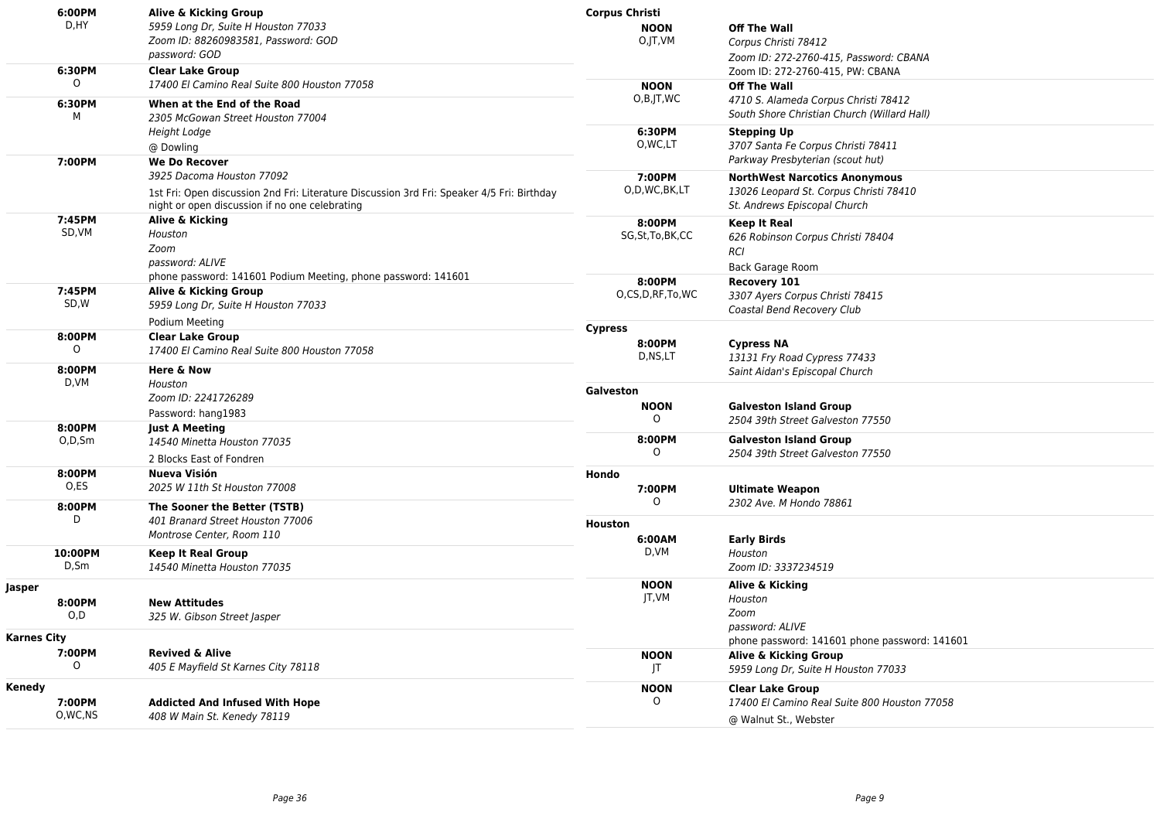|                    | 6:00PM                              | Alive & Kicking Group                                                                                                                        | <b>Corpus Christi</b> |                                     |                                                                                |
|--------------------|-------------------------------------|----------------------------------------------------------------------------------------------------------------------------------------------|-----------------------|-------------------------------------|--------------------------------------------------------------------------------|
|                    | D, HY                               | 5959 Long Dr, Suite H Houston 77033                                                                                                          | <b>NOON</b>           |                                     | <b>Off The Wall</b>                                                            |
|                    |                                     | Zoom ID: 88260983581, Password: GOD                                                                                                          | O,JT,VM               |                                     | Corpus Christi 78412                                                           |
|                    |                                     | password: GOD                                                                                                                                |                       |                                     | Zoom ID: 272-2760-415, Password: CBANA                                         |
|                    | 6:30PM                              | <b>Clear Lake Group</b>                                                                                                                      |                       |                                     | Zoom ID: 272-2760-415, PW: CBANA                                               |
|                    | $\circ$                             | 17400 El Camino Real Suite 800 Houston 77058                                                                                                 | <b>NOON</b>           |                                     | <b>Off The Wall</b>                                                            |
|                    | 6:30PM                              | When at the End of the Road                                                                                                                  | O,B,JT,WC             |                                     | 4710 S. Alameda Corpus Christi 78412                                           |
|                    | м                                   | 2305 McGowan Street Houston 77004                                                                                                            |                       |                                     | South Shore Christian Church (Willard Hall)                                    |
|                    |                                     | Height Lodge                                                                                                                                 | 6:30PM                |                                     | <b>Stepping Up</b>                                                             |
|                    |                                     | @ Dowling                                                                                                                                    | O, WC, LT             |                                     | 3707 Santa Fe Corpus Christi 78411                                             |
|                    | 7:00PM                              | <b>We Do Recover</b>                                                                                                                         |                       |                                     | Parkway Presbyterian (scout hut)                                               |
|                    |                                     | 3925 Dacoma Houston 77092                                                                                                                    | 7:00PM                |                                     |                                                                                |
|                    |                                     |                                                                                                                                              | O,D,WC,BK,LT          |                                     | <b>NorthWest Narcotics Anonymous</b><br>13026 Leopard St. Corpus Christi 78410 |
|                    |                                     | 1st Fri: Open discussion 2nd Fri: Literature Discussion 3rd Fri: Speaker 4/5 Fri: Birthday<br>night or open discussion if no one celebrating |                       |                                     | St. Andrews Episcopal Church                                                   |
|                    | 7:45PM                              | Alive & Kicking                                                                                                                              |                       |                                     |                                                                                |
|                    | SD, VM                              | Houston                                                                                                                                      | 8:00PM                |                                     | <b>Keep It Real</b>                                                            |
|                    |                                     | Zoom                                                                                                                                         | SG, St, To, BK, CC    |                                     | 626 Robinson Corpus Christi 78404                                              |
|                    |                                     | password: ALIVE                                                                                                                              |                       |                                     | <b>RCI</b>                                                                     |
|                    |                                     | phone password: 141601 Podium Meeting, phone password: 141601                                                                                |                       |                                     | <b>Back Garage Room</b>                                                        |
|                    | 7:45PM                              | Alive & Kicking Group                                                                                                                        | 8:00PM                |                                     | Recovery 101                                                                   |
|                    | SD,W                                | 5959 Long Dr, Suite H Houston 77033                                                                                                          | O,CS,D,RF,To,WC       |                                     | 3307 Ayers Corpus Christi 78415                                                |
|                    | Podium Meeting                      |                                                                                                                                              |                       | Coastal Bend Recovery Club          |                                                                                |
|                    | 8:00PM                              | <b>Clear Lake Group</b>                                                                                                                      | <b>Cypress</b>        |                                     |                                                                                |
|                    | $\Omega$                            | 17400 El Camino Real Suite 800 Houston 77058                                                                                                 | 8:00PM                |                                     | <b>Cypress NA</b>                                                              |
|                    |                                     |                                                                                                                                              | D,NS,LT               |                                     | 13131 Fry Road Cypress 77433                                                   |
|                    | 8:00PM                              | Here & Now                                                                                                                                   |                       |                                     | Saint Aidan's Episcopal Church                                                 |
|                    | D,VM                                | Houston                                                                                                                                      | Galveston             |                                     |                                                                                |
|                    |                                     | Zoom ID: 2241726289                                                                                                                          | <b>NOON</b>           |                                     | <b>Galveston Island Group</b>                                                  |
|                    |                                     | Password: hang1983                                                                                                                           | $\circ$               |                                     | 2504 39th Street Galveston 77550                                               |
|                    | 8:00PM                              | <b>Just A Meeting</b><br>14540 Minetta Houston 77035                                                                                         | 8:00PM                |                                     | <b>Galveston Island Group</b>                                                  |
|                    | O,D,Sm                              |                                                                                                                                              | $\Omega$              | 2504 39th Street Galveston 77550    |                                                                                |
|                    |                                     | 2 Blocks East of Fondren                                                                                                                     |                       |                                     |                                                                                |
|                    | 8:00PM                              | Nueva Visión                                                                                                                                 | Hondo                 |                                     |                                                                                |
|                    | O,ES                                | 2025 W 11th St Houston 77008                                                                                                                 | 7:00PM                |                                     | <b>Ultimate Weapon</b>                                                         |
|                    | 8:00PM                              | The Sooner the Better (TSTB)                                                                                                                 | 0                     |                                     | 2302 Ave. M Hondo 78861                                                        |
|                    | D                                   | 401 Branard Street Houston 77006                                                                                                             | <b>Houston</b>        |                                     |                                                                                |
|                    |                                     | Montrose Center, Room 110                                                                                                                    | 6:00AM                |                                     | <b>Early Birds</b>                                                             |
|                    | 10:00PM                             | <b>Keep It Real Group</b>                                                                                                                    | D,VM                  |                                     | Houston                                                                        |
|                    | D,Sm                                | 14540 Minetta Houston 77035                                                                                                                  |                       |                                     | Zoom ID: 3337234519                                                            |
|                    |                                     |                                                                                                                                              | <b>NOON</b>           |                                     | Alive & Kicking                                                                |
| Jasper             |                                     |                                                                                                                                              | JT,VM                 |                                     | Houston                                                                        |
|                    | 8:00PM<br>O.D                       | <b>New Attitudes</b>                                                                                                                         |                       |                                     | Zoom                                                                           |
|                    |                                     | 325 W. Gibson Street Jasper                                                                                                                  |                       |                                     | password: ALIVE                                                                |
| <b>Karnes City</b> |                                     |                                                                                                                                              |                       |                                     | phone password: 141601 phone password: 141601                                  |
|                    | 7:00PM                              | <b>Revived &amp; Alive</b>                                                                                                                   | <b>NOON</b>           |                                     | Alive & Kicking Group                                                          |
| $\Omega$           | 405 E Mayfield St Karnes City 78118 | JT                                                                                                                                           |                       | 5959 Long Dr, Suite H Houston 77033 |                                                                                |
| Kenedy             |                                     |                                                                                                                                              | <b>NOON</b>           |                                     | <b>Clear Lake Group</b>                                                        |
|                    | 7:00PM                              | <b>Addicted And Infused With Hope</b>                                                                                                        | $\Omega$              |                                     | 17400 El Camino Real Suite 800 Houston 77058                                   |
|                    | O,WC,NS                             | 408 W Main St. Kenedy 78119                                                                                                                  |                       |                                     | @ Walnut St., Webster                                                          |
|                    |                                     |                                                                                                                                              |                       |                                     |                                                                                |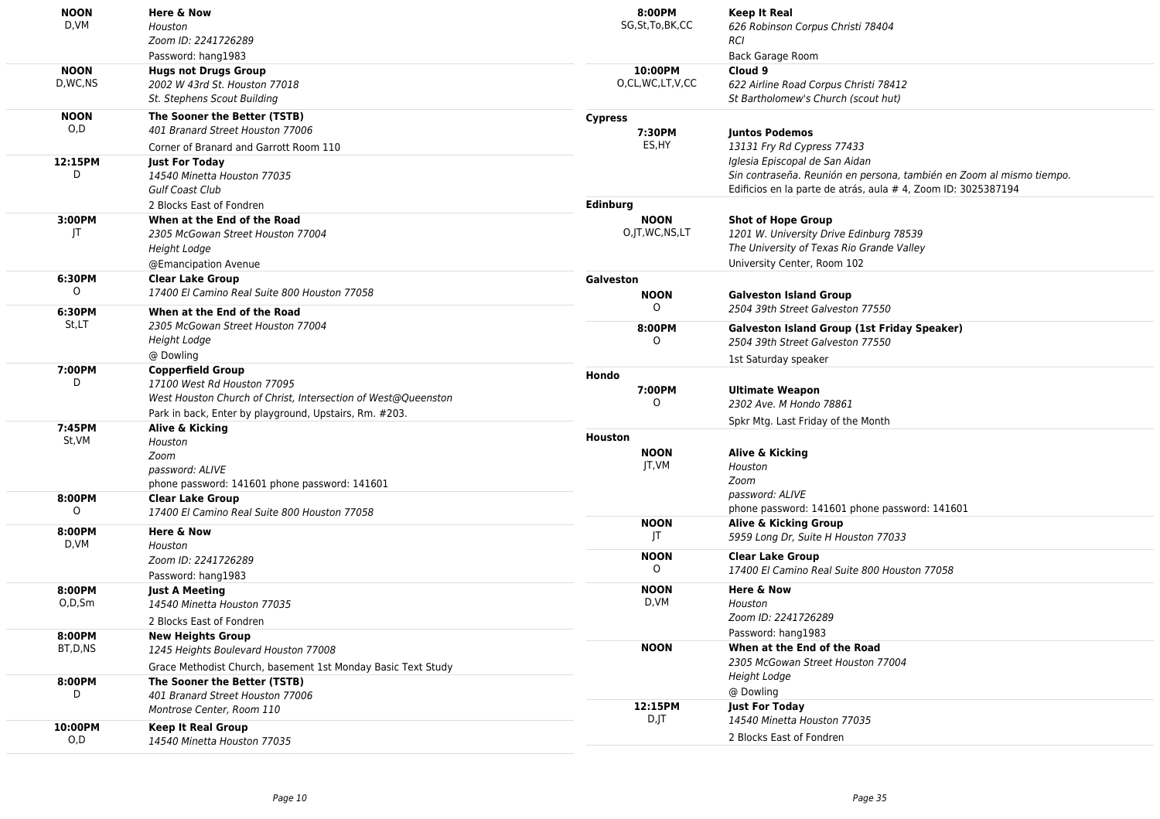| <b>NOON</b><br>D,VM       | <b>Here &amp; Now</b><br>Houston<br>Zoom ID: 2241726289<br>Password: hang1983                                                                                                      | 8:00PM<br>SG, St, To, BK, CC           | <b>Keep It Real</b><br>626 Robinson Corpus Christi 78404<br><b>RCI</b><br>Back Garage Room                                                                              |
|---------------------------|------------------------------------------------------------------------------------------------------------------------------------------------------------------------------------|----------------------------------------|-------------------------------------------------------------------------------------------------------------------------------------------------------------------------|
| <b>NOON</b><br>D.WC.NS    | <b>Hugs not Drugs Group</b><br>2002 W 43rd St. Houston 77018<br>St. Stephens Scout Building                                                                                        | 10:00PM<br>O,CL,WC,LT,V,CC             | Cloud 9<br>622 Airline Road Corpus Christi 78412<br>St Bartholomew's Church (scout hut)                                                                                 |
| <b>NOON</b><br>O,D        | The Sooner the Better (TSTB)<br>401 Branard Street Houston 77006<br>Corner of Branard and Garrott Room 110                                                                         | <b>Cypress</b><br>7:30PM<br>ES,HY      | <b>Juntos Podemos</b><br>13131 Fry Rd Cypress 77433                                                                                                                     |
| 12:15PM<br>D              | <b>Just For Today</b><br>14540 Minetta Houston 77035<br>Gulf Coast Club<br>2 Blocks East of Fondren                                                                                | Edinburg                               | Iglesia Episcopal de San Aidan<br>Sin contraseña. Reunión en persona, también en Zoom al mismo tiempo.<br>Edificios en la parte de atrás, aula # 4, Zoom ID: 3025387194 |
| 3:00PM<br>JT              | When at the End of the Road<br>2305 McGowan Street Houston 77004<br><b>Height Lodge</b><br>@Emancipation Avenue                                                                    | <b>NOON</b><br>O,JT,WC,NS,LT           | <b>Shot of Hope Group</b><br>1201 W. University Drive Edinburg 78539<br>The University of Texas Rio Grande Valley<br>University Center, Room 102                        |
| 6:30PM<br>0               | <b>Clear Lake Group</b><br>17400 El Camino Real Suite 800 Houston 77058                                                                                                            | Galveston<br><b>NOON</b><br>$\Omega$   | <b>Galveston Island Group</b><br>2504 39th Street Galveston 77550                                                                                                       |
| St,LT                     | 6:30PM<br>When at the End of the Road<br>2305 McGowan Street Houston 77004<br><b>Height Lodge</b><br>@ Dowling                                                                     | 8:00PM<br>$\Omega$                     | <b>Galveston Island Group (1st Friday Speaker)</b><br>2504 39th Street Galveston 77550                                                                                  |
| 7:00PM<br>D               | <b>Copperfield Group</b><br>17100 West Rd Houston 77095<br>West Houston Church of Christ, Intersection of West@Queenston<br>Park in back, Enter by playground, Upstairs, Rm. #203. | Hondo<br>7:00PM<br>$\circ$             | 1st Saturday speaker<br><b>Ultimate Weapon</b><br>2302 Ave. M Hondo 78861                                                                                               |
| 7:45PM<br>St,VM<br>8:00PM | Alive & Kicking<br>Houston<br>Zoom<br>password: ALIVE<br>phone password: 141601 phone password: 141601                                                                             | <b>Houston</b><br><b>NOON</b><br>JT,VM | Spkr Mtg. Last Friday of the Month<br>Alive & Kicking<br>Houston<br>Zoom<br>password: ALIVE                                                                             |
| 0<br>8:00PM               | <b>Clear Lake Group</b><br>17400 El Camino Real Suite 800 Houston 77058<br><b>Here &amp; Now</b>                                                                                   | <b>NOON</b>                            | phone password: 141601 phone password: 141601<br>Alive & Kicking Group                                                                                                  |
| D,VM                      | Houston<br>Zoom ID: 2241726289<br>Password: hang1983                                                                                                                               | T <br><b>NOON</b><br>$\circ$           | 5959 Long Dr, Suite H Houston 77033<br><b>Clear Lake Group</b><br>17400 El Camino Real Suite 800 Houston 77058                                                          |
| 8:00PM<br>0,D,Sm          | <b>Just A Meeting</b><br>14540 Minetta Houston 77035<br>2 Blocks East of Fondren                                                                                                   | <b>NOON</b><br>D, VM                   | Here & Now<br>Houston<br>Zoom ID: 2241726289                                                                                                                            |
| 8:00PM<br>BT,D,NS         | <b>New Heights Group</b><br>1245 Heights Boulevard Houston 77008<br>Grace Methodist Church, basement 1st Monday Basic Text Study                                                   | <b>NOON</b>                            | Password: hang1983<br>When at the End of the Road<br>2305 McGowan Street Houston 77004<br>Height Lodge                                                                  |
| 8:00PM<br>D               | The Sooner the Better (TSTB)<br>401 Branard Street Houston 77006<br>Montrose Center, Room 110                                                                                      | 12:15PM<br>D,JT                        | @ Dowling<br><b>Just For Today</b>                                                                                                                                      |
| 10:00PM<br>O, D           | <b>Keep It Real Group</b><br>14540 Minetta Houston 77035                                                                                                                           |                                        | 14540 Minetta Houston 77035<br>2 Blocks East of Fondren                                                                                                                 |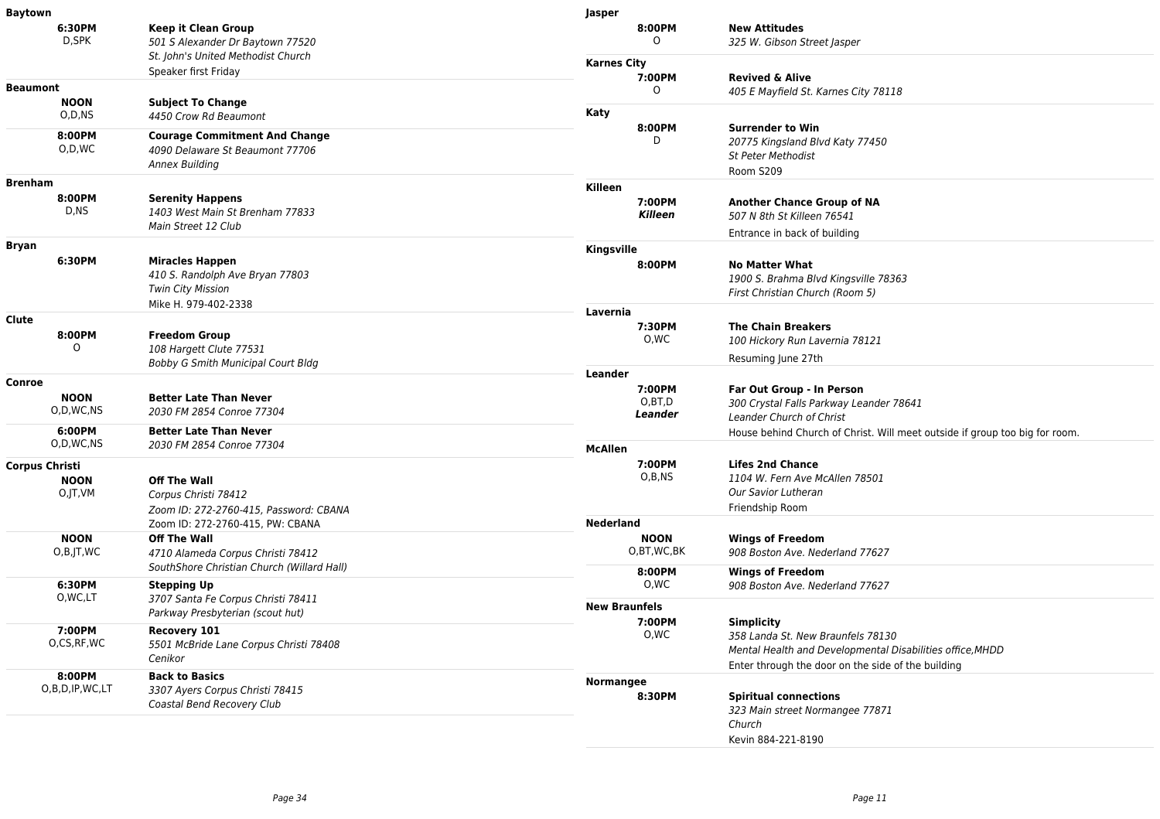| <b>Baytown</b>                                  |                                                                                                               | Jasper                    |                                                                                                                     |
|-------------------------------------------------|---------------------------------------------------------------------------------------------------------------|---------------------------|---------------------------------------------------------------------------------------------------------------------|
| 6:30PM<br>D,SPK                                 | <b>Keep it Clean Group</b><br>501 S Alexander Dr Baytown 77520                                                | 8:00PM<br>0               | <b>New Attitudes</b><br>325 W. Gibson Street Jasper                                                                 |
|                                                 | St. John's United Methodist Church                                                                            | <b>Karnes City</b>        |                                                                                                                     |
| <b>Beaumont</b>                                 | Speaker first Friday                                                                                          | 7:00PM<br>$\Omega$        | <b>Revived &amp; Alive</b><br>405 E Mayfield St. Karnes City 78118                                                  |
| <b>NOON</b><br>O,D,NS                           | <b>Subject To Change</b><br>4450 Crow Rd Beaumont                                                             | Katy                      |                                                                                                                     |
| 8:00PM<br>O,D,WC                                | <b>Courage Commitment And Change</b><br>4090 Delaware St Beaumont 77706<br>Annex Building                     | 8:00PM<br>D               | <b>Surrender to Win</b><br>20775 Kingsland Blvd Katy 77450<br><b>St Peter Methodist</b><br>Room S209                |
| <b>Brenham</b>                                  |                                                                                                               | Killeen                   |                                                                                                                     |
| 8:00PM<br>D,NS                                  | <b>Serenity Happens</b><br>1403 West Main St Brenham 77833<br>Main Street 12 Club                             | 7:00PM<br><b>Killeen</b>  | <b>Another Chance Group of NA</b><br>507 N 8th St Killeen 76541<br>Entrance in back of building                     |
| Bryan                                           |                                                                                                               | Kingsville                |                                                                                                                     |
| 6:30PM                                          | <b>Miracles Happen</b><br>410 S. Randolph Ave Bryan 77803<br><b>Twin City Mission</b><br>Mike H. 979-402-2338 | 8:00PM                    | <b>No Matter What</b><br>1900 S. Brahma Blvd Kingsville 78363<br>First Christian Church (Room 5)                    |
| Clute                                           |                                                                                                               | Lavernia                  |                                                                                                                     |
| 8:00PM<br>0                                     | <b>Freedom Group</b><br>108 Hargett Clute 77531                                                               | 7:30PM<br>0,WC            | <b>The Chain Breakers</b><br>100 Hickory Run Lavernia 78121                                                         |
|                                                 | Bobby G Smith Municipal Court Bldg                                                                            |                           | Resuming June 27th                                                                                                  |
| Conroe                                          |                                                                                                               | Leander<br>7:00PM         |                                                                                                                     |
| <b>NOON</b><br>O,D,WC,NS                        | <b>Better Late Than Never</b><br>2030 FM 2854 Conroe 77304                                                    | O,BT,D<br>Leander         | Far Out Group - In Person<br>300 Crystal Falls Parkway Leander 78641<br>Leander Church of Christ                    |
| 6:00PM<br>O,D,WC,NS                             | <b>Better Late Than Never</b><br>2030 FM 2854 Conroe 77304                                                    |                           | House behind Church of Christ. Will meet outside if group too big for room.                                         |
|                                                 |                                                                                                               | <b>McAllen</b><br>7:00PM  | <b>Lifes 2nd Chance</b>                                                                                             |
| <b>Corpus Christi</b><br><b>NOON</b><br>O,JT,VM | <b>Off The Wall</b><br>Corpus Christi 78412<br>Zoom ID: 272-2760-415, Password: CBANA                         | O,B,NS                    | 1104 W. Fern Ave McAllen 78501<br>Our Savior Lutheran<br>Friendship Room                                            |
|                                                 | Zoom ID: 272-2760-415, PW: CBANA                                                                              | <b>Nederland</b>          |                                                                                                                     |
| <b>NOON</b><br>O,B,JT,WC                        | <b>Off The Wall</b><br>4710 Alameda Corpus Christi 78412                                                      | <b>NOON</b><br>O,BT,WC,BK | <b>Wings of Freedom</b><br>908 Boston Ave. Nederland 77627                                                          |
| 6:30PM                                          | SouthShore Christian Church (Willard Hall)                                                                    | 8:00PM<br>0,WC            | <b>Wings of Freedom</b>                                                                                             |
| O, WC, LT                                       | <b>Stepping Up</b><br>3707 Santa Fe Corpus Christi 78411                                                      |                           | 908 Boston Ave. Nederland 77627                                                                                     |
|                                                 | Parkway Presbyterian (scout hut)                                                                              | <b>New Braunfels</b>      |                                                                                                                     |
| 7:00PM<br>O,CS,RF,WC                            | Recovery 101<br>5501 McBride Lane Corpus Christi 78408<br>Cenikor                                             | 7:00PM<br>O,WC            | <b>Simplicity</b><br>358 Landa St. New Braunfels 78130<br>Mental Health and Developmental Disabilities office, MHDD |
| 8:00PM                                          | <b>Back to Basics</b>                                                                                         |                           | Enter through the door on the side of the building                                                                  |
| O,B,D,IP,WC,LT                                  | 3307 Ayers Corpus Christi 78415<br>Coastal Bend Recovery Club                                                 | Normangee<br>8:30PM       | <b>Spiritual connections</b><br>323 Main street Normangee 77871<br>Church                                           |
|                                                 |                                                                                                               |                           | Kevin 884-221-8190                                                                                                  |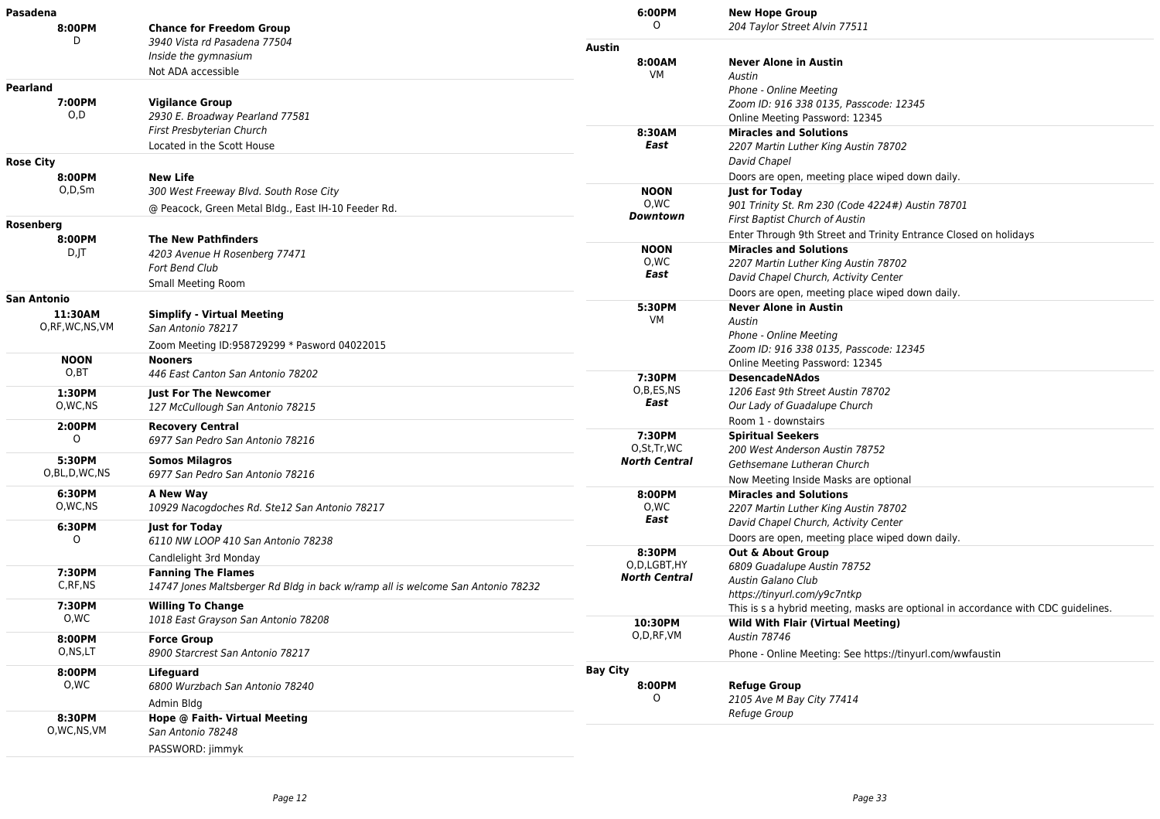| Pasadena                 |                                                                                 | 6:00PM                             | <b>New Hope Group</b>                                                             |
|--------------------------|---------------------------------------------------------------------------------|------------------------------------|-----------------------------------------------------------------------------------|
| 8:00PM                   | <b>Chance for Freedom Group</b>                                                 | 0                                  | 204 Taylor Street Alvin 77511                                                     |
| D                        | 3940 Vista rd Pasadena 77504                                                    | <b>Austin</b>                      |                                                                                   |
|                          | Inside the gymnasium                                                            | 8:00AM                             | <b>Never Alone in Austin</b>                                                      |
|                          | Not ADA accessible                                                              | VM                                 | Austin                                                                            |
| Pearland                 |                                                                                 |                                    | Phone - Online Meeting                                                            |
| 7:00PM                   | <b>Vigilance Group</b>                                                          |                                    | Zoom ID: 916 338 0135, Passcode: 12345                                            |
| O, D                     | 2930 E. Broadway Pearland 77581                                                 |                                    | Online Meeting Password: 12345                                                    |
|                          | First Presbyterian Church                                                       | 8:30AM                             | <b>Miracles and Solutions</b>                                                     |
|                          | Located in the Scott House                                                      | East                               | 2207 Martin Luther King Austin 78702                                              |
| Rose City                |                                                                                 |                                    | David Chapel                                                                      |
| 8:00PM                   | <b>New Life</b>                                                                 |                                    | Doors are open, meeting place wiped down daily.                                   |
| O,D,Sm                   | 300 West Freeway Blvd. South Rose City                                          | <b>NOON</b>                        | <b>Just for Today</b>                                                             |
|                          | @ Peacock, Green Metal Bldg., East IH-10 Feeder Rd.                             | O.WC                               | 901 Trinity St. Rm 230 (Code 4224#) Austin 78701                                  |
| Rosenberg                |                                                                                 | Downtown                           | First Baptist Church of Austin                                                    |
| 8:00PM                   | <b>The New Pathfinders</b>                                                      |                                    | Enter Through 9th Street and Trinity Entrance Closed on holidays                  |
| $D$ , $ T $              | 4203 Avenue H Rosenberg 77471                                                   | <b>NOON</b>                        | <b>Miracles and Solutions</b>                                                     |
|                          | <b>Fort Bend Club</b>                                                           | 0,WC                               | 2207 Martin Luther King Austin 78702                                              |
|                          | Small Meeting Room                                                              | East                               | David Chapel Church, Activity Center                                              |
|                          |                                                                                 |                                    | Doors are open, meeting place wiped down daily.                                   |
| San Antonio              |                                                                                 | 5:30PM                             | <b>Never Alone in Austin</b>                                                      |
| 11:30AM<br>O,RF,WC,NS,VM | <b>Simplify - Virtual Meeting</b><br>San Antonio 78217                          | VM                                 | Austin                                                                            |
|                          |                                                                                 |                                    | Phone - Online Meeting                                                            |
|                          | Zoom Meeting ID:958729299 * Pasword 04022015                                    |                                    | Zoom ID: 916 338 0135, Passcode: 12345                                            |
| <b>NOON</b>              | <b>Nooners</b>                                                                  |                                    | Online Meeting Password: 12345                                                    |
| O,BT                     | 446 East Canton San Antonio 78202                                               | 7:30PM                             | <b>DesencadeNAdos</b>                                                             |
| 1:30PM                   | <b>Just For The Newcomer</b>                                                    | O,B,ES,NS                          | 1206 East 9th Street Austin 78702                                                 |
| O, WC, NS                | 127 McCullough San Antonio 78215                                                | East                               | Our Lady of Guadalupe Church                                                      |
| 2:00PM                   | <b>Recovery Central</b>                                                         |                                    | Room 1 - downstairs                                                               |
| 0                        | 6977 San Pedro San Antonio 78216                                                | 7:30PM                             | <b>Spiritual Seekers</b>                                                          |
| 5:30PM                   | <b>Somos Milagros</b>                                                           | O,St,Tr,WC<br><b>North Central</b> | 200 West Anderson Austin 78752                                                    |
| O,BL,D,WC,NS             | 6977 San Pedro San Antonio 78216                                                |                                    | Gethsemane Lutheran Church                                                        |
|                          |                                                                                 |                                    | Now Meeting Inside Masks are optional                                             |
| 6:30PM<br>O, WC, NS      | A New Way                                                                       | 8:00PM                             | <b>Miracles and Solutions</b>                                                     |
|                          | 10929 Nacogdoches Rd. Ste12 San Antonio 78217                                   | O,WC<br>East                       | 2207 Martin Luther King Austin 78702                                              |
| 6:30PM                   | <b>Just for Today</b>                                                           |                                    | David Chapel Church, Activity Center                                              |
| O                        | 6110 NW LOOP 410 San Antonio 78238                                              |                                    | Doors are open, meeting place wiped down daily.                                   |
|                          | Candlelight 3rd Monday                                                          | 8:30PM<br>O.D.LGBT.HY              | <b>Out &amp; About Group</b>                                                      |
| 7:30PM                   | <b>Fanning The Flames</b>                                                       | <b>North Central</b>               | 6809 Guadalupe Austin 78752                                                       |
| C, RF, NS                | 14747 Jones Maltsberger Rd Bldg in back w/ramp all is welcome San Antonio 78232 |                                    | Austin Galano Club<br>https://tinyurl.com/y9c7ntkp                                |
| 7:30PM                   | <b>Willing To Change</b>                                                        |                                    | This is s a hybrid meeting, masks are optional in accordance with CDC guidelines. |
| 0,WC                     | 1018 East Grayson San Antonio 78208                                             | 10:30PM                            | <b>Wild With Flair (Virtual Meeting)</b>                                          |
| 8:00PM                   | <b>Force Group</b>                                                              | O,D,RF,VM                          | Austin 78746                                                                      |
| O,NS,LT                  | 8900 Starcrest San Antonio 78217                                                |                                    |                                                                                   |
|                          |                                                                                 |                                    | Phone - Online Meeting: See https://tinyurl.com/wwfaustin                         |
| 8:00PM                   | <b>Lifeguard</b>                                                                | <b>Bay City</b>                    |                                                                                   |
| 0,WC                     | 6800 Wurzbach San Antonio 78240                                                 | 8:00PM<br>O                        | <b>Refuge Group</b>                                                               |
|                          | Admin Bldg                                                                      |                                    | 2105 Ave M Bay City 77414<br>Refuge Group                                         |
| 8:30PM                   | Hope @ Faith- Virtual Meeting                                                   |                                    |                                                                                   |
| O, WC, NS, VM            | San Antonio 78248                                                               |                                    |                                                                                   |
|                          | PASSWORD: jimmyk                                                                |                                    |                                                                                   |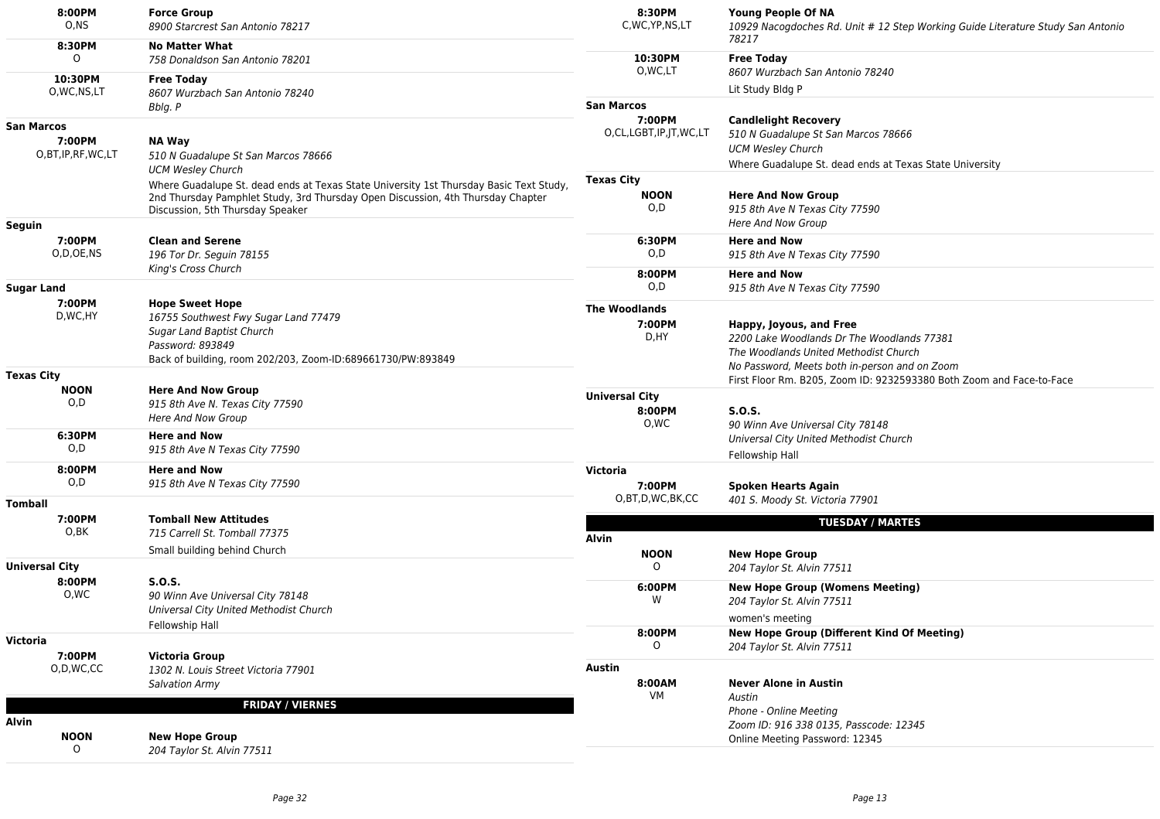| 8:00PM<br>O,NS                   | <b>Force Group</b><br>8900 Starcrest San Antonio 78217                                                                                                                                                        | 8:30PM<br>C, WC, YP, NS, LT             | Young People Of NA<br>10929 Nacogdoches Rd. Unit # 12 Step Working Guide Literature Study San Antonio<br>78217                                                  |
|----------------------------------|---------------------------------------------------------------------------------------------------------------------------------------------------------------------------------------------------------------|-----------------------------------------|-----------------------------------------------------------------------------------------------------------------------------------------------------------------|
| 8:30PM<br>$\circ$                | <b>No Matter What</b><br>758 Donaldson San Antonio 78201                                                                                                                                                      | 10:30PM                                 | <b>Free Today</b>                                                                                                                                               |
| 10:30PM<br>O, WC, NS, LT         | <b>Free Today</b><br>8607 Wurzbach San Antonio 78240                                                                                                                                                          | O, WC, LT                               | 8607 Wurzbach San Antonio 78240<br>Lit Study Bldg P                                                                                                             |
| San Marcos                       | Bblg. P                                                                                                                                                                                                       | <b>San Marcos</b><br>7:00PM             | <b>Candlelight Recovery</b>                                                                                                                                     |
| 7:00PM<br>O,BT, IP, RF, WC, LT   | <b>NA Way</b><br>510 N Guadalupe St San Marcos 78666<br><b>UCM Wesley Church</b>                                                                                                                              | O,CL,LGBT,IP,JT,WC,LT                   | 510 N Guadalupe St San Marcos 78666<br><b>UCM Wesley Church</b><br>Where Guadalupe St. dead ends at Texas State University                                      |
|                                  | Where Guadalupe St. dead ends at Texas State University 1st Thursday Basic Text Study,<br>2nd Thursday Pamphlet Study, 3rd Thursday Open Discussion, 4th Thursday Chapter<br>Discussion, 5th Thursday Speaker | <b>Texas City</b><br><b>NOON</b><br>O,D | <b>Here And Now Group</b><br>915 8th Ave N Texas City 77590<br>Here And Now Group                                                                               |
| Seguin<br>7:00PM<br>O,D,OE,NS    | <b>Clean and Serene</b><br>196 Tor Dr. Seguin 78155                                                                                                                                                           | 6:30PM<br>O,D                           | <b>Here and Now</b><br>915 8th Ave N Texas City 77590                                                                                                           |
| Sugar Land                       | King's Cross Church                                                                                                                                                                                           | 8:00PM<br>O, D                          | <b>Here and Now</b><br>915 8th Ave N Texas City 77590                                                                                                           |
| 7:00PM<br>D, WC, HY              | <b>Hope Sweet Hope</b><br>16755 Southwest Fwy Sugar Land 77479<br>Sugar Land Baptist Church<br>Password: 893849<br>Back of building, room 202/203, Zoom-ID:689661730/PW:893849                                | <b>The Woodlands</b><br>7:00PM<br>D, HY | Happy, Joyous, and Free<br>2200 Lake Woodlands Dr The Woodlands 77381<br>The Woodlands United Methodist Church<br>No Password, Meets both in-person and on Zoom |
| <b>Texas City</b><br><b>NOON</b> |                                                                                                                                                                                                               |                                         | First Floor Rm. B205, Zoom ID: 9232593380 Both Zoom and Face-to-Face                                                                                            |
| O,D                              | <b>Here And Now Group</b><br>915 8th Ave N. Texas City 77590<br><b>Here And Now Group</b>                                                                                                                     | <b>Universal City</b><br>8:00PM<br>0,WC | S.O.S.<br>90 Winn Ave Universal City 78148                                                                                                                      |
| 6:30PM<br>O, D                   | <b>Here and Now</b><br>915 8th Ave N Texas City 77590                                                                                                                                                         |                                         | Universal City United Methodist Church<br>Fellowship Hall                                                                                                       |
| 8:00PM<br>O, D                   | <b>Here and Now</b><br>915 8th Ave N Texas City 77590                                                                                                                                                         | Victoria<br>7:00PM                      | <b>Spoken Hearts Again</b>                                                                                                                                      |
| Tomball                          |                                                                                                                                                                                                               | O,BT,D,WC,BK,CC                         | 401 S. Moody St. Victoria 77901                                                                                                                                 |
| 7:00PM<br>0,BK                   | <b>Tomball New Attitudes</b><br>715 Carrell St. Tomball 77375                                                                                                                                                 | <b>Alvin</b>                            | <b>TUESDAY / MARTES</b>                                                                                                                                         |
| Universal City                   | Small building behind Church                                                                                                                                                                                  | <b>NOON</b>                             | <b>New Hope Group</b>                                                                                                                                           |
| 8:00PM<br>O,WC                   | <b>S.O.S.</b><br>90 Winn Ave Universal City 78148                                                                                                                                                             | $\circ$<br>6:00PM<br>W                  | 204 Taylor St. Alvin 77511<br><b>New Hope Group (Womens Meeting)</b>                                                                                            |
|                                  | Universal City United Methodist Church<br>Fellowship Hall                                                                                                                                                     |                                         | 204 Taylor St. Alvin 77511<br>women's meeting                                                                                                                   |
| Victoria<br>7:00PM               | Victoria Group                                                                                                                                                                                                | 8:00PM<br>0                             | <b>New Hope Group (Different Kind Of Meeting)</b><br>204 Taylor St. Alvin 77511                                                                                 |
| O,D,WC,CC                        | 1302 N. Louis Street Victoria 77901<br><b>Salvation Army</b>                                                                                                                                                  | <b>Austin</b><br>8:00AM<br>VM           | <b>Never Alone in Austin</b><br>Austin                                                                                                                          |
| Alvin                            | <b>FRIDAY / VIERNES</b>                                                                                                                                                                                       |                                         | Phone - Online Meeting<br>Zoom ID: 916 338 0135, Passcode: 12345                                                                                                |
| <b>NOON</b><br>$\circ$           | <b>New Hope Group</b><br>204 Taylor St. Alvin 77511                                                                                                                                                           |                                         | Online Meeting Password: 12345                                                                                                                                  |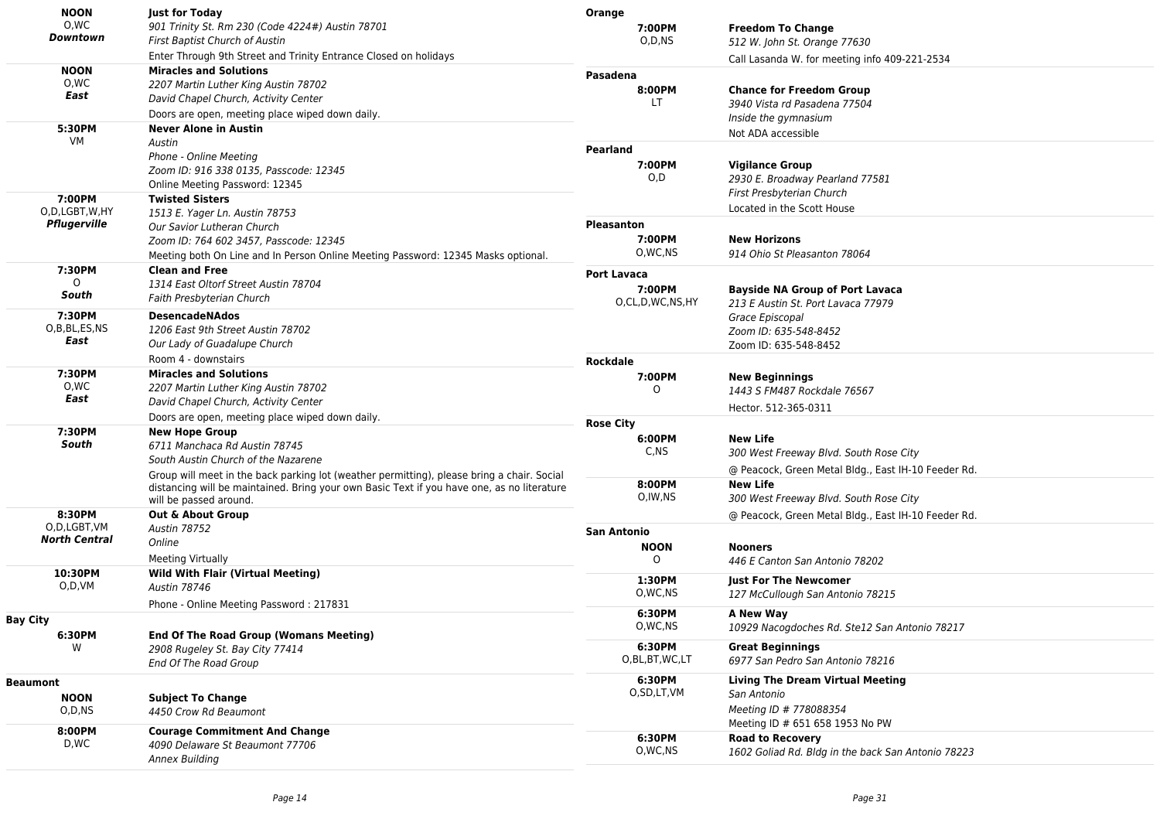| <b>NOON</b>          | <b>Just for Today</b>                                                                                                                                                                    | Orange                  |                                                     |
|----------------------|------------------------------------------------------------------------------------------------------------------------------------------------------------------------------------------|-------------------------|-----------------------------------------------------|
| O.WC                 | 901 Trinity St. Rm 230 (Code 4224#) Austin 78701                                                                                                                                         | 7:00PM                  | <b>Freedom To Change</b>                            |
| Downtown             | First Baptist Church of Austin                                                                                                                                                           | O,D,NS                  | 512 W. John St. Orange 77630                        |
|                      | Enter Through 9th Street and Trinity Entrance Closed on holidays                                                                                                                         |                         | Call Lasanda W. for meeting info 409-221-2534       |
| <b>NOON</b>          | <b>Miracles and Solutions</b>                                                                                                                                                            | Pasadena                |                                                     |
| 0,WC                 | 2207 Martin Luther King Austin 78702                                                                                                                                                     | 8:00PM                  |                                                     |
| East                 | David Chapel Church, Activity Center                                                                                                                                                     | LT.                     | <b>Chance for Freedom Group</b>                     |
|                      | Doors are open, meeting place wiped down daily.                                                                                                                                          |                         | 3940 Vista rd Pasadena 77504                        |
| 5:30PM               | <b>Never Alone in Austin</b>                                                                                                                                                             |                         | Inside the gymnasium                                |
| VM                   | Austin                                                                                                                                                                                   |                         | Not ADA accessible                                  |
|                      | Phone - Online Meeting                                                                                                                                                                   | <b>Pearland</b>         |                                                     |
|                      | Zoom ID: 916 338 0135, Passcode: 12345                                                                                                                                                   | 7:00PM                  | <b>Vigilance Group</b>                              |
|                      | Online Meeting Password: 12345                                                                                                                                                           | O,D                     | 2930 E. Broadway Pearland 77581                     |
| 7:00PM               | <b>Twisted Sisters</b>                                                                                                                                                                   |                         | First Presbyterian Church                           |
| O,D,LGBT,W,HY        |                                                                                                                                                                                          |                         | Located in the Scott House                          |
| Pflugerville         | 1513 E. Yager Ln. Austin 78753                                                                                                                                                           | <b>Pleasanton</b>       |                                                     |
|                      | Our Savior Lutheran Church                                                                                                                                                               | 7:00PM                  | <b>New Horizons</b>                                 |
|                      | Zoom ID: 764 602 3457, Passcode: 12345                                                                                                                                                   | O, WC, NS               | 914 Ohio St Pleasanton 78064                        |
|                      | Meeting both On Line and In Person Online Meeting Password: 12345 Masks optional.                                                                                                        |                         |                                                     |
| 7:30PM               | <b>Clean and Free</b>                                                                                                                                                                    | <b>Port Lavaca</b>      |                                                     |
| $\Omega$             | 1314 East Oltorf Street Austin 78704                                                                                                                                                     | 7:00PM                  | <b>Bayside NA Group of Port Lavaca</b>              |
| South                | Faith Presbyterian Church                                                                                                                                                                | O,CL,D,WC,NS,HY         | 213 E Austin St. Port Lavaca 77979                  |
| 7:30PM               | <b>DesencadeNAdos</b>                                                                                                                                                                    |                         | Grace Episcopal                                     |
| O,B,BL,ES,NS         | 1206 East 9th Street Austin 78702                                                                                                                                                        |                         | Zoom ID: 635-548-8452                               |
| East                 | Our Lady of Guadalupe Church                                                                                                                                                             |                         | Zoom ID: 635-548-8452                               |
|                      | Room 4 - downstairs                                                                                                                                                                      | <b>Rockdale</b>         |                                                     |
| 7:30PM               | <b>Miracles and Solutions</b>                                                                                                                                                            | 7:00PM                  | <b>New Beginnings</b>                               |
| 0,WC                 | 2207 Martin Luther King Austin 78702                                                                                                                                                     | 0                       | 1443 S FM487 Rockdale 76567                         |
| East                 | David Chapel Church, Activity Center                                                                                                                                                     |                         |                                                     |
|                      | Doors are open, meeting place wiped down daily.                                                                                                                                          |                         | Hector. 512-365-0311                                |
| 7:30PM               | <b>New Hope Group</b>                                                                                                                                                                    | <b>Rose City</b>        |                                                     |
| South                | 6711 Manchaca Rd Austin 78745                                                                                                                                                            | 6:00PM                  | <b>New Life</b>                                     |
|                      | South Austin Church of the Nazarene                                                                                                                                                      | C,NS                    | 300 West Freeway Blvd. South Rose City              |
|                      |                                                                                                                                                                                          |                         | @ Peacock, Green Metal Bldg., East IH-10 Feeder Rd. |
|                      | Group will meet in the back parking lot (weather permitting), please bring a chair. Social<br>distancing will be maintained. Bring your own Basic Text if you have one, as no literature | 8:00PM                  | <b>New Life</b>                                     |
|                      | will be passed around.                                                                                                                                                                   | O, IW, NS               | 300 West Freeway Blvd. South Rose City              |
| 8:30PM               | Out & About Group                                                                                                                                                                        |                         | @ Peacock, Green Metal Bldg., East IH-10 Feeder Rd. |
| O,D,LGBT,VM          | <b>Austin 78752</b>                                                                                                                                                                      | <b>San Antonio</b>      |                                                     |
| <b>North Central</b> | Online                                                                                                                                                                                   |                         |                                                     |
|                      | Meeting Virtually                                                                                                                                                                        | <b>NOON</b><br>$\Omega$ | <b>Nooners</b>                                      |
|                      |                                                                                                                                                                                          |                         | 446 E Canton San Antonio 78202                      |
| 10:30PM<br>O,D,VM    | <b>Wild With Flair (Virtual Meeting)</b>                                                                                                                                                 | 1:30PM                  | <b>Just For The Newcomer</b>                        |
|                      | <b>Austin 78746</b>                                                                                                                                                                      | O, WC, NS               | 127 McCullough San Antonio 78215                    |
|                      | Phone - Online Meeting Password: 217831                                                                                                                                                  | 6:30PM                  | A New Way                                           |
| <b>Bay City</b>      |                                                                                                                                                                                          | O, WC, NS               |                                                     |
| 6:30PM               | <b>End Of The Road Group (Womans Meeting)</b>                                                                                                                                            |                         | 10929 Nacogdoches Rd. Ste12 San Antonio 78217       |
| W                    | 2908 Rugeley St. Bay City 77414                                                                                                                                                          | 6:30PM                  | <b>Great Beginnings</b>                             |
|                      | End Of The Road Group                                                                                                                                                                    | O,BL,BT,WC,LT           | 6977 San Pedro San Antonio 78216                    |
| <b>Beaumont</b>      |                                                                                                                                                                                          | 6:30PM                  | <b>Living The Dream Virtual Meeting</b>             |
| <b>NOON</b>          |                                                                                                                                                                                          | O,SD,LT,VM              | San Antonio                                         |
| O,D,NS               | <b>Subject To Change</b><br>4450 Crow Rd Beaumont                                                                                                                                        |                         | Meeting ID # 778088354                              |
|                      |                                                                                                                                                                                          |                         | Meeting ID # 651 658 1953 No PW                     |
| 8:00PM               | <b>Courage Commitment And Change</b>                                                                                                                                                     | 6:30PM                  | <b>Road to Recovery</b>                             |
| D,WC                 | 4090 Delaware St Beaumont 77706                                                                                                                                                          | O, WC, NS               | 1602 Goliad Rd. Bldg in the back San Antonio 78223  |
|                      | Annex Building                                                                                                                                                                           |                         |                                                     |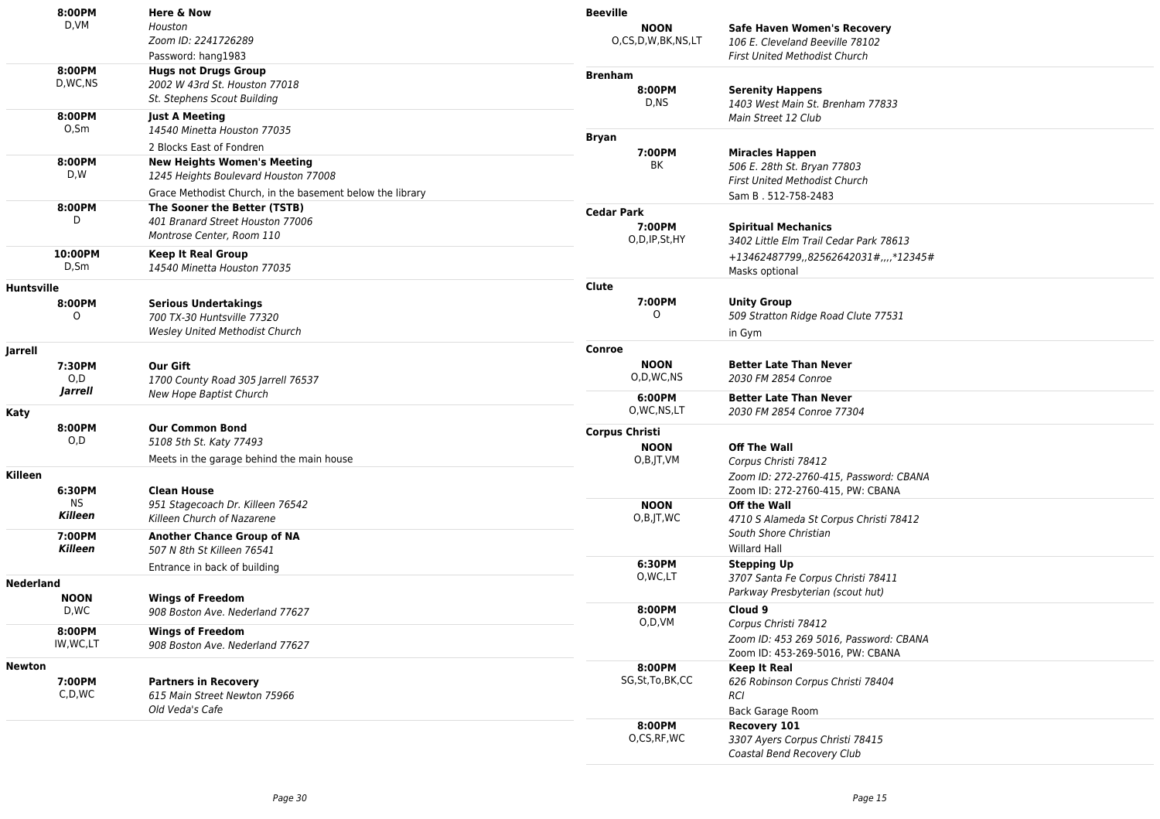|                   | 8:00PM                                                                                                          | Here & Now                                                          | <b>Beeville</b>                      |                                        |
|-------------------|-----------------------------------------------------------------------------------------------------------------|---------------------------------------------------------------------|--------------------------------------|----------------------------------------|
|                   | D,VM                                                                                                            | Houston                                                             | <b>NOON</b>                          | <b>Safe Haven Women's Recovery</b>     |
|                   |                                                                                                                 | Zoom ID: 2241726289                                                 | O,CS,D,W,BK,NS,LT                    | 106 E. Cleveland Beeville 78102        |
|                   |                                                                                                                 | Password: hang1983                                                  |                                      | <b>First United Methodist Church</b>   |
|                   | 8:00PM                                                                                                          | <b>Hugs not Drugs Group</b>                                         | <b>Brenham</b>                       |                                        |
|                   | D,WC,NS                                                                                                         | 2002 W 43rd St. Houston 77018                                       | 8:00PM                               | <b>Serenity Happens</b>                |
|                   |                                                                                                                 | St. Stephens Scout Building                                         | D.NS                                 | 1403 West Main St. Brenham 77833       |
|                   | 8:00PM                                                                                                          | <b>Just A Meeting</b>                                               |                                      | Main Street 12 Club                    |
|                   | $O,$ Sm                                                                                                         | 14540 Minetta Houston 77035                                         | <b>Bryan</b>                         |                                        |
|                   |                                                                                                                 | 2 Blocks East of Fondren                                            | 7:00PM                               | <b>Miracles Happen</b>                 |
|                   | 8:00PM<br><b>New Heights Women's Meeting</b><br>D,W<br>1245 Heights Boulevard Houston 77008                     | BK                                                                  | 506 E. 28th St. Bryan 77803          |                                        |
|                   |                                                                                                                 |                                                                     | <b>First United Methodist Church</b> |                                        |
|                   |                                                                                                                 | Grace Methodist Church, in the basement below the library           |                                      | Sam B. 512-758-2483                    |
|                   | 8:00PM                                                                                                          | The Sooner the Better (TSTB)                                        | <b>Cedar Park</b>                    |                                        |
|                   |                                                                                                                 | 401 Branard Street Houston 77006                                    | 7:00PM                               | <b>Spiritual Mechanics</b>             |
|                   |                                                                                                                 | Montrose Center, Room 110                                           | O,D,IP,St,HY                         | 3402 Little Elm Trail Cedar Park 78613 |
|                   | 10:00PM                                                                                                         | <b>Keep It Real Group</b>                                           |                                      | +13462487799,,82562642031#,,,,*12345#  |
|                   | $D,$ Sm                                                                                                         | 14540 Minetta Houston 77035                                         |                                      | Masks optional                         |
| <b>Huntsville</b> |                                                                                                                 |                                                                     | Clute                                |                                        |
|                   |                                                                                                                 |                                                                     | 7:00PM                               | <b>Unity Group</b>                     |
|                   | 0                                                                                                               | 8:00PM<br><b>Serious Undertakings</b><br>700 TX-30 Huntsville 77320 | $\circ$                              | 509 Stratton Ridge Road Clute 77531    |
|                   |                                                                                                                 | <b>Wesley United Methodist Church</b>                               |                                      | in Gym                                 |
|                   |                                                                                                                 |                                                                     | Conroe                               |                                        |
| Jarrell           |                                                                                                                 |                                                                     | <b>NOON</b>                          | <b>Better Late Than Never</b>          |
|                   | 7:30PM                                                                                                          | Our Gift<br>O,D                                                     | O,D,WC,NS                            | 2030 FM 2854 Conroe                    |
|                   | <b>Jarrell</b>                                                                                                  | 1700 County Road 305 Jarrell 76537                                  |                                      |                                        |
|                   |                                                                                                                 | New Hope Baptist Church                                             | 6:00PM                               | <b>Better Late Than Never</b>          |
| Katy              | 8:00PM<br><b>Our Common Bond</b><br>O,D<br>5108 5th St. Katy 77493<br>Meets in the garage behind the main house | O, WC, NS, LT                                                       | 2030 FM 2854 Conroe 77304            |                                        |
|                   |                                                                                                                 | <b>Corpus Christi</b>                                               |                                      |                                        |
|                   |                                                                                                                 | <b>NOON</b>                                                         | <b>Off The Wall</b>                  |                                        |
|                   |                                                                                                                 |                                                                     | O,B,JT,VM                            | Corpus Christi 78412                   |
| Killeen           |                                                                                                                 |                                                                     |                                      | Zoom ID: 272-2760-415, Password: CBANA |
|                   | 6:30PM                                                                                                          | <b>Clean House</b>                                                  |                                      | Zoom ID: 272-2760-415, PW: CBANA       |
|                   | <b>NS</b>                                                                                                       | 951 Stagecoach Dr. Killeen 76542                                    | <b>NOON</b>                          | Off the Wall                           |
|                   | <b>Killeen</b>                                                                                                  | Killeen Church of Nazarene                                          | $O,B$ , JT, WC                       | 4710 S Alameda St Corpus Christi 78412 |
|                   | 7:00PM                                                                                                          | <b>Another Chance Group of NA</b>                                   |                                      | South Shore Christian                  |
|                   | <b>Killeen</b>                                                                                                  | 507 N 8th St Killeen 76541                                          |                                      | <b>Willard Hall</b>                    |
|                   |                                                                                                                 | Entrance in back of building                                        | 6:30PM                               | <b>Stepping Up</b>                     |
| <b>Nederland</b>  |                                                                                                                 |                                                                     | O, WC, LT                            | 3707 Santa Fe Corpus Christi 78411     |
|                   | <b>NOON</b>                                                                                                     | <b>Wings of Freedom</b>                                             |                                      | Parkway Presbyterian (scout hut)       |
|                   | D,WC                                                                                                            | 908 Boston Ave. Nederland 77627                                     | 8:00PM                               | Cloud 9                                |
|                   | 8:00PM                                                                                                          | <b>Wings of Freedom</b>                                             | O,D,VM                               | Corpus Christi 78412                   |
|                   | IW, WC, LT                                                                                                      | 908 Boston Ave. Nederland 77627                                     |                                      | Zoom ID: 453 269 5016, Password: CBANA |
|                   |                                                                                                                 |                                                                     |                                      | Zoom ID: 453-269-5016, PW: CBANA       |
| Newton            |                                                                                                                 |                                                                     | 8:00PM                               | <b>Keep It Real</b>                    |
|                   | 7:00PM<br><b>Partners in Recovery</b><br>C, D, WC<br>615 Main Street Newton 75966                               |                                                                     | SG, St, To, BK, CC                   | 626 Robinson Corpus Christi 78404      |
|                   |                                                                                                                 |                                                                     | <b>RCI</b>                           |                                        |
|                   |                                                                                                                 | Old Veda's Cafe                                                     |                                      | Back Garage Room                       |
|                   |                                                                                                                 |                                                                     | 8:00PM                               | Recovery 101                           |
|                   |                                                                                                                 |                                                                     | O,CS,RF,WC                           | 3307 Ayers Corpus Christi 78415        |
|                   |                                                                                                                 |                                                                     |                                      | Coastal Bend Recovery Club             |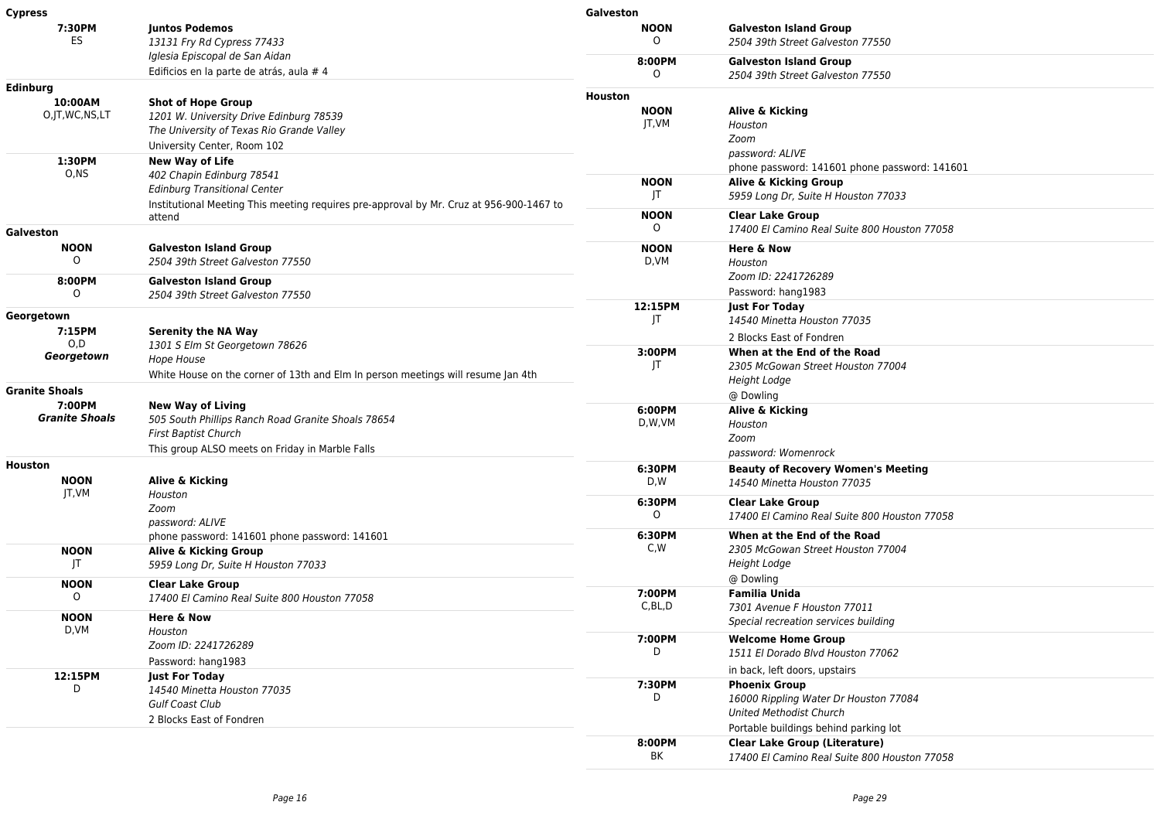| <b>Cypress</b>                                           |                                                                                                                                                                                       | Galveston                       |                                                                                                                                  |
|----------------------------------------------------------|---------------------------------------------------------------------------------------------------------------------------------------------------------------------------------------|---------------------------------|----------------------------------------------------------------------------------------------------------------------------------|
| 7:30PM<br>ES                                             | <b>Juntos Podemos</b><br>13131 Fry Rd Cypress 77433                                                                                                                                   | <b>NOON</b><br>0                | <b>Galveston Island Group</b><br>2504 39th Street Galveston 77550                                                                |
|                                                          | Iglesia Episcopal de San Aidan<br>Edificios en la parte de atrás, aula # 4                                                                                                            | 8:00PM<br>$\circ$               | <b>Galveston Island Group</b><br>2504 39th Street Galveston 77550                                                                |
| Edinburg<br>10:00AM<br>O, JT, WC, NS, LT                 | <b>Shot of Hope Group</b><br>1201 W. University Drive Edinburg 78539<br>The University of Texas Rio Grande Valley<br>University Center, Room 102                                      | Houston<br><b>NOON</b><br>JT,VM | Alive & Kicking<br>Houston<br>Zoom                                                                                               |
| 1:30PM<br>O.NS                                           | <b>New Way of Life</b><br>402 Chapin Edinburg 78541<br><b>Edinburg Transitional Center</b><br>Institutional Meeting This meeting requires pre-approval by Mr. Cruz at 956-900-1467 to | <b>NOON</b><br>$\mathsf{I}$     | password: ALIVE<br>phone password: 141601 phone password: 141601<br>Alive & Kicking Group<br>5959 Long Dr, Suite H Houston 77033 |
| Galveston                                                | attend                                                                                                                                                                                | <b>NOON</b><br>$\circ$          | <b>Clear Lake Group</b><br>17400 El Camino Real Suite 800 Houston 77058                                                          |
| <b>NOON</b><br>$\circ$<br>8:00PM                         | <b>Galveston Island Group</b><br>2504 39th Street Galveston 77550<br><b>Galveston Island Group</b>                                                                                    | <b>NOON</b><br>D,VM             | Here & Now<br>Houston<br>Zoom ID: 2241726289                                                                                     |
| $\Omega$<br>Georgetown<br>7:15PM                         | 2504 39th Street Galveston 77550<br><b>Serenity the NA Way</b>                                                                                                                        | 12:15PM<br>JT                   | Password: hang1983<br><b>Just For Today</b><br>14540 Minetta Houston 77035                                                       |
| O, D<br>Georgetown                                       | 1301 S Elm St Georgetown 78626<br>Hope House<br>White House on the corner of 13th and Elm In person meetings will resume Jan 4th                                                      | 3:00PM<br>JT                    | 2 Blocks East of Fondren<br>When at the End of the Road<br>2305 McGowan Street Houston 77004<br><b>Height Lodge</b>              |
| <b>Granite Shoals</b><br>7:00PM<br><b>Granite Shoals</b> | <b>New Way of Living</b><br>505 South Phillips Ranch Road Granite Shoals 78654<br><b>First Baptist Church</b>                                                                         | 6:00PM<br>D,W,VM                | @ Dowling<br>Alive & Kicking<br>Houston<br>Zoom                                                                                  |
| <b>Houston</b><br><b>NOON</b>                            | This group ALSO meets on Friday in Marble Falls<br>Alive & Kicking                                                                                                                    | 6:30PM<br>D,W                   | password: Womenrock<br><b>Beauty of Recovery Women's Meeting</b><br>14540 Minetta Houston 77035                                  |
| JT, VM                                                   | Houston<br>Zoom<br>password: ALIVE                                                                                                                                                    | 6:30PM<br>0                     | <b>Clear Lake Group</b><br>17400 El Camino Real Suite 800 Houston 77058                                                          |
| <b>NOON</b><br>JT                                        | phone password: 141601 phone password: 141601<br>Alive & Kicking Group<br>5959 Long Dr, Suite H Houston 77033                                                                         | 6:30PM<br>C,W                   | When at the End of the Road<br>2305 McGowan Street Houston 77004<br><b>Height Lodge</b><br>@ Dowling                             |
| <b>NOON</b><br>$\circ$                                   | <b>Clear Lake Group</b><br>17400 El Camino Real Suite 800 Houston 77058                                                                                                               | 7:00PM<br>C, BL, D              | <b>Familia Unida</b><br>7301 Avenue F Houston 77011                                                                              |
| <b>NOON</b><br>D,VM                                      | <b>Here &amp; Now</b><br>Houston<br>Zoom ID: 2241726289<br>Password: hang1983                                                                                                         | 7:00PM<br>D                     | Special recreation services building<br><b>Welcome Home Group</b><br>1511 El Dorado Blvd Houston 77062                           |
| 12:15PM<br>D                                             | <b>Just For Today</b><br>14540 Minetta Houston 77035<br><b>Gulf Coast Club</b><br>2 Blocks East of Fondren                                                                            | 7:30PM<br>D                     | in back, left doors, upstairs<br><b>Phoenix Group</b><br>16000 Rippling Water Dr Houston 77084<br><b>United Methodist Church</b> |
|                                                          |                                                                                                                                                                                       | 8:00PM<br>BK                    | Portable buildings behind parking lot<br><b>Clear Lake Group (Literature)</b><br>17400 El Camino Real Suite 800 Houston 77058    |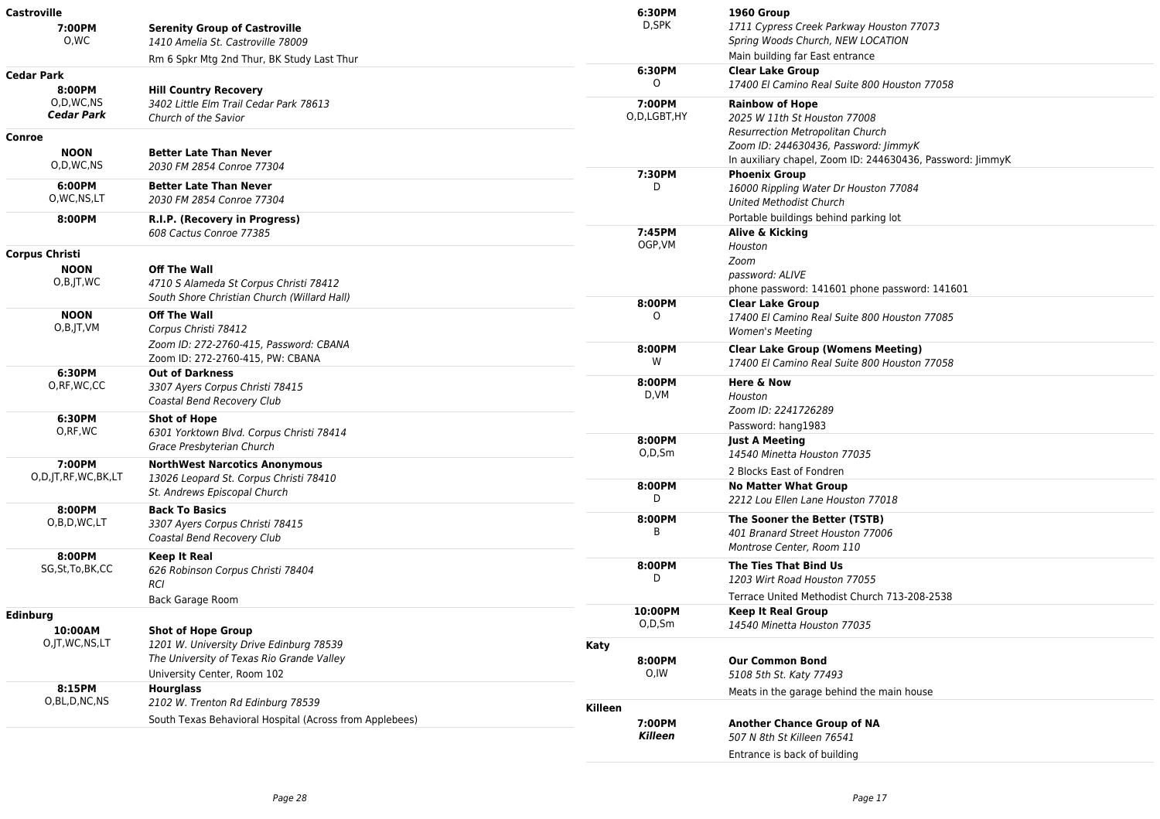| <b>Castroville</b>      |                                                                                                                | 6:30PM               | 1960 Group                                                    |
|-------------------------|----------------------------------------------------------------------------------------------------------------|----------------------|---------------------------------------------------------------|
| 7:00PM                  | <b>Serenity Group of Castroville</b>                                                                           | D,SPK                | 1711 Cypress Creek Parkway Houston 77073                      |
| 0.WC                    | 1410 Amelia St. Castroville 78009                                                                              |                      | Spring Woods Church, NEW LOCATION                             |
|                         | Rm 6 Spkr Mtg 2nd Thur, BK Study Last Thur                                                                     |                      | Main building far East entrance                               |
| <b>Cedar Park</b>       |                                                                                                                | 6:30PM               | <b>Clear Lake Group</b>                                       |
| 8:00PM                  | <b>Hill Country Recovery</b>                                                                                   | 0                    | 17400 El Camino Real Suite 800 Houston 77058                  |
| O,D,WC,NS               | 3402 Little Elm Trail Cedar Park 78613                                                                         | 7:00PM               | <b>Rainbow of Hope</b>                                        |
| <b>Cedar Park</b>       | Church of the Savior                                                                                           | O,D,LGBT,HY          | 2025 W 11th St Houston 77008                                  |
| Conroe                  |                                                                                                                |                      | <b>Resurrection Metropolitan Church</b>                       |
| <b>NOON</b>             | <b>Better Late Than Never</b>                                                                                  |                      | Zoom ID: 244630436, Password: JimmyK                          |
| O,D,WC,NS               | 2030 FM 2854 Conroe 77304                                                                                      |                      | In auxiliary chapel, Zoom ID: 244630436, Password: JimmyK     |
|                         |                                                                                                                | 7:30PM               | <b>Phoenix Group</b>                                          |
| 6:00PM<br>O, WC, NS, LT | <b>Better Late Than Never</b>                                                                                  | D                    | 16000 Rippling Water Dr Houston 77084                         |
|                         | 2030 FM 2854 Conroe 77304                                                                                      |                      | <b>United Methodist Church</b>                                |
| 8:00PM                  | R.I.P. (Recovery in Progress)                                                                                  |                      | Portable buildings behind parking lot                         |
|                         | 608 Cactus Conroe 77385                                                                                        | 7:45PM<br>OGP, VM    | Alive & Kicking                                               |
| <b>Corpus Christi</b>   |                                                                                                                |                      | Houston                                                       |
| <b>NOON</b>             | <b>Off The Wall</b>                                                                                            |                      | Zoom<br>password: ALIVE                                       |
| $O,B$ , JT, WC          | 4710 S Alameda St Corpus Christi 78412                                                                         |                      | phone password: 141601 phone password: 141601                 |
|                         | South Shore Christian Church (Willard Hall)                                                                    | 8:00PM               | <b>Clear Lake Group</b>                                       |
| <b>NOON</b>             | <b>Off The Wall</b>                                                                                            | $\Omega$             | 17400 El Camino Real Suite 800 Houston 77085                  |
| O,B,JT,VM               | Corpus Christi 78412                                                                                           |                      | <b>Women's Meeting</b>                                        |
|                         | Zoom ID: 272-2760-415, Password: CBANA                                                                         | 8:00PM               | <b>Clear Lake Group (Womens Meeting)</b>                      |
|                         | Zoom ID: 272-2760-415, PW: CBANA                                                                               | W                    | 17400 El Camino Real Suite 800 Houston 77058                  |
| 6:30PM                  | <b>Out of Darkness</b>                                                                                         |                      |                                                               |
| O, RF, WC, CC           | 3307 Ayers Corpus Christi 78415<br>Coastal Bend Recovery Club                                                  | 8:00PM<br>D,VM       | <b>Here &amp; Now</b>                                         |
|                         |                                                                                                                |                      | Houston<br>Zoom ID: 2241726289                                |
| 6:30PM                  | Shot of Hope<br>6301 Yorktown Blvd. Corpus Christi 78414                                                       |                      |                                                               |
| O,RF,WC                 |                                                                                                                | 8:00PM               | Password: hang1983<br><b>Just A Meeting</b>                   |
|                         | Grace Presbyterian Church                                                                                      | $O, D, S$ m          | 14540 Minetta Houston 77035                                   |
| 7:00PM                  | <b>NorthWest Narcotics Anonymous</b><br>13026 Leopard St. Corpus Christi 78410<br>St. Andrews Episcopal Church |                      | 2 Blocks East of Fondren                                      |
| O,D,JT,RF,WC,BK,LT      |                                                                                                                | 8:00PM               | <b>No Matter What Group</b>                                   |
|                         |                                                                                                                | D                    | 2212 Lou Ellen Lane Houston 77018                             |
| 8:00PM                  | <b>Back To Basics</b>                                                                                          |                      |                                                               |
| O,B,D,WC,LT             | 3307 Ayers Corpus Christi 78415<br>Coastal Bend Recovery Club                                                  | 8:00PM<br>R          | The Sooner the Better (TSTB)                                  |
|                         |                                                                                                                |                      | 401 Branard Street Houston 77006<br>Montrose Center, Room 110 |
| 8:00PM                  | <b>Keep It Real</b>                                                                                            |                      |                                                               |
| SG, St, To, BK, CC      | 626 Robinson Corpus Christi 78404<br><b>RCI</b>                                                                | 8:00PM<br>D          | The Ties That Bind Us                                         |
|                         |                                                                                                                |                      | 1203 Wirt Road Houston 77055                                  |
|                         | Back Garage Room                                                                                               |                      | Terrace United Methodist Church 713-208-2538                  |
| <b>Edinburg</b>         |                                                                                                                | 10:00PM<br>$O.D.$ Sm | <b>Keep It Real Group</b>                                     |
| 10:00AM                 | <b>Shot of Hope Group</b>                                                                                      |                      | 14540 Minetta Houston 77035                                   |
| O, JT, WC, NS, LT       | 1201 W. University Drive Edinburg 78539                                                                        | Katy                 |                                                               |
|                         | The University of Texas Rio Grande Valley                                                                      | 8:00PM               | <b>Our Common Bond</b>                                        |
|                         | University Center, Room 102                                                                                    | O,IW                 | 5108 5th St. Katy 77493                                       |
| 8:15PM                  | <b>Hourglass</b>                                                                                               |                      | Meats in the garage behind the main house                     |
| O,BL,D,NC,NS            | 2102 W. Trenton Rd Edinburg 78539                                                                              | Killeen              |                                                               |
|                         | South Texas Behavioral Hospital (Across from Applebees)                                                        | 7:00PM               | <b>Another Chance Group of NA</b>                             |
|                         |                                                                                                                | Killeen              | 507 N 8th St Killeen 76541                                    |
|                         |                                                                                                                |                      | Entrance is back of building                                  |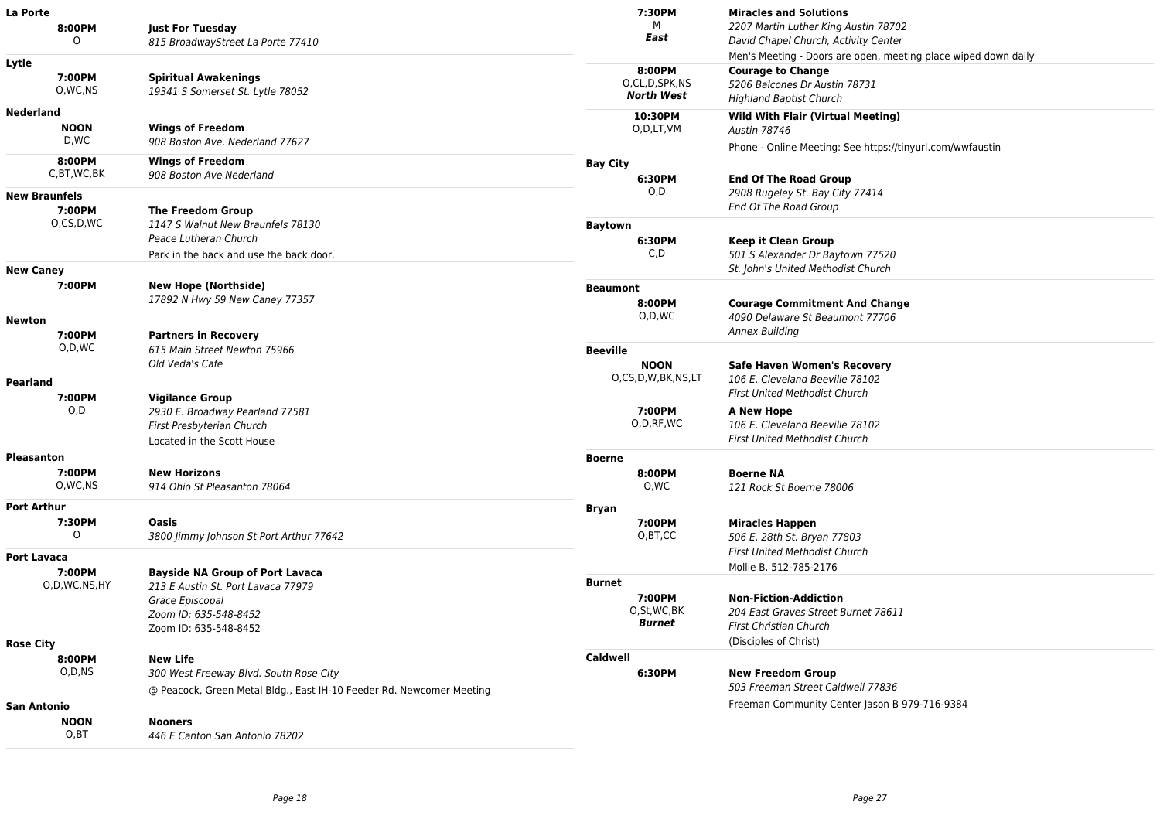| La Porte                                |                                                                                                                                   | 7:30PM                                                 | <b>Miracles and Solutions</b>                                                                                                                                 |
|-----------------------------------------|-----------------------------------------------------------------------------------------------------------------------------------|--------------------------------------------------------|---------------------------------------------------------------------------------------------------------------------------------------------------------------|
| 8:00PM<br>O                             | <b>Just For Tuesday</b><br>815 BroadwayStreet La Porte 77410                                                                      | м<br>East                                              | 2207 Martin Luther King Austin 78702<br>David Chapel Church, Activity Center                                                                                  |
| Lytle<br>7:00PM<br>O,WC,NS              | <b>Spiritual Awakenings</b><br>19341 S Somerset St. Lytle 78052                                                                   | 8:00PM<br>O,CL,D,SPK,NS<br><b>North West</b>           | Men's Meeting - Doors are open, meeting place wiped down daily<br><b>Courage to Change</b><br>5206 Balcones Dr Austin 78731<br><b>Highland Baptist Church</b> |
| <b>Nederland</b><br><b>NOON</b><br>D,WC | <b>Wings of Freedom</b><br>908 Boston Ave. Nederland 77627                                                                        | 10:30PM<br>O,D,LT,VM                                   | <b>Wild With Flair (Virtual Meeting)</b><br><b>Austin 78746</b><br>Phone - Online Meeting: See https://tinyurl.com/wwfaustin                                  |
| 8:00PM<br>C,BT,WC,BK                    | <b>Wings of Freedom</b><br>908 Boston Ave Nederland                                                                               | <b>Bay City</b><br>6:30PM<br>O,D                       | <b>End Of The Road Group</b>                                                                                                                                  |
| <b>New Braunfels</b><br>7:00PM          | <b>The Freedom Group</b>                                                                                                          |                                                        | 2908 Rugeley St. Bay City 77414<br>End Of The Road Group                                                                                                      |
| O,CS,D,WC                               | 1147 S Walnut New Braunfels 78130<br>Peace Lutheran Church<br>Park in the back and use the back door.                             | <b>Baytown</b><br>6:30PM<br>C,D                        | <b>Keep it Clean Group</b><br>501 S Alexander Dr Baytown 77520                                                                                                |
| <b>New Caney</b><br>7:00PM              | <b>New Hope (Northside)</b>                                                                                                       |                                                        | St. John's United Methodist Church                                                                                                                            |
| <b>Newton</b>                           | 17892 N Hwy 59 New Caney 77357                                                                                                    | <b>Beaumont</b><br>8:00PM<br>O,D,WC                    | <b>Courage Commitment And Change</b><br>4090 Delaware St Beaumont 77706                                                                                       |
| 7:00PM                                  | <b>Partners in Recovery</b>                                                                                                       |                                                        | <b>Annex Building</b>                                                                                                                                         |
| O,D,WC                                  | 615 Main Street Newton 75966<br>Old Veda's Cafe                                                                                   | <b>Beeville</b><br><b>NOON</b><br>O,CS,D,W,BK,NS,LT    | <b>Safe Haven Women's Recovery</b><br>106 E. Cleveland Beeville 78102<br><b>First United Methodist Church</b>                                                 |
| Pearland<br>7:00PM                      | <b>Vigilance Group</b><br>O,D<br>2930 E. Broadway Pearland 77581<br>First Presbyterian Church<br>Located in the Scott House       |                                                        |                                                                                                                                                               |
|                                         |                                                                                                                                   | 7:00PM<br>O, D, RF, WC                                 | A New Hope<br>106 E. Cleveland Beeville 78102<br>First United Methodist Church                                                                                |
| <b>Pleasanton</b>                       |                                                                                                                                   | <b>Boerne</b>                                          |                                                                                                                                                               |
| 7:00PM<br>O, WC, NS                     | <b>New Horizons</b><br>914 Ohio St Pleasanton 78064                                                                               | 8:00PM<br>0,WC                                         | <b>Boerne NA</b><br>121 Rock St Boerne 78006                                                                                                                  |
| <b>Port Arthur</b><br>7:30PM<br>0       | Oasis<br>3800 Jimmy Johnson St Port Arthur 77642                                                                                  | <b>Bryan</b><br>7:00PM<br>O,BT,CC                      | <b>Miracles Happen</b><br>506 E. 28th St. Bryan 77803<br><b>First United Methodist Church</b>                                                                 |
| Port Lavaca<br>7:00PM                   | <b>Bayside NA Group of Port Lavaca</b>                                                                                            |                                                        | Mollie B. 512-785-2176                                                                                                                                        |
| O,D,WC,NS,HY                            | 213 E Austin St. Port Lavaca 77979<br>Grace Episcopal<br>Zoom ID: 635-548-8452<br>Zoom ID: 635-548-8452                           | <b>Burnet</b><br>7:00PM<br>O,St,WC,BK<br><b>Burnet</b> | <b>Non-Fiction-Addiction</b><br>204 East Graves Street Burnet 78611<br>First Christian Church                                                                 |
| <b>Rose City</b>                        |                                                                                                                                   |                                                        | (Disciples of Christ)                                                                                                                                         |
| 8:00PM<br>O,D,NS                        | <b>New Life</b><br>300 West Freeway Blvd. South Rose City<br>@ Peacock, Green Metal Bldg., East IH-10 Feeder Rd. Newcomer Meeting | Caldwell<br>6:30PM                                     | <b>New Freedom Group</b><br>503 Freeman Street Caldwell 77836                                                                                                 |
| <b>San Antonio</b>                      |                                                                                                                                   |                                                        | Freeman Community Center Jason B 979-716-9384                                                                                                                 |
| <b>NOON</b><br>O, BT                    | <b>Nooners</b><br>446 E Canton San Antonio 78202                                                                                  |                                                        |                                                                                                                                                               |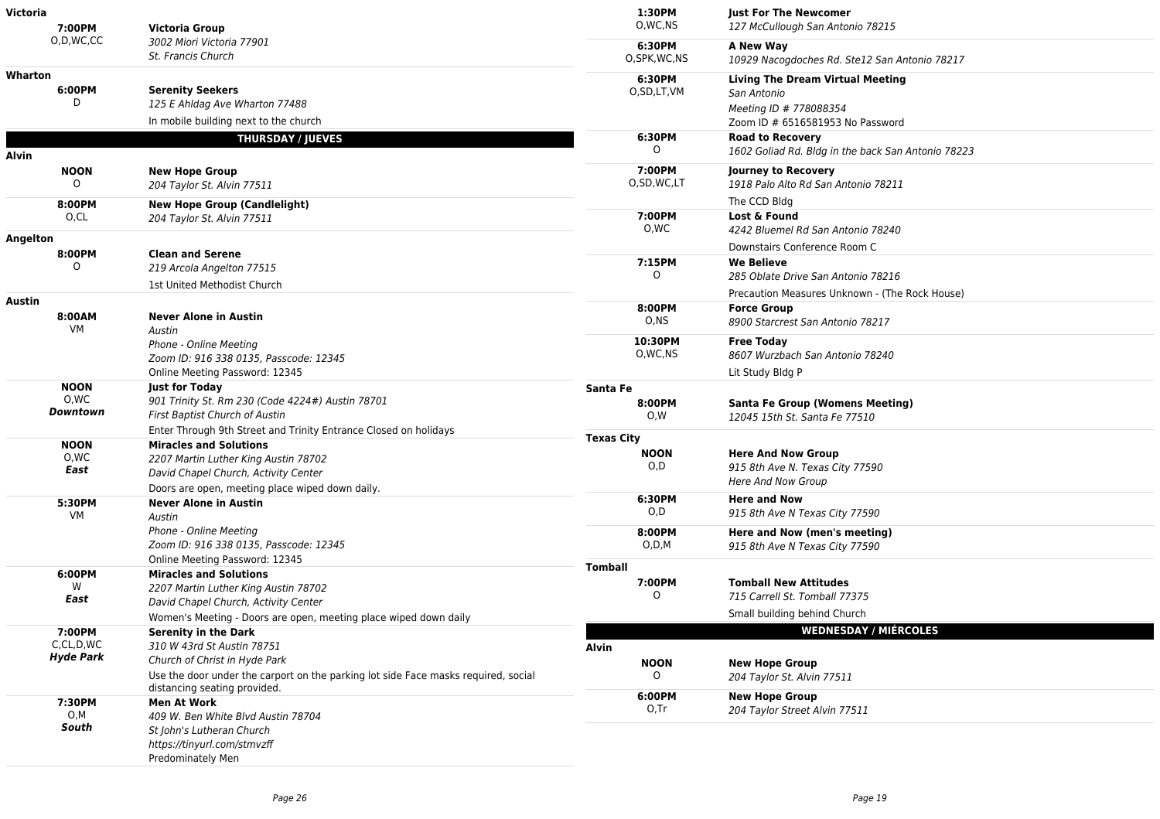| Victoria | 7:00PM                      | <b>Victoria Group</b>                                                                                              | 1:30PM<br>O, WC, NS     | <b>Just For The Newcomer</b><br>127 McCullough San Antonio 78215                                                     |
|----------|-----------------------------|--------------------------------------------------------------------------------------------------------------------|-------------------------|----------------------------------------------------------------------------------------------------------------------|
|          | O,D,WC,CC                   | 3002 Miori Victoria 77901<br>St. Francis Church                                                                    | 6:30PM<br>O,SPK, WC, NS | A New Way<br>10929 Nacogdoches Rd. Ste12 San Antonio 78217                                                           |
| Wharton  | 6:00PM                      | <b>Serenity Seekers</b><br>125 E Ahldag Ave Wharton 77488<br>In mobile building next to the church                 | 6:30PM<br>O,SD,LT,VM    | <b>Living The Dream Virtual Meeting</b><br>San Antonio<br>Meeting ID # 778088354<br>Zoom ID # 6516581953 No Password |
|          |                             | <b>THURSDAY / JUEVES</b>                                                                                           | 6:30PM<br>0             | <b>Road to Recovery</b>                                                                                              |
| Alvin    |                             |                                                                                                                    |                         | 1602 Goliad Rd. Bldg in the back San Antonio 78223                                                                   |
|          | <b>NOON</b><br>0            | <b>New Hope Group</b><br>204 Taylor St. Alvin 77511                                                                | 7:00PM<br>O,SD,WC,LT    | Journey to Recovery<br>1918 Palo Alto Rd San Antonio 78211                                                           |
|          | 8:00PM                      | <b>New Hope Group (Candlelight)</b>                                                                                |                         | The CCD Bldg                                                                                                         |
|          | O,CL                        | 204 Taylor St. Alvin 77511                                                                                         | 7:00PM<br>0,WC          | Lost & Found<br>4242 Bluemel Rd San Antonio 78240                                                                    |
| Angelton |                             |                                                                                                                    |                         | Downstairs Conference Room C                                                                                         |
|          | 8:00PM<br>0                 | <b>Clean and Serene</b><br>219 Arcola Angelton 77515<br>1st United Methodist Church                                | 7:15PM<br>$\Omega$      | <b>We Believe</b><br>285 Oblate Drive San Antonio 78216                                                              |
|          |                             |                                                                                                                    |                         | Precaution Measures Unknown - (The Rock House)                                                                       |
| Austin   | 8:00AM<br>VM                | <b>Never Alone in Austin</b><br>Austin                                                                             | 8:00PM<br>O,NS          | <b>Force Group</b><br>8900 Starcrest San Antonio 78217                                                               |
|          |                             | Phone - Online Meeting<br>Zoom ID: 916 338 0135, Passcode: 12345                                                   | 10:30PM<br>O, WC, NS    | <b>Free Today</b><br>8607 Wurzbach San Antonio 78240                                                                 |
|          |                             | Online Meeting Password: 12345                                                                                     |                         | Lit Study Bldg P                                                                                                     |
|          | <b>NOON</b>                 | <b>Just for Today</b>                                                                                              | Santa Fe                |                                                                                                                      |
|          | 0,WC<br>Downtown            | 901 Trinity St. Rm 230 (Code 4224#) Austin 78701<br>First Baptist Church of Austin                                 | 8:00PM<br>O,W           | <b>Santa Fe Group (Womens Meeting)</b><br>12045 15th St. Santa Fe 77510                                              |
|          |                             | Enter Through 9th Street and Trinity Entrance Closed on holidays                                                   | <b>Texas City</b>       |                                                                                                                      |
|          | <b>NOON</b><br>0,WC<br>East | <b>Miracles and Solutions</b><br>2207 Martin Luther King Austin 78702<br>David Chapel Church, Activity Center      | <b>NOON</b><br>O,D      | <b>Here And Now Group</b><br>915 8th Ave N. Texas City 77590<br><b>Here And Now Group</b>                            |
|          |                             | Doors are open, meeting place wiped down daily.                                                                    | 6:30PM                  | <b>Here and Now</b>                                                                                                  |
|          | 5:30PM<br>VM                | <b>Never Alone in Austin</b><br>Austin                                                                             | O,D                     | 915 8th Ave N Texas City 77590                                                                                       |
|          |                             | Phone - Online Meeting<br>Zoom ID: 916 338 0135, Passcode: 12345<br>Online Meeting Password: 12345                 | 8:00PM<br>O,D,M         | Here and Now (men's meeting)<br>915 8th Ave N Texas City 77590                                                       |
|          | 6:00PM                      | <b>Miracles and Solutions</b>                                                                                      | <b>Tomball</b>          |                                                                                                                      |
|          | W<br>East                   | 2207 Martin Luther King Austin 78702<br>David Chapel Church, Activity Center                                       | 7:00PM<br>O             | <b>Tomball New Attitudes</b><br>715 Carrell St. Tomball 77375                                                        |
|          |                             | Women's Meeting - Doors are open, meeting place wiped down daily                                                   |                         | Small building behind Church                                                                                         |
|          | 7:00PM                      | <b>Serenity in the Dark</b>                                                                                        |                         | <b>WEDNESDAY / MIÉRCOLES</b>                                                                                         |
|          | C,CL,D,WC                   | 310 W 43rd St Austin 78751                                                                                         | Alvin                   |                                                                                                                      |
|          | <b>Hyde Park</b>            | Church of Christ in Hyde Park                                                                                      | <b>NOON</b>             | <b>New Hope Group</b>                                                                                                |
|          |                             | Use the door under the carport on the parking lot side Face masks required, social<br>distancing seating provided. | O<br>6:00PM             | 204 Taylor St. Alvin 77511<br><b>New Hope Group</b>                                                                  |
|          | 7:30PM<br>O,M               | <b>Men At Work</b>                                                                                                 | 0,Tr                    | 204 Taylor Street Alvin 77511                                                                                        |
|          | South                       | 409 W. Ben White Blvd Austin 78704<br>St John's Lutheran Church                                                    |                         |                                                                                                                      |
|          |                             | https://tinyurl.com/stmvzff<br>Predominately Men                                                                   |                         |                                                                                                                      |
|          |                             |                                                                                                                    |                         |                                                                                                                      |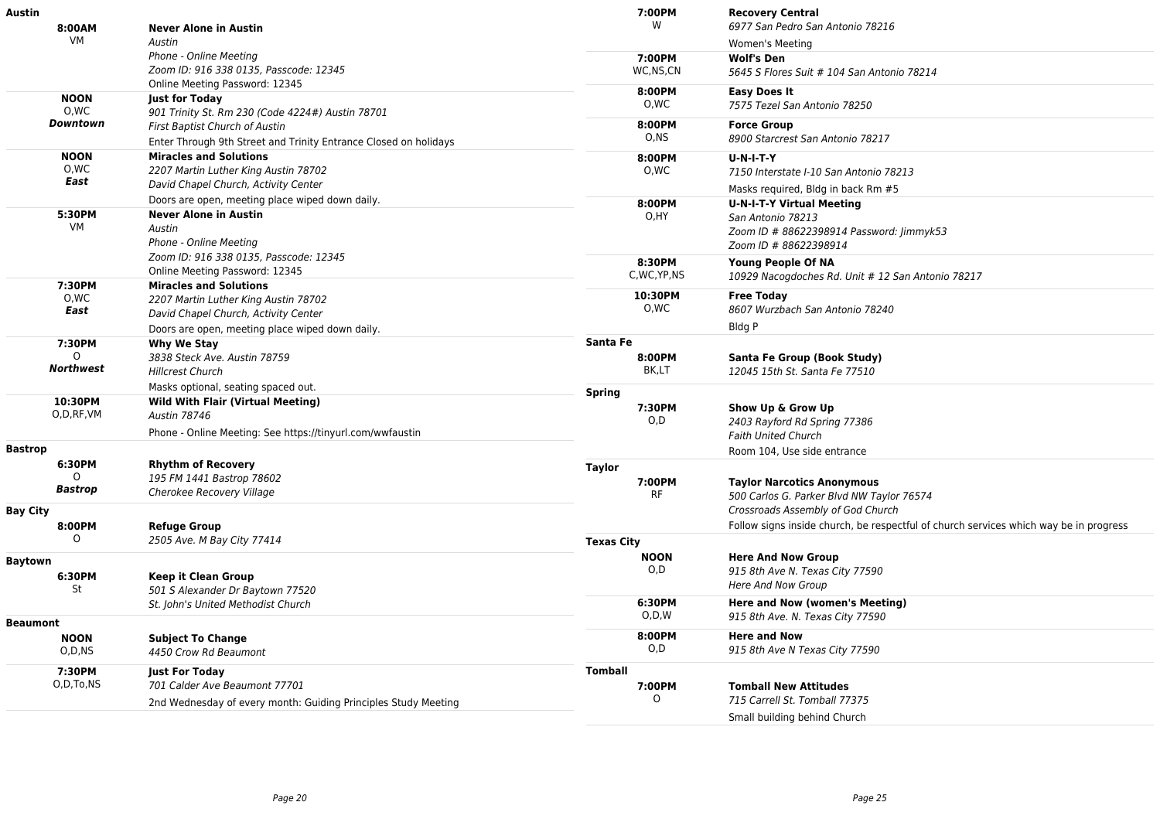| Austin               |                                                                              | 7:00PM            | <b>Recovery Central</b>                                                               |
|----------------------|------------------------------------------------------------------------------|-------------------|---------------------------------------------------------------------------------------|
| 8:00AM               | <b>Never Alone in Austin</b>                                                 | W                 | 6977 San Pedro San Antonio 78216                                                      |
| VM                   | Austin                                                                       |                   | Women's Meeting                                                                       |
|                      | Phone - Online Meeting                                                       | 7:00PM            | <b>Wolf's Den</b>                                                                     |
|                      | Zoom ID: 916 338 0135, Passcode: 12345                                       | WC,NS,CN          | 5645 S Flores Suit # 104 San Antonio 78214                                            |
|                      | Online Meeting Password: 12345                                               | 8:00PM            | Easy Does It                                                                          |
| <b>NOON</b>          | <b>Just for Today</b>                                                        | 0,WC              | 7575 Tezel San Antonio 78250                                                          |
| 0,WC<br>Downtown     | 901 Trinity St. Rm 230 (Code 4224#) Austin 78701                             | 8:00PM            |                                                                                       |
|                      | First Baptist Church of Austin                                               | O, NS             | <b>Force Group</b><br>8900 Starcrest San Antonio 78217                                |
|                      | Enter Through 9th Street and Trinity Entrance Closed on holidays             |                   |                                                                                       |
| <b>NOON</b>          | <b>Miracles and Solutions</b>                                                | 8:00PM            | <b>U-N-I-T-Y</b>                                                                      |
| O,WC<br>East         | 2207 Martin Luther King Austin 78702                                         | 0,WC              | 7150 Interstate I-10 San Antonio 78213                                                |
|                      | David Chapel Church, Activity Center                                         |                   | Masks required, Bldg in back Rm #5                                                    |
|                      | Doors are open, meeting place wiped down daily.                              | 8:00PM            | <b>U-N-I-T-Y Virtual Meeting</b>                                                      |
| 5:30PM<br>VM         | <b>Never Alone in Austin</b>                                                 | O,HY              | San Antonio 78213                                                                     |
|                      | Austin                                                                       |                   | Zoom ID # 88622398914 Password: Jimmyk53                                              |
|                      | Phone - Online Meeting                                                       |                   | Zoom ID # 88622398914                                                                 |
|                      | Zoom ID: 916 338 0135, Passcode: 12345                                       | 8:30PM            | <b>Young People Of NA</b>                                                             |
|                      | Online Meeting Password: 12345                                               | C, WC, YP, NS     | 10929 Nacogdoches Rd. Unit # 12 San Antonio 78217                                     |
| 7:30PM<br>0,WC       | <b>Miracles and Solutions</b>                                                | 10:30PM           | <b>Free Today</b>                                                                     |
| East                 | 2207 Martin Luther King Austin 78702<br>David Chapel Church, Activity Center | 0,WC              | 8607 Wurzbach San Antonio 78240                                                       |
|                      |                                                                              |                   | Bldg P                                                                                |
|                      | Doors are open, meeting place wiped down daily.                              | Santa Fe          |                                                                                       |
| 7:30PM               | Why We Stay                                                                  |                   |                                                                                       |
| Northwest            | 3838 Steck Ave. Austin 78759<br><b>Hillcrest Church</b>                      | 8:00PM<br>BK,LT   | Santa Fe Group (Book Study)<br>12045 15th St. Santa Fe 77510                          |
|                      |                                                                              |                   |                                                                                       |
|                      | Masks optional, seating spaced out.                                          | <b>Spring</b>     |                                                                                       |
| 10:30PM<br>O,D,RF,VM | <b>Wild With Flair (Virtual Meeting)</b><br>Austin 78746                     | 7:30PM            | Show Up & Grow Up                                                                     |
|                      |                                                                              | O,D               | 2403 Rayford Rd Spring 77386                                                          |
|                      | Phone - Online Meeting: See https://tinyurl.com/wwfaustin                    |                   | <b>Faith United Church</b>                                                            |
| <b>Bastrop</b>       |                                                                              |                   | Room 104, Use side entrance                                                           |
| 6:30PM               | <b>Rhythm of Recovery</b>                                                    | <b>Taylor</b>     |                                                                                       |
| $\Omega$             | 195 FM 1441 Bastrop 78602                                                    | 7:00PM            | <b>Taylor Narcotics Anonymous</b>                                                     |
| <b>Bastrop</b>       | Cherokee Recovery Village                                                    | <b>RF</b>         | 500 Carlos G. Parker Blvd NW Taylor 76574                                             |
| <b>Bay City</b>      |                                                                              |                   | Crossroads Assembly of God Church                                                     |
| 8:00PM               | <b>Refuge Group</b>                                                          |                   | Follow signs inside church, be respectful of church services which way be in progress |
| $\circ$              | 2505 Ave. M Bay City 77414                                                   | <b>Texas City</b> |                                                                                       |
| <b>Baytown</b>       |                                                                              | <b>NOON</b>       | <b>Here And Now Group</b>                                                             |
| 6:30PM               | <b>Keep it Clean Group</b>                                                   | O, D              | 915 8th Ave N. Texas City 77590                                                       |
| St                   | 501 S Alexander Dr Baytown 77520                                             |                   | Here And Now Group                                                                    |
|                      | St. John's United Methodist Church                                           | 6:30PM            | Here and Now (women's Meeting)                                                        |
|                      |                                                                              | O, D, W           | 915 8th Ave. N. Texas City 77590                                                      |
| <b>Beaumont</b>      |                                                                              | 8:00PM            |                                                                                       |
| <b>NOON</b>          | <b>Subject To Change</b>                                                     | O,D               | <b>Here and Now</b>                                                                   |
| $O$ , $D$ , $NS$     | 4450 Crow Rd Beaumont                                                        |                   | 915 8th Ave N Texas City 77590                                                        |
| 7:30PM               | <b>Just For Today</b>                                                        | <b>Tomball</b>    |                                                                                       |
| O,D,To,NS            | 701 Calder Ave Beaumont 77701                                                | 7:00PM            | <b>Tomball New Attitudes</b>                                                          |
|                      | 2nd Wednesday of every month: Guiding Principles Study Meeting               | O                 | 715 Carrell St. Tomball 77375                                                         |
|                      |                                                                              |                   | Small building behind Church                                                          |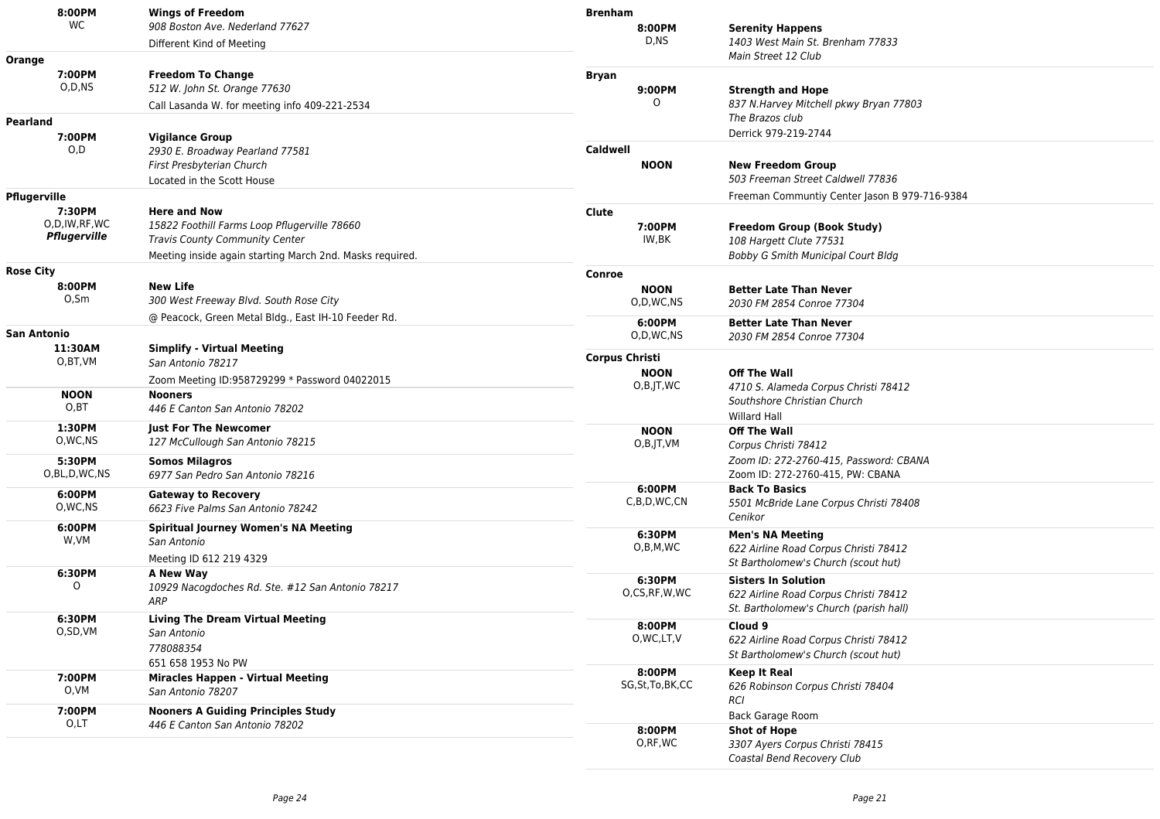| 8:00PM              | <b>Wings of Freedom</b>                                          | <b>Brenham</b>               |                                                                                 |
|---------------------|------------------------------------------------------------------|------------------------------|---------------------------------------------------------------------------------|
| WC                  | 908 Boston Ave. Nederland 77627                                  | 8:00PM                       | <b>Serenity Happens</b>                                                         |
|                     | Different Kind of Meeting                                        | D,NS                         | 1403 West Main St. Brenham 77833                                                |
| Orange              |                                                                  |                              | Main Street 12 Club                                                             |
| 7:00PM              | <b>Freedom To Change</b>                                         | <b>Bryan</b>                 |                                                                                 |
| O,D,NS              | 512 W. John St. Orange 77630                                     | 9:00PM                       | <b>Strength and Hope</b>                                                        |
|                     | Call Lasanda W. for meeting info 409-221-2534                    | 0                            | 837 N.Harvey Mitchell pkwy Bryan 77803                                          |
| Pearland            |                                                                  |                              | The Brazos club                                                                 |
| 7:00PM              | <b>Vigilance Group</b>                                           |                              | Derrick 979-219-2744                                                            |
| O,D                 | 2930 E. Broadway Pearland 77581                                  | <b>Caldwell</b>              |                                                                                 |
|                     | First Presbyterian Church                                        | <b>NOON</b>                  | <b>New Freedom Group</b>                                                        |
|                     | Located in the Scott House                                       |                              | 503 Freeman Street Caldwell 77836                                               |
| Pflugerville        |                                                                  |                              | Freeman Communtiy Center Jason B 979-716-9384                                   |
| 7:30PM              | <b>Here and Now</b>                                              | Clute                        |                                                                                 |
| O,D,IW,RF,WC        | 15822 Foothill Farms Loop Pflugerville 78660                     | 7:00PM                       | <b>Freedom Group (Book Study)</b>                                               |
| Pflugerville        | <b>Travis County Community Center</b>                            | IW,BK                        | 108 Hargett Clute 77531                                                         |
|                     | Meeting inside again starting March 2nd. Masks required.         |                              | Bobby G Smith Municipal Court Bldg                                              |
| <b>Rose City</b>    |                                                                  | Conroe                       |                                                                                 |
| 8:00PM              | <b>New Life</b>                                                  | <b>NOON</b>                  | <b>Better Late Than Never</b>                                                   |
| 0,5m                | 300 West Freeway Blvd. South Rose City                           | O,D,WC,NS                    | 2030 FM 2854 Conroe 77304                                                       |
|                     | @ Peacock, Green Metal Bldg., East IH-10 Feeder Rd.              |                              |                                                                                 |
| <b>San Antonio</b>  |                                                                  | 6:00PM<br>O,D,WC,NS          | <b>Better Late Than Never</b>                                                   |
| 11:30AM             | <b>Simplify - Virtual Meeting</b>                                |                              | 2030 FM 2854 Conroe 77304                                                       |
| O,BT,VM             | San Antonio 78217                                                | <b>Corpus Christi</b>        |                                                                                 |
|                     | Zoom Meeting ID:958729299 * Password 04022015                    | <b>NOON</b>                  | <b>Off The Wall</b>                                                             |
| <b>NOON</b>         | <b>Nooners</b>                                                   | $O,B$ , JT, WC               | 4710 S. Alameda Corpus Christi 78412                                            |
| O, BT               | 446 E Canton San Antonio 78202                                   |                              | Southshore Christian Church                                                     |
|                     |                                                                  |                              | <b>Willard Hall</b>                                                             |
| 1:30PM<br>O, WC, NS | <b>Just For The Newcomer</b><br>127 McCullough San Antonio 78215 | <b>NOON</b>                  | <b>Off The Wall</b>                                                             |
|                     |                                                                  | O,B,JT,VM                    | Corpus Christi 78412                                                            |
| 5:30PM              | <b>Somos Milagros</b>                                            |                              | Zoom ID: 272-2760-415, Password: CBANA                                          |
| O,BL,D,WC,NS        | 6977 San Pedro San Antonio 78216                                 |                              | Zoom ID: 272-2760-415, PW: CBANA                                                |
| 6:00PM              | <b>Gateway to Recovery</b>                                       | 6:00PM<br>C,B,D,WC,CN        | <b>Back To Basics</b>                                                           |
| O, WC, NS           | 6623 Five Palms San Antonio 78242                                |                              | 5501 McBride Lane Corpus Christi 78408<br>Cenikor                               |
| 6:00PM              | <b>Spiritual Journey Women's NA Meeting</b>                      |                              |                                                                                 |
| W,VM                | San Antonio                                                      | 6:30PM<br>O,B,M,WC           | <b>Men's NA Meeting</b><br>622 Airline Road Corpus Christi 78412                |
|                     | Meeting ID 612 219 4329                                          |                              | St Bartholomew's Church (scout hut)                                             |
| 6:30PM              | A New Way                                                        |                              |                                                                                 |
| $\Omega$            | 10929 Nacogdoches Rd. Ste. #12 San Antonio 78217                 | 6:30PM<br>O,CS,RF,W,WC       | <b>Sisters In Solution</b>                                                      |
|                     | ARP                                                              |                              | 622 Airline Road Corpus Christi 78412<br>St. Bartholomew's Church (parish hall) |
| 6:30PM              | <b>Living The Dream Virtual Meeting</b>                          |                              |                                                                                 |
| O,SD,VM             | San Antonio                                                      | 8:00PM<br>O, WC, LT, V       | Cloud 9                                                                         |
|                     | 778088354                                                        |                              | 622 Airline Road Corpus Christi 78412<br>St Bartholomew's Church (scout hut)    |
|                     | 651 658 1953 No PW                                               |                              |                                                                                 |
| 7:00PM              | <b>Miracles Happen - Virtual Meeting</b>                         | 8:00PM<br>SG, St, To, BK, CC | <b>Keep It Real</b>                                                             |
| O,VM                | San Antonio 78207                                                |                              | 626 Robinson Corpus Christi 78404<br><b>RCI</b>                                 |
| 7:00PM              | <b>Nooners A Guiding Principles Study</b>                        |                              | <b>Back Garage Room</b>                                                         |
| O,LT                | 446 E Canton San Antonio 78202                                   | 8:00PM                       | <b>Shot of Hope</b>                                                             |
|                     |                                                                  | O,RF,WC                      | 3307 Ayers Corpus Christi 78415                                                 |
|                     |                                                                  |                              | Coastal Bend Recovery Club                                                      |